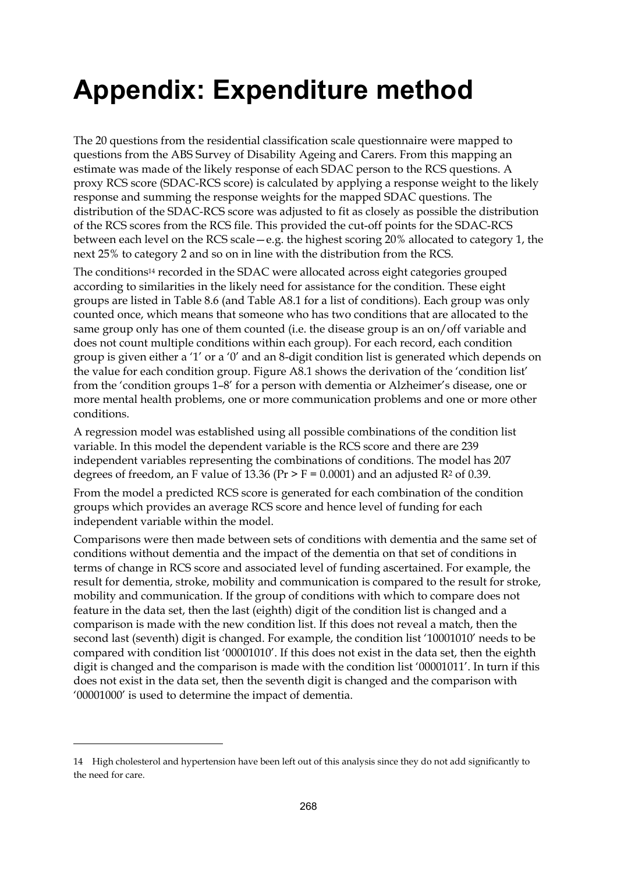## **Appendix: Expenditure method**

The 20 questions from the residential classification scale questionnaire were mapped to questions from the ABS Survey of Disability Ageing and Carers. From this mapping an estimate was made of the likely response of each SDAC person to the RCS questions. A proxy RCS score (SDAC-RCS score) is calculated by applying a response weight to the likely response and summing the response weights for the mapped SDAC questions. The distribution of the SDAC-RCS score was adjusted to fit as closely as possible the distribution of the RCS scores from the RCS file. This provided the cut-off points for the SDAC-RCS between each level on the RCS scale—e.g. the highest scoring 20% allocated to category 1, the next 25% to category 2 and so on in line with the distribution from the RCS.

The conditions14 recorded in the SDAC were allocated across eight categories grouped according to similarities in the likely need for assistance for the condition. These eight groups are listed in Table 8.6 (and Table A8.1 for a list of conditions). Each group was only counted once, which means that someone who has two conditions that are allocated to the same group only has one of them counted (i.e. the disease group is an on/off variable and does not count multiple conditions within each group). For each record, each condition group is given either a '1' or a '0' and an 8-digit condition list is generated which depends on the value for each condition group. Figure A8.1 shows the derivation of the 'condition list' from the 'condition groups 1–8' for a person with dementia or Alzheimer's disease, one or more mental health problems, one or more communication problems and one or more other conditions.

A regression model was established using all possible combinations of the condition list variable. In this model the dependent variable is the RCS score and there are 239 independent variables representing the combinations of conditions. The model has 207 degrees of freedom, an F value of 13.36 ( $Pr > F = 0.0001$ ) and an adjusted  $R^2$  of 0.39.

From the model a predicted RCS score is generated for each combination of the condition groups which provides an average RCS score and hence level of funding for each independent variable within the model.

Comparisons were then made between sets of conditions with dementia and the same set of conditions without dementia and the impact of the dementia on that set of conditions in terms of change in RCS score and associated level of funding ascertained. For example, the result for dementia, stroke, mobility and communication is compared to the result for stroke, mobility and communication. If the group of conditions with which to compare does not feature in the data set, then the last (eighth) digit of the condition list is changed and a comparison is made with the new condition list. If this does not reveal a match, then the second last (seventh) digit is changed. For example, the condition list '10001010' needs to be compared with condition list '00001010'. If this does not exist in the data set, then the eighth digit is changed and the comparison is made with the condition list '00001011'. In turn if this does not exist in the data set, then the seventh digit is changed and the comparison with '00001000' is used to determine the impact of dementia.

 $\overline{a}$ 

<sup>14</sup> High cholesterol and hypertension have been left out of this analysis since they do not add significantly to the need for care.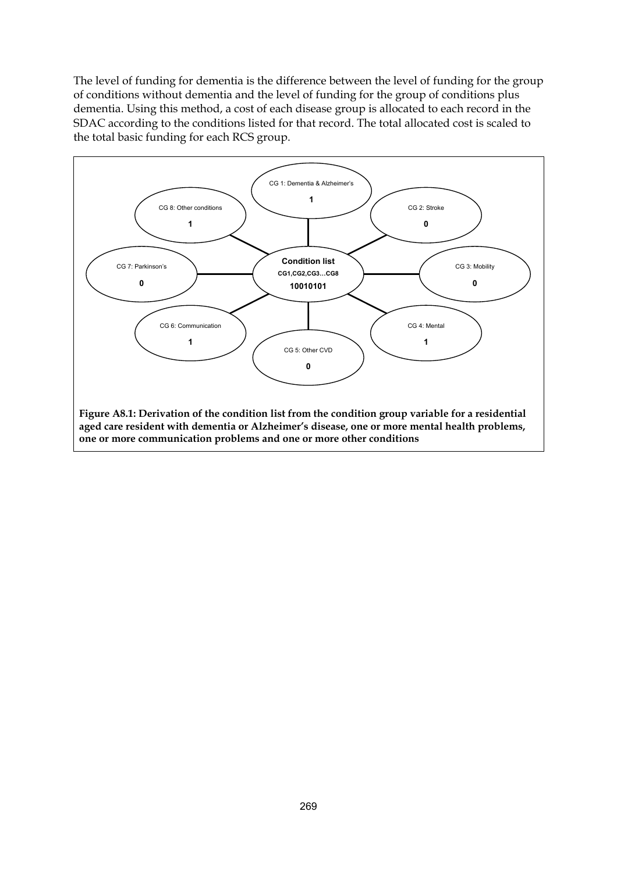The level of funding for dementia is the difference between the level of funding for the group of conditions without dementia and the level of funding for the group of conditions plus dementia. Using this method, a cost of each disease group is allocated to each record in the SDAC according to the conditions listed for that record. The total allocated cost is scaled to the total basic funding for each RCS group.

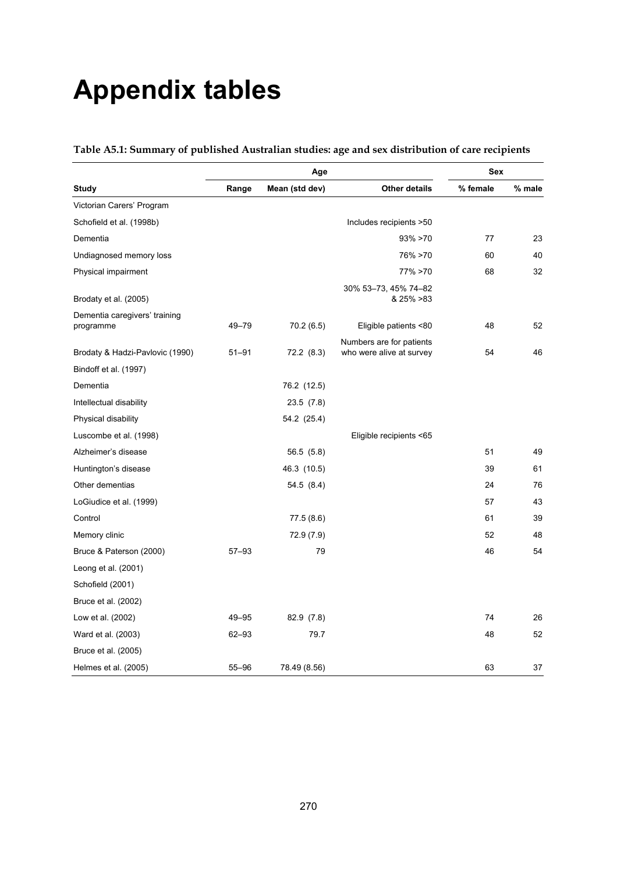## **Appendix tables**

|                                            |           | Age            |                                                      | Sex      |        |
|--------------------------------------------|-----------|----------------|------------------------------------------------------|----------|--------|
| <b>Study</b>                               | Range     | Mean (std dev) | <b>Other details</b>                                 | % female | % male |
| Victorian Carers' Program                  |           |                |                                                      |          |        |
| Schofield et al. (1998b)                   |           |                | Includes recipients >50                              |          |        |
| Dementia                                   |           |                | $93\% > 70$                                          | 77       | 23     |
| Undiagnosed memory loss                    |           |                | 76% >70                                              | 60       | 40     |
| Physical impairment                        |           |                | 77% > 70                                             | 68       | 32     |
| Brodaty et al. (2005)                      |           |                | 30% 53-73, 45% 74-82<br>& 25% > 83                   |          |        |
| Dementia caregivers' training<br>programme | 49-79     | 70.2 (6.5)     | Eligible patients <80                                | 48       | 52     |
| Brodaty & Hadzi-Pavlovic (1990)            | $51 - 91$ | 72.2(8.3)      | Numbers are for patients<br>who were alive at survey | 54       | 46     |
| Bindoff et al. (1997)                      |           |                |                                                      |          |        |
| Dementia                                   |           | 76.2 (12.5)    |                                                      |          |        |
| Intellectual disability                    |           | 23.5(7.8)      |                                                      |          |        |
| Physical disability                        |           | 54.2 (25.4)    |                                                      |          |        |
| Luscombe et al. (1998)                     |           |                | Eligible recipients <65                              |          |        |
| Alzheimer's disease                        |           | 56.5 (5.8)     |                                                      | 51       | 49     |
| Huntington's disease                       |           | 46.3 (10.5)    |                                                      | 39       | 61     |
| Other dementias                            |           | 54.5(8.4)      |                                                      | 24       | 76     |
| LoGiudice et al. (1999)                    |           |                |                                                      | 57       | 43     |
| Control                                    |           | 77.5 (8.6)     |                                                      | 61       | 39     |
| Memory clinic                              |           | 72.9 (7.9)     |                                                      | 52       | 48     |
| Bruce & Paterson (2000)                    | $57 - 93$ | 79             |                                                      | 46       | 54     |
| Leong et al. (2001)                        |           |                |                                                      |          |        |
| Schofield (2001)                           |           |                |                                                      |          |        |
| Bruce et al. (2002)                        |           |                |                                                      |          |        |
| Low et al. (2002)                          | 49–95     | 82.9 (7.8)     |                                                      | 74       | 26     |
| Ward et al. (2003)                         | $62 - 93$ | 79.7           |                                                      | 48       | 52     |
| Bruce et al. (2005)                        |           |                |                                                      |          |        |
| Helmes et al. (2005)                       | $55 - 96$ | 78.49 (8.56)   |                                                      | 63       | 37     |

**Table A5.1: Summary of published Australian studies: age and sex distribution of care recipients**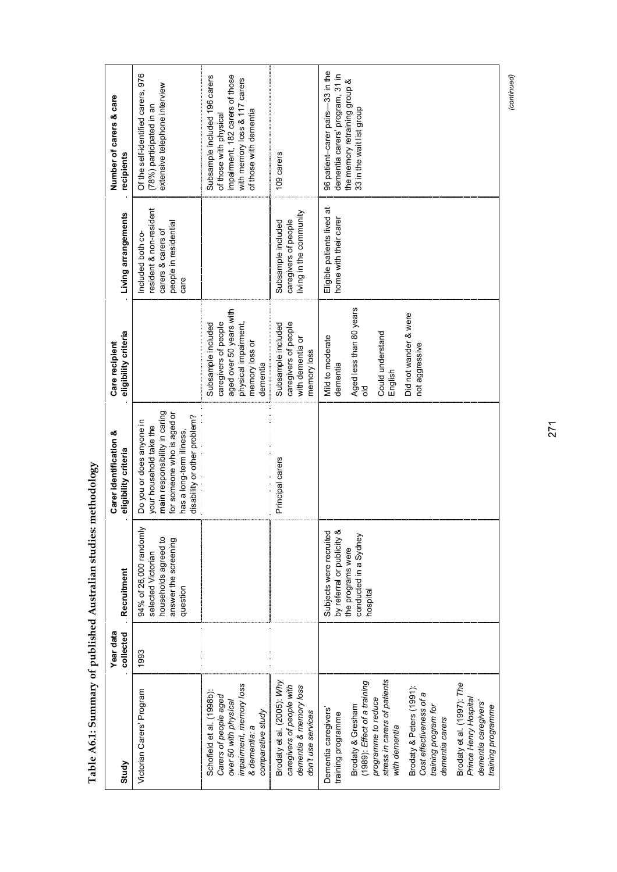| Study                                                                                                                                                                                                                                                                                                                                                    | Year data<br>collected | Recruitment                                                                                                     | Carer identification &<br>eligibility criteria                                                                                                                                 | eligibility criteria<br>Care recipient                                                                                                             | Living arrangements                                                                                | Number of carers & care<br>recipients                                                                                                                 |
|----------------------------------------------------------------------------------------------------------------------------------------------------------------------------------------------------------------------------------------------------------------------------------------------------------------------------------------------------------|------------------------|-----------------------------------------------------------------------------------------------------------------|--------------------------------------------------------------------------------------------------------------------------------------------------------------------------------|----------------------------------------------------------------------------------------------------------------------------------------------------|----------------------------------------------------------------------------------------------------|-------------------------------------------------------------------------------------------------------------------------------------------------------|
| Victorian Carers' Program                                                                                                                                                                                                                                                                                                                                | 1993                   | 94% of 26,000 randomly<br>households agreed to<br>answer the screening<br>selected Victorian<br>question        | main responsibility in caring<br>for someone who is aged or<br>disability or other problem?<br>Do you or does anyone in<br>your household take the<br>has a long-term illness, |                                                                                                                                                    | esident & non-resident<br>people in residential<br>carers & carers of<br>Included both co-<br>care | 976<br>extensive telephone interview<br>Of the self-identified carers,<br>(78%) participated in an                                                    |
| impairment, memory loss<br>Schofield et al. (1998b):<br>Carers of people aged<br>over 50 with physical<br>comparative study<br>& dementia: a                                                                                                                                                                                                             |                        |                                                                                                                 |                                                                                                                                                                                | aged over 50 years with<br>caregivers of people<br>physical impairment,<br>Subsample included<br>memory loss or<br>dementia                        |                                                                                                    | impairment, 182 carers of those<br>Subsample included 196 carers<br>with memory loss & 117 carers<br>of those with dementia<br>of those with physical |
| Brodaty et al. (2005): Why<br>caregivers of people with<br>dementia & memory loss<br>don't use services                                                                                                                                                                                                                                                  |                        |                                                                                                                 | Principal carers                                                                                                                                                               | caregivers of people<br>Subsample included<br>with dementia or<br>memory loss                                                                      | living in the community<br>caregivers of people<br>Subsample included                              | 109 carers                                                                                                                                            |
| stress in carers of patients<br>(1989): Effect of a training<br>Brodaty et al. (1997): The<br>Brodaty & Peters (1991):<br>Cost effectiveness of a<br>programme to reduce<br>Prince Henry Hospital<br>dementia caregivers'<br>Brodaty & Gresham<br>training program for<br>Dementia caregivers'<br>training programme<br>dementia carers<br>with dementia |                        | by referral or publicity &<br>Subjects were recruited<br>conducted in a Sydney<br>the programs were<br>hospital |                                                                                                                                                                                | Aged less than 80 years<br>Did not wander & were<br>Could understand<br>Mild to moderate<br>not aggressive<br>dementia<br>English<br>$\frac{1}{5}$ | Eligible patients lived at<br>home with their carer                                                | 96 patient-carer pairs-33 in the<br>dementia carers' program, 31 in<br>the memory retraining group &<br>33 in the wait list group                     |
| training programme                                                                                                                                                                                                                                                                                                                                       |                        |                                                                                                                 |                                                                                                                                                                                |                                                                                                                                                    |                                                                                                    |                                                                                                                                                       |

Table A6.1: Summary of published Australian studies: methodology **Table A6.1: Summary of published Australian studies: methodology** 

271

(continued) *(continued)*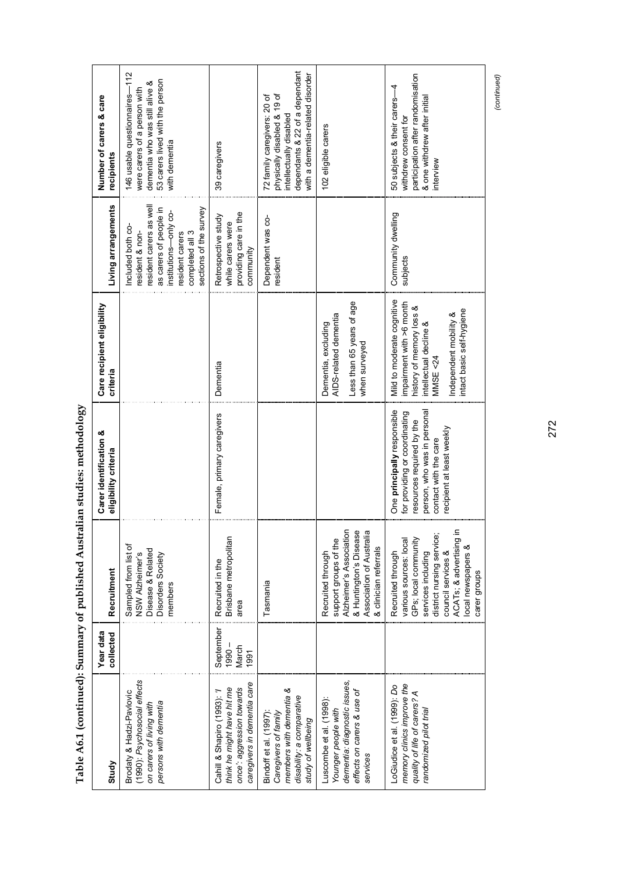| Study                                                                                                                        | Year data<br>collected                 | Recruitment                                                                                                                                                                                                   | Carer identification &<br>eligibility criteria                                                                                                                                | Care recipient eligibility<br>criteria                                                                                                                                          | Living arrangements                                                                                                                                                               | Number of carers & care<br>recipients                                                                                                                       |
|------------------------------------------------------------------------------------------------------------------------------|----------------------------------------|---------------------------------------------------------------------------------------------------------------------------------------------------------------------------------------------------------------|-------------------------------------------------------------------------------------------------------------------------------------------------------------------------------|---------------------------------------------------------------------------------------------------------------------------------------------------------------------------------|-----------------------------------------------------------------------------------------------------------------------------------------------------------------------------------|-------------------------------------------------------------------------------------------------------------------------------------------------------------|
| (1990): Psychosocial effects<br>Brodaty & Hadzi-Pavlovic<br>persons with dementia<br>on carers of living with                |                                        | Sampled from list of<br>Disease & Related<br>NSW Alzheimer's<br>Disorders Society<br>members                                                                                                                  |                                                                                                                                                                               |                                                                                                                                                                                 | resident carers as wel<br>sections of the survey<br>as carers of people in<br>institutions-only co-<br>Included both co-<br>resident & non-<br>completed all 3<br>resident carers | 146 usable questionnaires-112<br>53 carers lived with the person<br>dementia who was still alive &<br>were carers of a person with<br>with dementia         |
| caregivers in dementia care<br>think he might have hit me<br>once': aggression towards<br>Cahill & Shapiro (1993):           | September<br>$-0.0601$<br>March<br>997 | Brisbane metropolitan<br>Recruited in the<br>area                                                                                                                                                             | Female, primary caregivers                                                                                                                                                    | Dementia                                                                                                                                                                        | providing care in the<br>Retrospective study<br>while carers were<br>community                                                                                                    | 39 caregivers                                                                                                                                               |
| members with dementia &<br>disability: a comparative<br>Bindoff et al. (1997):<br>Caregivers of family<br>study of wellbeing |                                        | Tasmania                                                                                                                                                                                                      |                                                                                                                                                                               |                                                                                                                                                                                 | Dependent was co-<br>resident                                                                                                                                                     | dependants & 22 of a dependant<br>with a dementia-related disorder<br>physically disabled & 19 of<br>72 family caregivers: 20 of<br>intellectually disabled |
| dementia: diagnostic issues,<br>effects on carers & use of<br>Luscombe et al. (1998):<br>Younger people with<br>services     |                                        | Alzheimer's Association<br>& Huntington's Disease<br>Association of Australia<br>support groups of the<br>& clinician referrals<br>Recruited through                                                          |                                                                                                                                                                               | Less than 65 years of age<br>AIDS-related dementia<br>Dementia, excluding<br>when surveyed                                                                                      |                                                                                                                                                                                   | 102 eligible carers                                                                                                                                         |
| memory clinics improve the<br>LoGiudice et al. (1999): Do<br>quality of life of carers? A<br>andomized pilot trial           |                                        | ACATs; & advertising in<br>district nursing service;<br>GPs; local community<br>various sources: local<br>local newspapers &<br>council services &<br>Recruited through<br>services including<br>carer groups | One principally responsible<br>person, who was in persona<br>for providing or coordinating<br>resources required by the<br>recipient at least weekly<br>contact with the care | Mild to moderate cognitive<br>impairment with >6 month<br>history of memory loss &<br>intact basic self-hygiene<br>Independent mobility &<br>intellectual decline &<br>MMSE <24 | Community dwelling<br>subjects                                                                                                                                                    | participation after randomisation<br>50 subjects & their carers-4<br>& one withdrew after initial<br>withdrew consent for<br>interview                      |

Table A6.1 (continued): Summary of published Australian studies: methodology **Table A6.1 (continued): Summary of published Australian studies: methodology** 

272

(continued) *(continued)*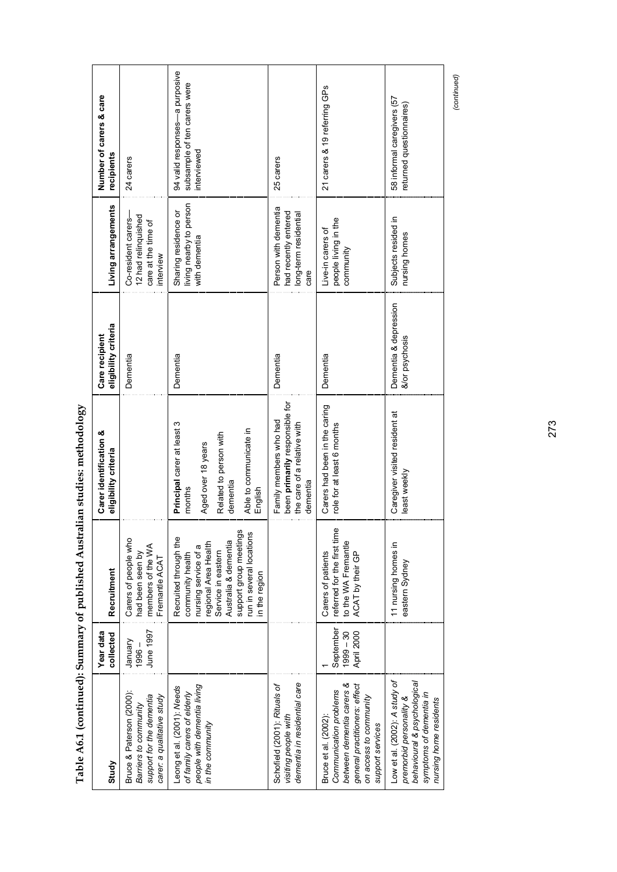| Study                                                                                                                                                      | Year data<br>collected                 | Recruitment                                                                                                                                                                                                    | <b>Carer identification &amp;</b><br>eligibility criteria                                                                             | eligibility criteria<br>Care recipient  | Living arrangements                                                            | Number of carers & care<br>recipients                                         |
|------------------------------------------------------------------------------------------------------------------------------------------------------------|----------------------------------------|----------------------------------------------------------------------------------------------------------------------------------------------------------------------------------------------------------------|---------------------------------------------------------------------------------------------------------------------------------------|-----------------------------------------|--------------------------------------------------------------------------------|-------------------------------------------------------------------------------|
| Bruce & Paterson (2000):<br>support for the dementia<br>carer: a qualitative study<br>Barriers to community                                                | June 1997<br>January<br>$1996 -$       | Carers of people who<br>members of the WA<br>had been seen by<br>Fremantle ACAT                                                                                                                                |                                                                                                                                       | Dementia                                | 12 had relinquished<br>Co-resident carers-<br>care at the time of<br>interview | 24 carers                                                                     |
| people with dementia living<br>Leong et al. (2001): Needs<br>of family carers of elderly<br>in the community                                               |                                        | support group meetings<br>run in several locations<br>Recruited through the<br>Australia & dementia<br>regional Area Health<br>nursing service of a<br>Service in eastern<br>community health<br>in the region | Principal carer at least 3<br>Able to communicate in<br>Related to person with<br>Aged over 18 years<br>dementia<br>months<br>English | Dementia                                | living nearby to person<br>Sharing residence or<br>with dementia               | 94 valid responses-a purposive<br>subsample of ten carers were<br>interviewed |
| dementia in residential care<br>Schofield (2001): Rituals of<br>visiting people with                                                                       |                                        |                                                                                                                                                                                                                | been primarily responsible for<br>Family members who had<br>the care of a relative with<br>dementia                                   | Dementia                                | Person with dementia<br>had recently entered<br>long-term residential<br>care  | 25 carers                                                                     |
| between dementia carers &<br>general practitioners: effect<br>Communication problems<br>on access to community<br>Bruce et al. (2002):<br>support services | September<br>$1999 - 30$<br>April 2000 | referred for the first time<br>to the WA Fremantle<br>Carers of patients<br>ACAT by their GP                                                                                                                   | Carers had been in the caring<br>role for at least 6 months                                                                           | Dementia                                | people living in the<br>Live-in carers of<br>community                         | 21 carers & 19 referring GPs                                                  |
| Low et al. (2002): A study of<br>behavioural & psychological<br>symptoms of dementia in<br>premorbid personality &<br>nursing home residents               |                                        | 11 nursing homes in<br>eastern Sydney                                                                                                                                                                          | Caregiver visited resident at<br>east weekly                                                                                          | Dementia & depression<br>&/or psychosis | Subjects resided in<br>nursing homes                                           | 58 informal caregivers (57<br>returned questionnaires)                        |

Table A6.1 (continued): Summary of published Australian studies: methodology **Table A6.1 (continued): Summary of published Australian studies: methodology** 

(continued) *(continued)*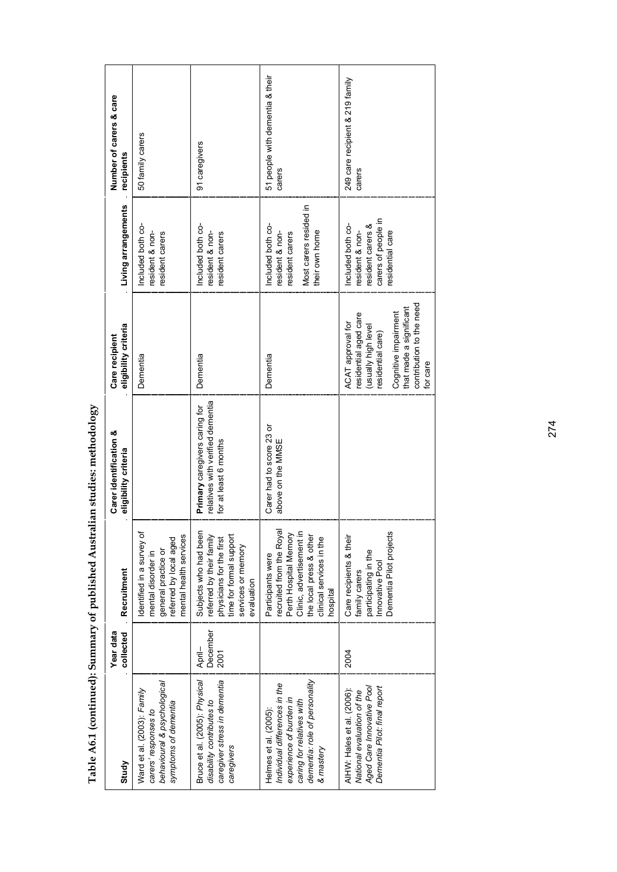| Study                                                                                                                                                        | Year data<br>collected            | Recruitment                                                                                                                                                           | Carer identification &<br>eligibility criteria                                             | eligibility criteria<br>Care recipient                                                                                                                                                   | Living arrangements                                                                                 | Number of carers & care<br>recipients     |
|--------------------------------------------------------------------------------------------------------------------------------------------------------------|-----------------------------------|-----------------------------------------------------------------------------------------------------------------------------------------------------------------------|--------------------------------------------------------------------------------------------|------------------------------------------------------------------------------------------------------------------------------------------------------------------------------------------|-----------------------------------------------------------------------------------------------------|-------------------------------------------|
| behavioural & psychological<br>Ward et al. (2003): Family<br>symptoms of dementia<br>carers' responses to                                                    |                                   | dentified in a survey of<br>mental health services<br>referred by local aged<br>general practice or<br>mental disorder in                                             |                                                                                            | Dementia                                                                                                                                                                                 | Included both co-<br>resident & non-<br>resident carers                                             | 50 family carers                          |
| Bruce et al. (2005): Physical<br>caregiver stress in dementia<br>disability contributes to<br>caregivers                                                     | December<br>April-<br><b>2001</b> | Subjects who had been<br>time for formal support<br>referred by their family<br>physicians for the first<br>services or memory<br>evaluation                          | relatives with verified dementia<br>Primary caregivers caring for<br>for at least 6 months | Dementia                                                                                                                                                                                 | ncluded both co-<br>resident & non-<br>resident carers                                              | 91 caregivers                             |
| dementia: role of personality<br>Individual differences in the<br>experience of burden in<br>caring for relatives with<br>Helmes et al. (2005):<br>& mastery |                                   | recruited from the Royal<br>Perth Hospital Memory<br>Clinic, advertisement in<br>the local press & other<br>clinical services in the<br>Participants were<br>hospital | Carer had to score 23 or<br>above on the MMSE                                              | Dementia                                                                                                                                                                                 | Most carers resided in<br>Included both co-<br>their own home<br>resident & non-<br>resident carers | 51 people with dementia & their<br>carers |
| Aged Care Innovative Pool<br>Dementia Pilot: final report<br>AIHW: Hales et al. (2006):<br>National evaluation of the                                        | <b>2004</b>                       | Dementia Pilot projects<br>Care recipients & their<br>participating in the<br>Innovative Pool<br>family carers                                                        |                                                                                            | contribution to the need<br>that made a significant<br>residential aged care<br>Cognitive impairment<br><b>ACAT</b> approval for<br>(usually high level<br>residential care)<br>for care | carers of people in<br>resident carers &<br>Included both co-<br>resident & non-<br>esidential care | 249 care recipient & 219 family<br>carers |

Table A6.1 (continued): Summary of published Australian studies: methodology **Table A6.1 (continued): Summary of published Australian studies: methodology**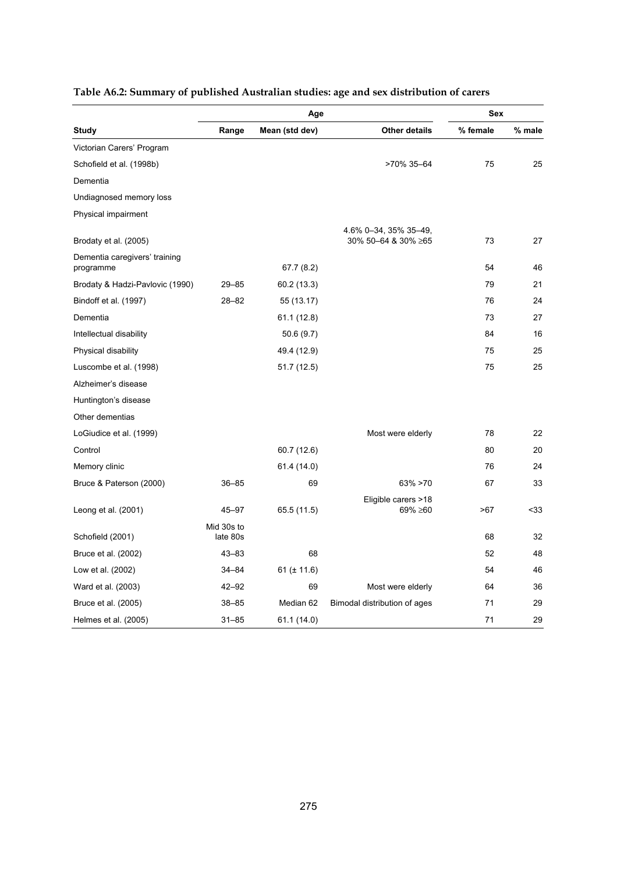|                                            |            | Age              |                                | <b>Sex</b> |        |
|--------------------------------------------|------------|------------------|--------------------------------|------------|--------|
| <b>Study</b>                               | Range      | Mean (std dev)   | <b>Other details</b>           | % female   | % male |
| Victorian Carers' Program                  |            |                  |                                |            |        |
| Schofield et al. (1998b)                   |            |                  | >70% 35-64                     | 75         | 25     |
| Dementia                                   |            |                  |                                |            |        |
| Undiagnosed memory loss                    |            |                  |                                |            |        |
| Physical impairment                        |            |                  |                                |            |        |
|                                            |            |                  | 4.6% 0-34, 35% 35-49,          |            |        |
| Brodaty et al. (2005)                      |            |                  | 30% 50–64 & 30% ≥65            | 73         | 27     |
| Dementia caregivers' training<br>programme |            | 67.7(8.2)        |                                | 54         | 46     |
| Brodaty & Hadzi-Pavlovic (1990)            | $29 - 85$  | 60.2 (13.3)      |                                | 79         | 21     |
| Bindoff et al. (1997)                      | $28 - 82$  | 55 (13.17)       |                                | 76         | 24     |
| Dementia                                   |            | 61.1 (12.8)      |                                | 73         | 27     |
| Intellectual disability                    |            | 50.6(9.7)        |                                | 84         | 16     |
| Physical disability                        |            | 49.4 (12.9)      |                                | 75         | 25     |
| Luscombe et al. (1998)                     |            | 51.7 (12.5)      |                                | 75         | 25     |
| Alzheimer's disease                        |            |                  |                                |            |        |
| Huntington's disease                       |            |                  |                                |            |        |
| Other dementias                            |            |                  |                                |            |        |
| LoGiudice et al. (1999)                    |            |                  | Most were elderly              | 78         | 22     |
| Control                                    |            | 60.7 (12.6)      |                                | 80         | 20     |
| Memory clinic                              |            | 61.4 (14.0)      |                                | 76         | 24     |
| Bruce & Paterson (2000)                    | $36 - 85$  | 69               | $63\% > 70$                    | 67         | 33     |
| Leong et al. (2001)                        | 45–97      | 65.5 (11.5)      | Eligible carers >18<br>69% ≥60 | >67        | $33$   |
|                                            | Mid 30s to |                  |                                |            |        |
| Schofield (2001)                           | late 80s   |                  |                                | 68         | 32     |
| Bruce et al. (2002)                        | $43 - 83$  | 68               |                                | 52         | 48     |
| Low et al. (2002)                          | 34-84      | 61 ( $\pm$ 11.6) |                                | 54         | 46     |
| Ward et al. (2003)                         | $42 - 92$  | 69               | Most were elderly              | 64         | 36     |
| Bruce et al. (2005)                        | $38 - 85$  | Median 62        | Bimodal distribution of ages   | 71         | 29     |
| Helmes et al. (2005)                       | $31 - 85$  | 61.1 (14.0)      |                                | 71         | 29     |

### **Table A6.2: Summary of published Australian studies: age and sex distribution of carers**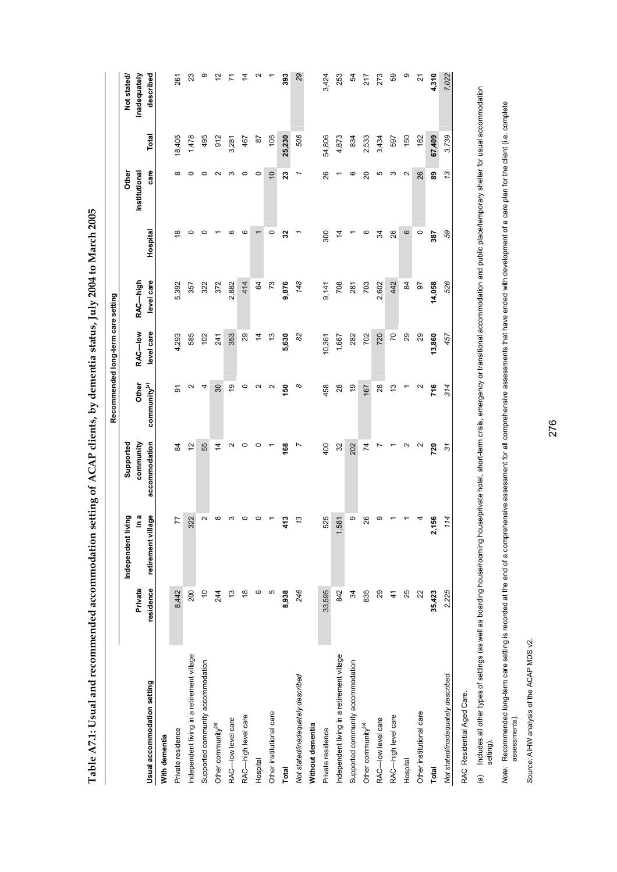| $\frac{1}{2}$                                                                           |
|-----------------------------------------------------------------------------------------|
|                                                                                         |
|                                                                                         |
|                                                                                         |
|                                                                                         |
|                                                                                         |
|                                                                                         |
|                                                                                         |
|                                                                                         |
|                                                                                         |
|                                                                                         |
|                                                                                         |
|                                                                                         |
|                                                                                         |
|                                                                                         |
|                                                                                         |
|                                                                                         |
|                                                                                         |
|                                                                                         |
|                                                                                         |
|                                                                                         |
|                                                                                         |
|                                                                                         |
|                                                                                         |
|                                                                                         |
|                                                                                         |
|                                                                                         |
|                                                                                         |
|                                                                                         |
|                                                                                         |
|                                                                                         |
|                                                                                         |
|                                                                                         |
|                                                                                         |
|                                                                                         |
|                                                                                         |
|                                                                                         |
|                                                                                         |
|                                                                                         |
|                                                                                         |
|                                                                                         |
|                                                                                         |
| <br> <br>                                                                               |
|                                                                                         |
|                                                                                         |
|                                                                                         |
|                                                                                         |
|                                                                                         |
|                                                                                         |
|                                                                                         |
|                                                                                         |
|                                                                                         |
|                                                                                         |
|                                                                                         |
|                                                                                         |
|                                                                                         |
|                                                                                         |
|                                                                                         |
|                                                                                         |
|                                                                                         |
|                                                                                         |
|                                                                                         |
|                                                                                         |
|                                                                                         |
|                                                                                         |
|                                                                                         |
|                                                                                         |
|                                                                                         |
|                                                                                         |
|                                                                                         |
|                                                                                         |
|                                                                                         |
|                                                                                         |
|                                                                                         |
|                                                                                         |
|                                                                                         |
|                                                                                         |
| l                                                                                       |
|                                                                                         |
| i<br>1                                                                                  |
|                                                                                         |
|                                                                                         |
|                                                                                         |
|                                                                                         |
|                                                                                         |
|                                                                                         |
|                                                                                         |
|                                                                                         |
|                                                                                         |
| ֚֚֚֬                                                                                    |
| $\frac{1}{2}$                                                                           |
|                                                                                         |
| ֖֧ׅ֧֧ׅ֧֧֧֧֧֧֪ׅ֧֦֧֧֪ׅ֧֧֪ׅ֧֪ׅ֧֪ׅ֧֧֪֧֚֚֚֚֚֚֚֚֚֚֚֚֚֚֚֚֚֚֚֚֚֚֚֚֚֚֚֚֚֚֚֚֡֝֝֬֝֝֬֝֬֝֬֝֬֝֬֝֬֝֬֝֬ |
| ,<br>)                                                                                  |
|                                                                                         |
|                                                                                         |
| י<br> <br> <br>į<br>֕                                                                   |

|                                            |                |                         |                   |                          | Recommended long-term care setting |            |          |                |              |                   |
|--------------------------------------------|----------------|-------------------------|-------------------|--------------------------|------------------------------------|------------|----------|----------------|--------------|-------------------|
|                                            |                | iving<br>Independent li | Supported         |                          |                                    |            |          | Other          |              | Not stated/       |
|                                            | Private        | ه<br>۱.E                | community         | Other                    | RAC-low                            | RAC-high   |          | institutional  |              | inadequately      |
| Usual accommodation setting                | residence      | lage<br>retirement vil  | accommodation     | community <sup>(a)</sup> | level care                         | level care | Hospital | care           | <b>Total</b> | described         |
| With dementia                              |                |                         |                   |                          |                                    |            |          |                |              |                   |
| Private residence                          | 8,442          | 77                      | $\overline{a}$    | 5                        | 4,293                              | 5,392      | ల        | $\infty$       | 18,405       | 261               |
| Independent living in a retirement village | 200            | 322                     | $\frac{2}{3}$     | $\mathbf{\Omega}$        | 585                                | 357        | 0        | $\circ$        | 1,478        | $\mathbf{z}$      |
| Supported community accommodation          | $\overline{0}$ | $\sim$                  | 55                | 4                        | 102                                | 322        | 0        | $\circ$        | 495          | თ                 |
| Other community <sup>(a)</sup>             | 244            | $\infty$                | $\overline{4}$    | 30                       | 241                                | 372        |          | $\sim$         | 912          | $\frac{1}{2}$     |
| RAC-low level care                         | $\frac{3}{2}$  | S                       | $\sim$            | $\frac{0}{2}$            | 353                                | 2,882      | ဖ        | ς              | 3,281        | Σ                 |
| RAC-high level care                        | $\frac{8}{1}$  | 0                       | 0                 | $\circ$                  | $\mathbf{g}$                       | 414        | ဖ        | 0              | 467          | $\dot{4}$         |
| Hospital                                   | ဖ              | 0                       | $\circ$           | $\mathbf{\Omega}$        | $\frac{4}{7}$                      | S4         | ٣        | $\circ$        | 52           | $\mathbf{\Omega}$ |
| Other institutional care                   | Б              |                         |                   | $\mathbf{\Omega}$        | 5,                                 | 73         | $\circ$  | $\overline{C}$ | 105          |                   |
| Total                                      | 8,938          | 413                     | 168               | 150                      | 5,630                              | 9,876      | 32       | 23             | 25,230       | 393               |
| Not stated/inadequately described          | 246            | 13                      | L                 | $^\infty$                | 8                                  | 148        |          |                | 506          | 82                |
| Without dementia                           |                |                         |                   |                          |                                    |            |          |                |              |                   |
| Private residence                          | 33,595         | 525                     | 400               | 458                      | 10,361                             | 9,141      | 300      | 26             | 54,806       | 3,424             |
| Independent living in a retirement village | 842            | 581                     | 32                | $^{28}$                  | 1,667                              | 708        | 4        | ↽              | 4,873        | 253               |
| Supported community accommodation          | 34             | თ                       | 202               | $\frac{0}{2}$            | 282                                | 281        |          | ဖ              | 834          | R,                |
| Other community <sup>(a)</sup>             | 835            | 26                      | $\overline{7}$    | 167                      | 702                                | 703        | ဖ        | 20             | 2,533        | 217               |
| RAC-low level care                         | 29             | တ                       | Ľ                 | 28                       | 720                                | 2,602      | R        | ю              | 3,434        | 273               |
| RAC-high level care                        | $\frac{4}{3}$  |                         |                   | $\frac{3}{2}$            | 20                                 | 442        | 26       | ς              | 597          | S9                |
| Hospital                                   | 25             |                         | $\sim$            |                          | $_{29}$                            | S2         | 6        | $\sim$         | 150          | ၜ                 |
| Other institutional care                   | 22             | 4                       | $\mathbf{\Omega}$ | $\mathbf{\Omega}$        | 29                                 | 50         | $\circ$  | 26             | 182          | 21                |
| Total                                      | 35,423         | 156<br>N                | 720               | 716                      | 13,860                             | 14,058     | 387      | 8              | 67,409       | 4,310             |
| Not stated/inadequately described          | 2,225          | 114                     | $\tilde{s}$       | 314                      | 457                                | 526        | 59       | 13             | 3,739        | 7,022             |
| RAC Residential Aned Care                  |                |                         |                   |                          |                                    |            |          |                |              |                   |

RAC Residential Aged Care. RAC Residential Aged Care.

(a) Includes all other types of settings (as well as boarding house/rooming house/private hotel, short-term crisis, emergency or transitional accommodation and public place/temporary shelter for usual accommodation (a) Includes all other types of settings (as well as boarding house/rooming house/private hotel, short-term crisis, emergency or transitional accommodation and public place/temporary shelter for usual accommodation<br>setting

Note: Recommended long-term care setting is recorded at the end of a comprehensive assessments with asve ended with development of a care plan for the client (i.e. complete<br>assessments). Note: Recommended long-term care setting is recorded at the end of a comprehensive assessment for all comprehensive assessments that have ended with development of a care plan for the client (i.e. complete assessments).

Source: AIHW analysis of the ACAP MDS v2. *Source:* AIHW analysis of the ACAP MDS v2.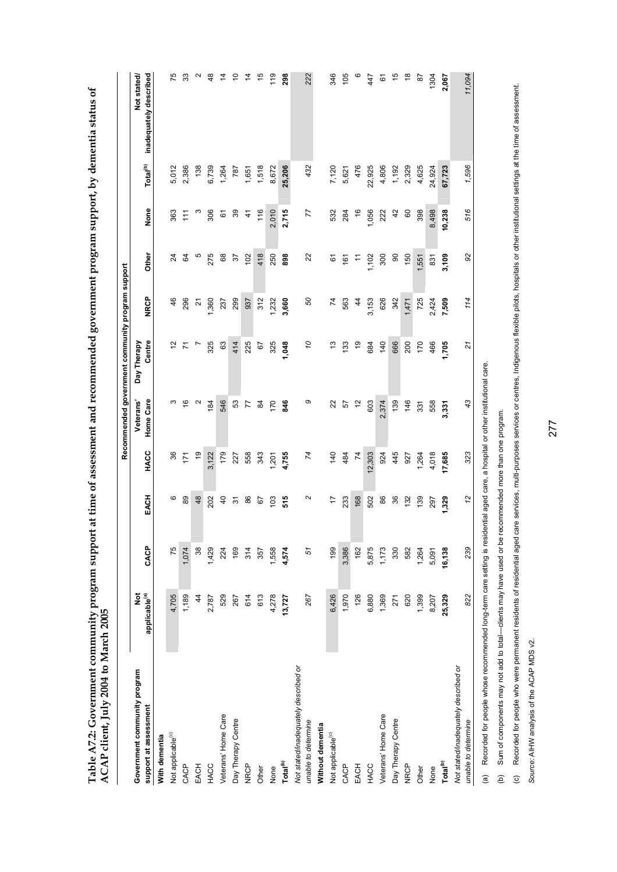Table A7.2: Government community program support at time of assessment and recommended government program support, by dementia status of<br>ACAP client, July 2004 to March 2005 **Table A7.2: Government community program support at time of assessment and recommended government program support, by dementia status of ACAP client, July 2004 to March 2005** 

| Total <sup>(b)</sup><br>1,596<br>1,518<br>25,206<br>4,625<br>2,386<br>138<br>6,739<br>8,672<br>432<br>7,120<br>4,806<br>1,192<br>2,329<br>24,924<br>5,012<br>787<br>476<br>22,925<br>67,723<br>1,264<br>1,651<br>5,621<br>None<br>516<br>77<br>$39\,$<br>116<br>2,010<br>2,715<br>42<br>363<br>ო<br>306<br>1,056<br>222<br>8<br>398<br>8,498<br>61<br>$\frac{4}{3}$<br>532<br>284<br>$\frac{6}{5}$<br>10,238<br>$\frac{1}{11}$<br>Other<br>92<br>ယ<br>275<br>8<br>418<br>22<br>S,<br>250<br>898<br>300<br>8<br>3,109<br>$\overline{a}$<br>57<br>102<br>1,102<br>150<br>,551<br>831<br>6<br>161<br>÷.<br><b>NRCP</b><br>46<br>1,360<br>299<br>50<br>$\overline{7}$<br>626<br>725<br>7,509<br>114<br>296<br>312<br>3,660<br>563<br>3,153<br>342<br>2,424<br>237<br>937<br>1,232<br>$\frac{4}{4}$<br>1,471<br>$\tilde{c}$<br>Centre<br>Day Therapy<br>325<br>225<br>140<br>666<br>63<br>414<br>ő<br>6)<br>200<br>170<br>51<br>325<br>1,048<br>5,<br>133<br>684<br>466<br>1,705<br>r,<br>21<br>67<br>Σ<br>Home Care<br>Veterans'<br>$\sim$<br>546<br>S3<br>o<br>43<br>$\frac{6}{5}$<br>184<br>846<br>57<br>2,374<br>139<br>146<br>ო<br>170<br>22<br>603<br>558<br>æ<br>57<br>77<br>331<br>3,331<br>HACC<br>445<br>323<br>36<br>179<br>558<br>74<br>140<br>12,303<br>924<br>17,685<br>$\frac{0}{2}$<br>3,122<br>343<br>4,755<br>484<br>$\overline{7}$<br>4,018<br>227<br>927<br>1,264<br>171<br>$-201$<br>EACH<br>12<br>ဖ<br>89<br>48<br>515<br>N<br>86<br>36<br>202<br>$\overline{a}$<br>86<br>103<br>$\overline{1}$<br>233<br>168<br>502<br>139<br>67<br>132<br>1,329<br>5<br>297<br>CACP<br>239<br>75<br>38<br>199<br>3,386<br>1.074<br>1,429<br>169<br>4,574<br>51<br>162<br>5,875<br>330<br>16,138<br>224<br>314<br>1,558<br>1,173<br>582<br>1,264<br>357<br>5,091<br>applicable <sup>(a)</sup><br>ğ<br>822<br>4,705<br>1,189<br>267<br>126<br>529<br>614<br>613<br>4,278<br>6,426<br>1,970<br>6,880<br>1,369<br>25,329<br>$\frac{4}{4}$<br>620<br>1,399<br>2,787<br>267<br>13,727<br>271<br>8,207<br>Not stated/inadequately described or<br>Not stated/inadequately described or<br>Government community program<br>support at assessment<br>Veterans' Home Care<br>Veterans' Home Care<br>Day Therapy Centre<br>Day Therapy Centre<br>unable to determine<br>unable to determine<br>Without dementia<br>Not applicable <sup>(c)</sup><br>Not applicable <sup>(c)</sup><br>With dementia<br>Total <sup>(b)</sup><br>Total <sup>(b)</sup><br><b>NRCP</b><br><b>NRCP</b><br>CACP<br>EACH<br>HACC<br>CACP<br>EACH<br>HACC<br>Other<br>Other<br>None<br>None |  |  |  | Recommended government community program support |  |  |                                       |
|------------------------------------------------------------------------------------------------------------------------------------------------------------------------------------------------------------------------------------------------------------------------------------------------------------------------------------------------------------------------------------------------------------------------------------------------------------------------------------------------------------------------------------------------------------------------------------------------------------------------------------------------------------------------------------------------------------------------------------------------------------------------------------------------------------------------------------------------------------------------------------------------------------------------------------------------------------------------------------------------------------------------------------------------------------------------------------------------------------------------------------------------------------------------------------------------------------------------------------------------------------------------------------------------------------------------------------------------------------------------------------------------------------------------------------------------------------------------------------------------------------------------------------------------------------------------------------------------------------------------------------------------------------------------------------------------------------------------------------------------------------------------------------------------------------------------------------------------------------------------------------------------------------------------------------------------------------------------------------------------------------------------------------------------------------------------------------------------------------------------------------------------------------------------------------------------------------------------------------------------------------------------------------------------------------------------------------------------------------------------------------------------------------------------------------------------------------------------------------------------------------------------------------------------------------|--|--|--|--------------------------------------------------|--|--|---------------------------------------|
|                                                                                                                                                                                                                                                                                                                                                                                                                                                                                                                                                                                                                                                                                                                                                                                                                                                                                                                                                                                                                                                                                                                                                                                                                                                                                                                                                                                                                                                                                                                                                                                                                                                                                                                                                                                                                                                                                                                                                                                                                                                                                                                                                                                                                                                                                                                                                                                                                                                                                                                                                            |  |  |  |                                                  |  |  | inadequately described<br>Not stated/ |
|                                                                                                                                                                                                                                                                                                                                                                                                                                                                                                                                                                                                                                                                                                                                                                                                                                                                                                                                                                                                                                                                                                                                                                                                                                                                                                                                                                                                                                                                                                                                                                                                                                                                                                                                                                                                                                                                                                                                                                                                                                                                                                                                                                                                                                                                                                                                                                                                                                                                                                                                                            |  |  |  |                                                  |  |  |                                       |
|                                                                                                                                                                                                                                                                                                                                                                                                                                                                                                                                                                                                                                                                                                                                                                                                                                                                                                                                                                                                                                                                                                                                                                                                                                                                                                                                                                                                                                                                                                                                                                                                                                                                                                                                                                                                                                                                                                                                                                                                                                                                                                                                                                                                                                                                                                                                                                                                                                                                                                                                                            |  |  |  |                                                  |  |  | 75                                    |
|                                                                                                                                                                                                                                                                                                                                                                                                                                                                                                                                                                                                                                                                                                                                                                                                                                                                                                                                                                                                                                                                                                                                                                                                                                                                                                                                                                                                                                                                                                                                                                                                                                                                                                                                                                                                                                                                                                                                                                                                                                                                                                                                                                                                                                                                                                                                                                                                                                                                                                                                                            |  |  |  |                                                  |  |  | 33                                    |
|                                                                                                                                                                                                                                                                                                                                                                                                                                                                                                                                                                                                                                                                                                                                                                                                                                                                                                                                                                                                                                                                                                                                                                                                                                                                                                                                                                                                                                                                                                                                                                                                                                                                                                                                                                                                                                                                                                                                                                                                                                                                                                                                                                                                                                                                                                                                                                                                                                                                                                                                                            |  |  |  |                                                  |  |  | $\mathbf{\Omega}$                     |
|                                                                                                                                                                                                                                                                                                                                                                                                                                                                                                                                                                                                                                                                                                                                                                                                                                                                                                                                                                                                                                                                                                                                                                                                                                                                                                                                                                                                                                                                                                                                                                                                                                                                                                                                                                                                                                                                                                                                                                                                                                                                                                                                                                                                                                                                                                                                                                                                                                                                                                                                                            |  |  |  |                                                  |  |  | 48                                    |
|                                                                                                                                                                                                                                                                                                                                                                                                                                                                                                                                                                                                                                                                                                                                                                                                                                                                                                                                                                                                                                                                                                                                                                                                                                                                                                                                                                                                                                                                                                                                                                                                                                                                                                                                                                                                                                                                                                                                                                                                                                                                                                                                                                                                                                                                                                                                                                                                                                                                                                                                                            |  |  |  |                                                  |  |  | $\frac{1}{4}$                         |
|                                                                                                                                                                                                                                                                                                                                                                                                                                                                                                                                                                                                                                                                                                                                                                                                                                                                                                                                                                                                                                                                                                                                                                                                                                                                                                                                                                                                                                                                                                                                                                                                                                                                                                                                                                                                                                                                                                                                                                                                                                                                                                                                                                                                                                                                                                                                                                                                                                                                                                                                                            |  |  |  |                                                  |  |  | $\tilde{c}$                           |
|                                                                                                                                                                                                                                                                                                                                                                                                                                                                                                                                                                                                                                                                                                                                                                                                                                                                                                                                                                                                                                                                                                                                                                                                                                                                                                                                                                                                                                                                                                                                                                                                                                                                                                                                                                                                                                                                                                                                                                                                                                                                                                                                                                                                                                                                                                                                                                                                                                                                                                                                                            |  |  |  |                                                  |  |  | 4                                     |
|                                                                                                                                                                                                                                                                                                                                                                                                                                                                                                                                                                                                                                                                                                                                                                                                                                                                                                                                                                                                                                                                                                                                                                                                                                                                                                                                                                                                                                                                                                                                                                                                                                                                                                                                                                                                                                                                                                                                                                                                                                                                                                                                                                                                                                                                                                                                                                                                                                                                                                                                                            |  |  |  |                                                  |  |  | $\frac{5}{3}$                         |
|                                                                                                                                                                                                                                                                                                                                                                                                                                                                                                                                                                                                                                                                                                                                                                                                                                                                                                                                                                                                                                                                                                                                                                                                                                                                                                                                                                                                                                                                                                                                                                                                                                                                                                                                                                                                                                                                                                                                                                                                                                                                                                                                                                                                                                                                                                                                                                                                                                                                                                                                                            |  |  |  |                                                  |  |  | 119                                   |
|                                                                                                                                                                                                                                                                                                                                                                                                                                                                                                                                                                                                                                                                                                                                                                                                                                                                                                                                                                                                                                                                                                                                                                                                                                                                                                                                                                                                                                                                                                                                                                                                                                                                                                                                                                                                                                                                                                                                                                                                                                                                                                                                                                                                                                                                                                                                                                                                                                                                                                                                                            |  |  |  |                                                  |  |  | 298                                   |
|                                                                                                                                                                                                                                                                                                                                                                                                                                                                                                                                                                                                                                                                                                                                                                                                                                                                                                                                                                                                                                                                                                                                                                                                                                                                                                                                                                                                                                                                                                                                                                                                                                                                                                                                                                                                                                                                                                                                                                                                                                                                                                                                                                                                                                                                                                                                                                                                                                                                                                                                                            |  |  |  |                                                  |  |  |                                       |
|                                                                                                                                                                                                                                                                                                                                                                                                                                                                                                                                                                                                                                                                                                                                                                                                                                                                                                                                                                                                                                                                                                                                                                                                                                                                                                                                                                                                                                                                                                                                                                                                                                                                                                                                                                                                                                                                                                                                                                                                                                                                                                                                                                                                                                                                                                                                                                                                                                                                                                                                                            |  |  |  |                                                  |  |  | 222                                   |
|                                                                                                                                                                                                                                                                                                                                                                                                                                                                                                                                                                                                                                                                                                                                                                                                                                                                                                                                                                                                                                                                                                                                                                                                                                                                                                                                                                                                                                                                                                                                                                                                                                                                                                                                                                                                                                                                                                                                                                                                                                                                                                                                                                                                                                                                                                                                                                                                                                                                                                                                                            |  |  |  |                                                  |  |  |                                       |
|                                                                                                                                                                                                                                                                                                                                                                                                                                                                                                                                                                                                                                                                                                                                                                                                                                                                                                                                                                                                                                                                                                                                                                                                                                                                                                                                                                                                                                                                                                                                                                                                                                                                                                                                                                                                                                                                                                                                                                                                                                                                                                                                                                                                                                                                                                                                                                                                                                                                                                                                                            |  |  |  |                                                  |  |  | 346                                   |
|                                                                                                                                                                                                                                                                                                                                                                                                                                                                                                                                                                                                                                                                                                                                                                                                                                                                                                                                                                                                                                                                                                                                                                                                                                                                                                                                                                                                                                                                                                                                                                                                                                                                                                                                                                                                                                                                                                                                                                                                                                                                                                                                                                                                                                                                                                                                                                                                                                                                                                                                                            |  |  |  |                                                  |  |  | 105                                   |
|                                                                                                                                                                                                                                                                                                                                                                                                                                                                                                                                                                                                                                                                                                                                                                                                                                                                                                                                                                                                                                                                                                                                                                                                                                                                                                                                                                                                                                                                                                                                                                                                                                                                                                                                                                                                                                                                                                                                                                                                                                                                                                                                                                                                                                                                                                                                                                                                                                                                                                                                                            |  |  |  |                                                  |  |  | $\circ$                               |
|                                                                                                                                                                                                                                                                                                                                                                                                                                                                                                                                                                                                                                                                                                                                                                                                                                                                                                                                                                                                                                                                                                                                                                                                                                                                                                                                                                                                                                                                                                                                                                                                                                                                                                                                                                                                                                                                                                                                                                                                                                                                                                                                                                                                                                                                                                                                                                                                                                                                                                                                                            |  |  |  |                                                  |  |  | 447                                   |
|                                                                                                                                                                                                                                                                                                                                                                                                                                                                                                                                                                                                                                                                                                                                                                                                                                                                                                                                                                                                                                                                                                                                                                                                                                                                                                                                                                                                                                                                                                                                                                                                                                                                                                                                                                                                                                                                                                                                                                                                                                                                                                                                                                                                                                                                                                                                                                                                                                                                                                                                                            |  |  |  |                                                  |  |  | 61                                    |
|                                                                                                                                                                                                                                                                                                                                                                                                                                                                                                                                                                                                                                                                                                                                                                                                                                                                                                                                                                                                                                                                                                                                                                                                                                                                                                                                                                                                                                                                                                                                                                                                                                                                                                                                                                                                                                                                                                                                                                                                                                                                                                                                                                                                                                                                                                                                                                                                                                                                                                                                                            |  |  |  |                                                  |  |  | $\frac{1}{2}$                         |
|                                                                                                                                                                                                                                                                                                                                                                                                                                                                                                                                                                                                                                                                                                                                                                                                                                                                                                                                                                                                                                                                                                                                                                                                                                                                                                                                                                                                                                                                                                                                                                                                                                                                                                                                                                                                                                                                                                                                                                                                                                                                                                                                                                                                                                                                                                                                                                                                                                                                                                                                                            |  |  |  |                                                  |  |  | $\frac{8}{1}$                         |
|                                                                                                                                                                                                                                                                                                                                                                                                                                                                                                                                                                                                                                                                                                                                                                                                                                                                                                                                                                                                                                                                                                                                                                                                                                                                                                                                                                                                                                                                                                                                                                                                                                                                                                                                                                                                                                                                                                                                                                                                                                                                                                                                                                                                                                                                                                                                                                                                                                                                                                                                                            |  |  |  |                                                  |  |  | 50                                    |
|                                                                                                                                                                                                                                                                                                                                                                                                                                                                                                                                                                                                                                                                                                                                                                                                                                                                                                                                                                                                                                                                                                                                                                                                                                                                                                                                                                                                                                                                                                                                                                                                                                                                                                                                                                                                                                                                                                                                                                                                                                                                                                                                                                                                                                                                                                                                                                                                                                                                                                                                                            |  |  |  |                                                  |  |  | 1304                                  |
|                                                                                                                                                                                                                                                                                                                                                                                                                                                                                                                                                                                                                                                                                                                                                                                                                                                                                                                                                                                                                                                                                                                                                                                                                                                                                                                                                                                                                                                                                                                                                                                                                                                                                                                                                                                                                                                                                                                                                                                                                                                                                                                                                                                                                                                                                                                                                                                                                                                                                                                                                            |  |  |  |                                                  |  |  | 2,067                                 |
|                                                                                                                                                                                                                                                                                                                                                                                                                                                                                                                                                                                                                                                                                                                                                                                                                                                                                                                                                                                                                                                                                                                                                                                                                                                                                                                                                                                                                                                                                                                                                                                                                                                                                                                                                                                                                                                                                                                                                                                                                                                                                                                                                                                                                                                                                                                                                                                                                                                                                                                                                            |  |  |  |                                                  |  |  |                                       |
|                                                                                                                                                                                                                                                                                                                                                                                                                                                                                                                                                                                                                                                                                                                                                                                                                                                                                                                                                                                                                                                                                                                                                                                                                                                                                                                                                                                                                                                                                                                                                                                                                                                                                                                                                                                                                                                                                                                                                                                                                                                                                                                                                                                                                                                                                                                                                                                                                                                                                                                                                            |  |  |  |                                                  |  |  | 11,094                                |

(b) Sum of components may not add to total-clients may have used or be recommended more than one program. (b) Sum of components may not add to total—clients may have used or be recommended more than one program.

(c) Recorded for people who were permanent residents of residential aged care services, multi-purposes services or centres, Indigenous flexible pilots, hospitals or other institutional settings at the time of assessment. (c) Recorded for people who were permanent residents of residential aged care services, multi-purposes services or centres, Indigenous flexible pilots, hospitals or other institutional settings at the time of assessment.

Source: AIHW analysis of the ACAP MDS v2. *Source:* AIHW analysis of the ACAP MDS v2.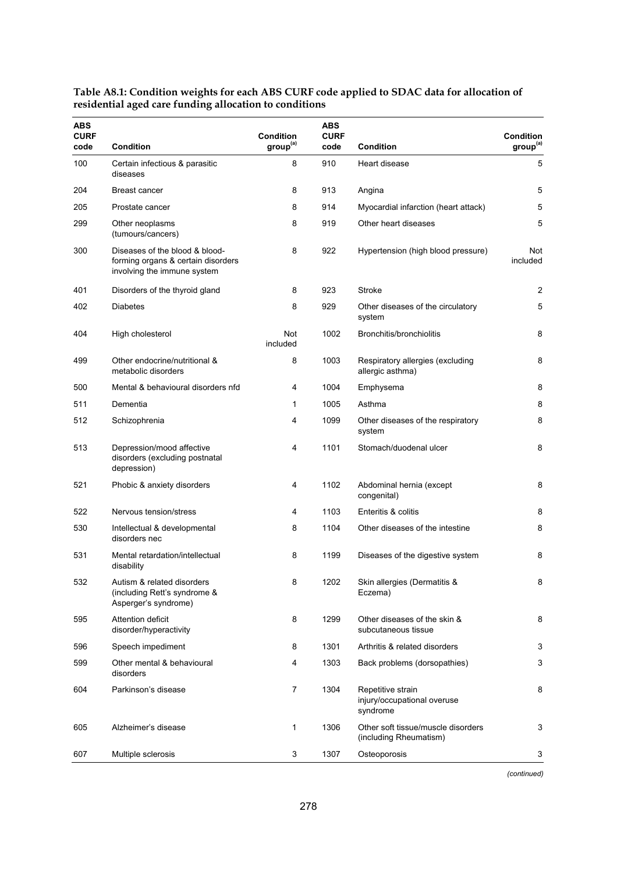| <b>ABS</b><br><b>CURF</b><br>code | <b>Condition</b>                                                                                    | Condition<br>group <sup>(a)</sup> | <b>ABS</b><br><b>CURF</b><br>code | <b>Condition</b>                                             | <b>Condition</b><br>group <sup>(a)</sup> |
|-----------------------------------|-----------------------------------------------------------------------------------------------------|-----------------------------------|-----------------------------------|--------------------------------------------------------------|------------------------------------------|
| 100                               | Certain infectious & parasitic<br>diseases                                                          | 8                                 | 910                               | Heart disease                                                | 5                                        |
| 204                               | <b>Breast cancer</b>                                                                                | 8                                 | 913                               | Angina                                                       | 5                                        |
| 205                               | Prostate cancer                                                                                     | 8                                 | 914                               | Myocardial infarction (heart attack)                         | 5                                        |
| 299                               | Other neoplasms<br>(tumours/cancers)                                                                | 8                                 | 919                               | Other heart diseases                                         | 5                                        |
| 300                               | Diseases of the blood & blood-<br>forming organs & certain disorders<br>involving the immune system | 8                                 | 922                               | Hypertension (high blood pressure)                           | Not<br>included                          |
| 401                               | Disorders of the thyroid gland                                                                      | 8                                 | 923                               | Stroke                                                       | 2                                        |
| 402                               | <b>Diabetes</b>                                                                                     | 8                                 | 929                               | Other diseases of the circulatory<br>system                  | 5                                        |
| 404                               | High cholesterol                                                                                    | Not<br>included                   | 1002                              | Bronchitis/bronchiolitis                                     | 8                                        |
| 499                               | Other endocrine/nutritional &<br>metabolic disorders                                                | 8                                 | 1003                              | Respiratory allergies (excluding<br>allergic asthma)         | 8                                        |
| 500                               | Mental & behavioural disorders nfd                                                                  | 4                                 | 1004                              | Emphysema                                                    | 8                                        |
| 511                               | Dementia                                                                                            | 1                                 | 1005                              | Asthma                                                       | 8                                        |
| 512                               | Schizophrenia                                                                                       | 4                                 | 1099                              | Other diseases of the respiratory<br>system                  | 8                                        |
| 513                               | Depression/mood affective<br>disorders (excluding postnatal<br>depression)                          | 4                                 | 1101                              | Stomach/duodenal ulcer                                       | 8                                        |
| 521                               | Phobic & anxiety disorders                                                                          | 4                                 | 1102                              | Abdominal hernia (except<br>congenital)                      | 8                                        |
| 522                               | Nervous tension/stress                                                                              | 4                                 | 1103                              | Enteritis & colitis                                          | 8                                        |
| 530                               | Intellectual & developmental<br>disorders nec                                                       | 8                                 | 1104                              | Other diseases of the intestine                              | 8                                        |
| 531                               | Mental retardation/intellectual<br>disability                                                       | 8                                 | 1199                              | Diseases of the digestive system                             | 8                                        |
| 532                               | Autism & related disorders<br>(including Rett's syndrome &<br>Asperger's syndrome)                  | 8                                 | 1202                              | Skin allergies (Dermatitis &<br>Eczema)                      | 8                                        |
| 595                               | Attention deficit<br>disorder/hyperactivity                                                         | 8                                 | 1299                              | Other diseases of the skin &<br>subcutaneous tissue          | 8                                        |
| 596                               | Speech impediment                                                                                   | 8                                 | 1301                              | Arthritis & related disorders                                | 3                                        |
| 599                               | Other mental & behavioural<br>disorders                                                             | 4                                 | 1303                              | Back problems (dorsopathies)                                 | 3                                        |
| 604                               | Parkinson's disease                                                                                 | $\overline{7}$                    | 1304                              | Repetitive strain<br>injury/occupational overuse<br>syndrome | 8                                        |
| 605                               | Alzheimer's disease                                                                                 | 1                                 | 1306                              | Other soft tissue/muscle disorders<br>(including Rheumatism) | 3                                        |
| 607                               | Multiple sclerosis                                                                                  | 3                                 | 1307                              | Osteoporosis                                                 | 3                                        |

**Table A8.1: Condition weights for each ABS CURF code applied to SDAC data for allocation of residential aged care funding allocation to conditions**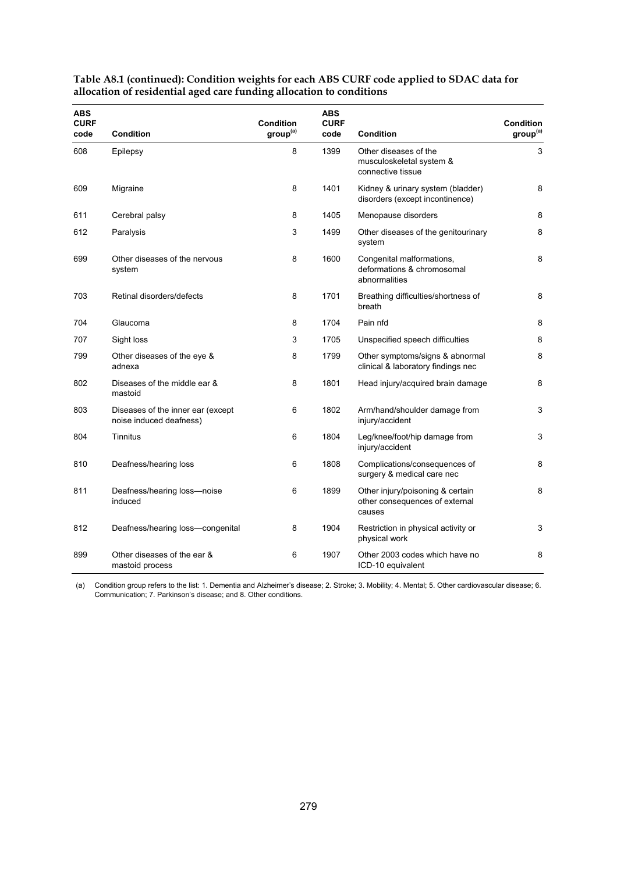| <b>ABS</b><br><b>CURF</b><br>code | <b>Condition</b>                                             | Condition<br>group <sup>(a)</sup> | ABS<br><b>CURF</b><br>code | Condition                                                                    | <b>Condition</b><br>group <sup>(a)</sup> |
|-----------------------------------|--------------------------------------------------------------|-----------------------------------|----------------------------|------------------------------------------------------------------------------|------------------------------------------|
| 608                               | Epilepsy                                                     | 8                                 | 1399                       | Other diseases of the<br>musculoskeletal system &<br>connective tissue       | 3                                        |
| 609                               | Migraine                                                     | 8                                 | 1401                       | Kidney & urinary system (bladder)<br>disorders (except incontinence)         | 8                                        |
| 611                               | Cerebral palsy                                               | 8                                 | 1405                       | Menopause disorders                                                          | 8                                        |
| 612                               | Paralysis                                                    | 3                                 | 1499                       | Other diseases of the genitourinary<br>system                                | 8                                        |
| 699                               | Other diseases of the nervous<br>system                      | 8                                 | 1600                       | Congenital malformations,<br>deformations & chromosomal<br>abnormalities     | 8                                        |
| 703                               | Retinal disorders/defects                                    | 8                                 | 1701                       | Breathing difficulties/shortness of<br>breath                                | 8                                        |
| 704                               | Glaucoma                                                     | 8                                 | 1704                       | Pain nfd                                                                     | 8                                        |
| 707                               | Sight loss                                                   | 3                                 | 1705                       | Unspecified speech difficulties                                              | 8                                        |
| 799                               | Other diseases of the eye &<br>adnexa                        | 8                                 | 1799                       | Other symptoms/signs & abnormal<br>clinical & laboratory findings nec        | 8                                        |
| 802                               | Diseases of the middle ear &<br>mastoid                      | 8                                 | 1801                       | Head injury/acquired brain damage                                            | 8                                        |
| 803                               | Diseases of the inner ear (except<br>noise induced deafness) | 6                                 | 1802                       | Arm/hand/shoulder damage from<br>injury/accident                             | 3                                        |
| 804                               | Tinnitus                                                     | 6                                 | 1804                       | Leg/knee/foot/hip damage from<br>injury/accident                             | 3                                        |
| 810                               | Deafness/hearing loss                                        | 6                                 | 1808                       | Complications/consequences of<br>surgery & medical care nec                  | 8                                        |
| 811                               | Deafness/hearing loss-noise<br>induced                       | 6                                 | 1899                       | Other injury/poisoning & certain<br>other consequences of external<br>causes | 8                                        |
| 812                               | Deafness/hearing loss-congenital                             | 8                                 | 1904                       | Restriction in physical activity or<br>physical work                         | 3                                        |
| 899                               | Other diseases of the ear &<br>mastoid process               | 6                                 | 1907                       | Other 2003 codes which have no<br>ICD-10 equivalent                          | 8                                        |

**Table A8.1 (continued): Condition weights for each ABS CURF code applied to SDAC data for allocation of residential aged care funding allocation to conditions** 

(a) Condition group refers to the list: 1. Dementia and Alzheimer's disease; 2. Stroke; 3. Mobility; 4. Mental; 5. Other cardiovascular disease; 6. Communication; 7. Parkinson's disease; and 8. Other conditions.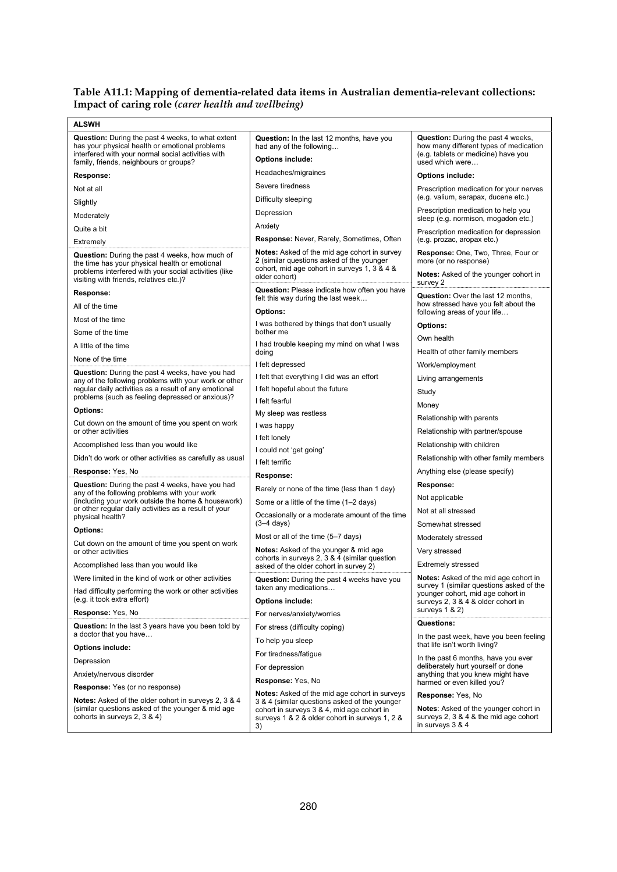### **Table A11.1: Mapping of dementia-related data items in Australian dementia-relevant collections: Impact of caring role** *(carer health and wellbeing)*

| <b>ALSWH</b>                                                                                                                                                                                                |                                                                                                                                                                   |                                                                                                                                               |
|-------------------------------------------------------------------------------------------------------------------------------------------------------------------------------------------------------------|-------------------------------------------------------------------------------------------------------------------------------------------------------------------|-----------------------------------------------------------------------------------------------------------------------------------------------|
| <b>Question:</b> During the past 4 weeks, to what extent<br>has your physical health or emotional problems<br>interfered with your normal social activities with<br>family, friends, neighbours or groups?  | Question: In the last 12 months, have you<br>had any of the following<br>Options include:                                                                         | <b>Question:</b> During the past 4 weeks,<br>how many different types of medication<br>(e.g. tablets or medicine) have you<br>used which were |
| Response:                                                                                                                                                                                                   | Headaches/migraines                                                                                                                                               | <b>Options include:</b>                                                                                                                       |
| Not at all                                                                                                                                                                                                  | Severe tiredness                                                                                                                                                  | Prescription medication for your nerves                                                                                                       |
| Slightly                                                                                                                                                                                                    | Difficulty sleeping                                                                                                                                               | (e.g. valium, serapax, ducene etc.)                                                                                                           |
| Moderately                                                                                                                                                                                                  | Depression                                                                                                                                                        | Prescription medication to help you<br>sleep (e.g. normison, mogadon etc.)                                                                    |
| Quite a bit                                                                                                                                                                                                 | Anxiety                                                                                                                                                           | Prescription medication for depression                                                                                                        |
| Extremely                                                                                                                                                                                                   | Response: Never, Rarely, Sometimes, Often                                                                                                                         | (e.g. prozac, aropax etc.)                                                                                                                    |
| <b>Question:</b> During the past 4 weeks, how much of<br>the time has your physical health or emotional<br>problems interfered with your social activities (like<br>visiting with friends, relatives etc.)? | <b>Notes:</b> Asked of the mid age cohort in survey<br>2 (similar questions asked of the younger<br>cohort, mid age cohort in surveys 1, 3 & 4 &<br>older cohort) | Response: One, Two, Three, Four or<br>more (or no response)<br>Notes: Asked of the younger cohort in<br>survey 2                              |
| Response:                                                                                                                                                                                                   | Question: Please indicate how often you have<br>felt this way during the last week                                                                                | <b>Question:</b> Over the last 12 months,                                                                                                     |
| All of the time                                                                                                                                                                                             | <b>Options:</b>                                                                                                                                                   | how stressed have you felt about the<br>following areas of your life                                                                          |
| Most of the time                                                                                                                                                                                            | I was bothered by things that don't usually                                                                                                                       | Options:                                                                                                                                      |
| Some of the time                                                                                                                                                                                            | bother me                                                                                                                                                         | Own health                                                                                                                                    |
| A little of the time                                                                                                                                                                                        | I had trouble keeping my mind on what I was<br>doing                                                                                                              | Health of other family members                                                                                                                |
| None of the time                                                                                                                                                                                            | I felt depressed                                                                                                                                                  | Work/employment                                                                                                                               |
| <b>Question:</b> During the past 4 weeks, have you had<br>any of the following problems with your work or other                                                                                             | I felt that everything I did was an effort                                                                                                                        | Living arrangements                                                                                                                           |
| regular daily activities as a result of any emotional                                                                                                                                                       | I felt hopeful about the future                                                                                                                                   | Study                                                                                                                                         |
| problems (such as feeling depressed or anxious)?                                                                                                                                                            | I felt fearful                                                                                                                                                    | Money                                                                                                                                         |
| <b>Options:</b>                                                                                                                                                                                             | My sleep was restless                                                                                                                                             | Relationship with parents                                                                                                                     |
| Cut down on the amount of time you spent on work<br>or other activities                                                                                                                                     | I was happy                                                                                                                                                       | Relationship with partner/spouse                                                                                                              |
| Accomplished less than you would like                                                                                                                                                                       | I felt lonely                                                                                                                                                     | Relationship with children                                                                                                                    |
| Didn't do work or other activities as carefully as usual                                                                                                                                                    | I could not 'get going'                                                                                                                                           | Relationship with other family members                                                                                                        |
| Response: Yes, No                                                                                                                                                                                           | I felt terrific                                                                                                                                                   | Anything else (please specify)                                                                                                                |
| <b>Question:</b> During the past 4 weeks, have you had                                                                                                                                                      | Response:<br>Rarely or none of the time (less than 1 day)                                                                                                         | Response:                                                                                                                                     |
| any of the following problems with your work<br>(including your work outside the home & housework)                                                                                                          | Some or a little of the time (1-2 days)                                                                                                                           | Not applicable                                                                                                                                |
| or other regular daily activities as a result of your                                                                                                                                                       | Occasionally or a moderate amount of the time                                                                                                                     | Not at all stressed                                                                                                                           |
| physical health?                                                                                                                                                                                            | $(3-4 \text{ days})$                                                                                                                                              | Somewhat stressed                                                                                                                             |
| <b>Options:</b>                                                                                                                                                                                             | Most or all of the time (5-7 days)                                                                                                                                | Moderately stressed                                                                                                                           |
| Cut down on the amount of time you spent on work<br>or other activities                                                                                                                                     | <b>Notes:</b> Asked of the younger & mid age<br>cohorts in surveys 2, 3 & 4 (similar question                                                                     | Very stressed                                                                                                                                 |
| Accomplished less than you would like                                                                                                                                                                       | asked of the older cohort in survey 2)                                                                                                                            | <b>Extremely stressed</b>                                                                                                                     |
| Were limited in the kind of work or other activities                                                                                                                                                        | Question: During the past 4 weeks have you                                                                                                                        | <b>Notes:</b> Asked of the mid age cohort in                                                                                                  |
| Had difficulty performing the work or other activities<br>(e.g. it took extra effort)                                                                                                                       | taken any medications<br><b>Options include:</b>                                                                                                                  | survey 1 (similar questions asked of the<br>younger cohort, mid age cohort in<br>surveys 2, 3 & 4 & older cohort in                           |
| Response: Yes, No                                                                                                                                                                                           | For nerves/anxiety/worries                                                                                                                                        | surveys $1 & 2$                                                                                                                               |
| Question: In the last 3 years have you been told by<br>a doctor that you have                                                                                                                               | For stress (difficulty coping)                                                                                                                                    | Questions:                                                                                                                                    |
| <b>Options include:</b>                                                                                                                                                                                     | To help you sleep                                                                                                                                                 | In the past week, have you been feeling<br>that life isn't worth living?                                                                      |
| Depression                                                                                                                                                                                                  | For tiredness/fatique                                                                                                                                             | In the past 6 months, have you ever                                                                                                           |
| Anxiety/nervous disorder                                                                                                                                                                                    | For depression                                                                                                                                                    | deliberately hurt yourself or done<br>anything that you knew might have                                                                       |
| <b>Response:</b> Yes (or no response)                                                                                                                                                                       | Response: Yes, No                                                                                                                                                 | harmed or even killed you?                                                                                                                    |
| Notes: Asked of the older cohort in surveys 2, 3 & 4                                                                                                                                                        | Notes: Asked of the mid age cohort in surveys<br>3 & 4 (similar questions asked of the younger                                                                    | Response: Yes, No                                                                                                                             |
| (similar questions asked of the younger & mid age<br>cohorts in surveys 2, 3 & 4)                                                                                                                           | cohort in surveys 3 & 4, mid age cohort in<br>surveys 1 & 2 & older cohort in surveys 1, 2 &<br>3)                                                                | <b>Notes:</b> Asked of the younger cohort in<br>surveys 2, 3 & 4 & the mid age cohort<br>in surveys 3 & 4                                     |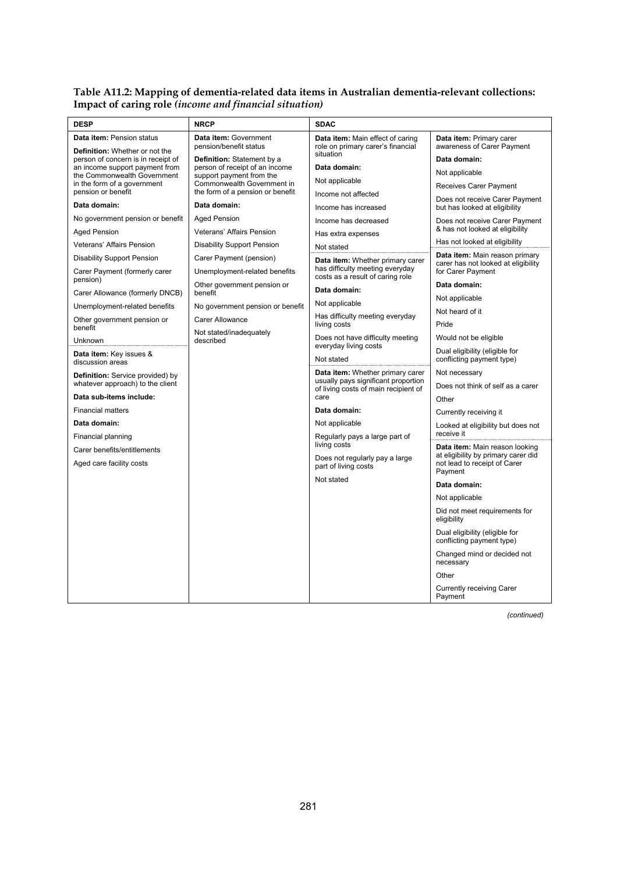#### **Table A11.2: Mapping of dementia-related data items in Australian dementia-relevant collections: Impact of caring role** *(income and financial situation)*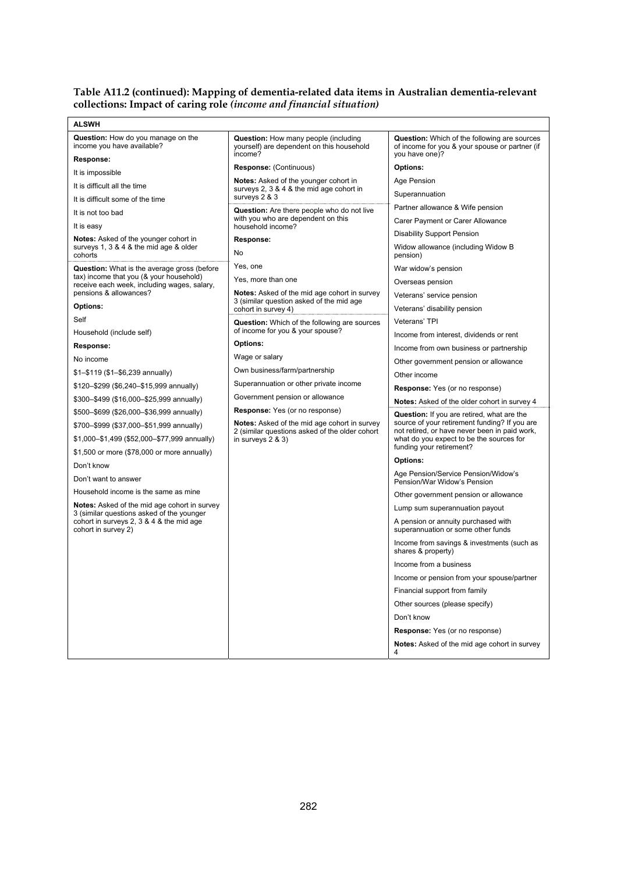#### **Table A11.2 (continued): Mapping of dementia-related data items in Australian dementia-relevant collections: Impact of caring role** *(income and financial situation)*

| Question: How do you manage on the<br><b>Question:</b> How many people (including<br><b>Question:</b> Which of the following are sources<br>income you have available?<br>yourself) are dependent on this household<br>of income for you & your spouse or partner (if<br>income?<br>you have one)?<br>Response:<br>Response: (Continuous)<br><b>Options:</b><br>It is impossible<br><b>Notes:</b> Asked of the younger cohort in<br>Age Pension<br>It is difficult all the time<br>surveys 2, 3 & 4 & the mid age cohort in<br>Superannuation<br>surveys 2 & 3<br>It is difficult some of the time<br>Partner allowance & Wife pension<br>Question: Are there people who do not live<br>It is not too bad<br>with you who are dependent on this<br>Carer Payment or Carer Allowance<br>household income?<br>It is easy<br><b>Disability Support Pension</b><br>Notes: Asked of the younger cohort in<br>Response:<br>surveys 1, 3 & 4 & the mid age & older<br>Widow allowance (including Widow B<br>No<br>cohorts<br>pension)<br>Yes, one<br><b>Question:</b> What is the average gross (before<br>War widow's pension<br>tax) income that you (& your household)<br>Yes, more than one<br>Overseas pension<br>receive each week, including wages, salary,<br>pensions & allowances?<br><b>Notes:</b> Asked of the mid age cohort in survey<br>Veterans' service pension<br>3 (similar question asked of the mid age<br>Options:<br>Veterans' disability pension<br>cohort in survey 4)<br>Self<br>Veterans' TPI<br><b>Question:</b> Which of the following are sources<br>of income for you & your spouse?<br>Household (include self)<br>Income from interest, dividends or rent<br>Options:<br>Response:<br>Income from own business or partnership<br>Wage or salary<br>No income<br>Other government pension or allowance<br>Own business/farm/partnership<br>\$1-\$119 (\$1-\$6,239 annually)<br>Other income<br>Superannuation or other private income<br>\$120-\$299 (\$6,240-\$15,999 annually)<br><b>Response:</b> Yes (or no response)<br>Government pension or allowance<br>\$300-\$499 (\$16,000-\$25,999 annually)<br>Notes: Asked of the older cohort in survey 4<br><b>Response:</b> Yes (or no response)<br>\$500-\$699 (\$26,000-\$36,999 annually)<br>Question: If you are retired, what are the<br>source of your retirement funding? If you are<br><b>Notes:</b> Asked of the mid age cohort in survey<br>\$700-\$999 (\$37,000-\$51,999 annually)<br>not retired, or have never been in paid work,<br>2 (similar questions asked of the older cohort<br>\$1,000-\$1,499 (\$52,000-\$77,999 annually)<br>what do you expect to be the sources for<br>in surveys $2 & 3$ )<br>funding your retirement?<br>\$1,500 or more (\$78,000 or more annually)<br><b>Options:</b><br>Don't know<br>Age Pension/Service Pension/Widow's<br>Don't want to answer<br>Pension/War Widow's Pension<br>Household income is the same as mine<br>Other government pension or allowance<br><b>Notes:</b> Asked of the mid age cohort in survey<br>Lump sum superannuation payout<br>3 (similar questions asked of the younger<br>cohort in surveys 2, 3 & 4 & the mid age<br>A pension or annuity purchased with<br>cohort in survey 2)<br>superannuation or some other funds<br>Income from savings & investments (such as<br>shares & property)<br>Income from a business<br>Income or pension from your spouse/partner<br>Financial support from family<br>Other sources (please specify)<br>Don't know<br><b>Response:</b> Yes (or no response)<br><b>Notes:</b> Asked of the mid age cohort in survey<br>4 | <b>ALSWH</b> |  |
|--------------------------------------------------------------------------------------------------------------------------------------------------------------------------------------------------------------------------------------------------------------------------------------------------------------------------------------------------------------------------------------------------------------------------------------------------------------------------------------------------------------------------------------------------------------------------------------------------------------------------------------------------------------------------------------------------------------------------------------------------------------------------------------------------------------------------------------------------------------------------------------------------------------------------------------------------------------------------------------------------------------------------------------------------------------------------------------------------------------------------------------------------------------------------------------------------------------------------------------------------------------------------------------------------------------------------------------------------------------------------------------------------------------------------------------------------------------------------------------------------------------------------------------------------------------------------------------------------------------------------------------------------------------------------------------------------------------------------------------------------------------------------------------------------------------------------------------------------------------------------------------------------------------------------------------------------------------------------------------------------------------------------------------------------------------------------------------------------------------------------------------------------------------------------------------------------------------------------------------------------------------------------------------------------------------------------------------------------------------------------------------------------------------------------------------------------------------------------------------------------------------------------------------------------------------------------------------------------------------------------------------------------------------------------------------------------------------------------------------------------------------------------------------------------------------------------------------------------------------------------------------------------------------------------------------------------------------------------------------------------------------------------------------------------------------------------------------------------------------------------------------------------------------------------------------------------------------------------------------------------------------------------------------------------------------------------------------------------------------------------------------------------------------------------------------------------------------------------------------------------------------------------------------------------------------------------------------------------------------------|--------------|--|
|                                                                                                                                                                                                                                                                                                                                                                                                                                                                                                                                                                                                                                                                                                                                                                                                                                                                                                                                                                                                                                                                                                                                                                                                                                                                                                                                                                                                                                                                                                                                                                                                                                                                                                                                                                                                                                                                                                                                                                                                                                                                                                                                                                                                                                                                                                                                                                                                                                                                                                                                                                                                                                                                                                                                                                                                                                                                                                                                                                                                                                                                                                                                                                                                                                                                                                                                                                                                                                                                                                                                                                                                                    |              |  |
|                                                                                                                                                                                                                                                                                                                                                                                                                                                                                                                                                                                                                                                                                                                                                                                                                                                                                                                                                                                                                                                                                                                                                                                                                                                                                                                                                                                                                                                                                                                                                                                                                                                                                                                                                                                                                                                                                                                                                                                                                                                                                                                                                                                                                                                                                                                                                                                                                                                                                                                                                                                                                                                                                                                                                                                                                                                                                                                                                                                                                                                                                                                                                                                                                                                                                                                                                                                                                                                                                                                                                                                                                    |              |  |
|                                                                                                                                                                                                                                                                                                                                                                                                                                                                                                                                                                                                                                                                                                                                                                                                                                                                                                                                                                                                                                                                                                                                                                                                                                                                                                                                                                                                                                                                                                                                                                                                                                                                                                                                                                                                                                                                                                                                                                                                                                                                                                                                                                                                                                                                                                                                                                                                                                                                                                                                                                                                                                                                                                                                                                                                                                                                                                                                                                                                                                                                                                                                                                                                                                                                                                                                                                                                                                                                                                                                                                                                                    |              |  |
|                                                                                                                                                                                                                                                                                                                                                                                                                                                                                                                                                                                                                                                                                                                                                                                                                                                                                                                                                                                                                                                                                                                                                                                                                                                                                                                                                                                                                                                                                                                                                                                                                                                                                                                                                                                                                                                                                                                                                                                                                                                                                                                                                                                                                                                                                                                                                                                                                                                                                                                                                                                                                                                                                                                                                                                                                                                                                                                                                                                                                                                                                                                                                                                                                                                                                                                                                                                                                                                                                                                                                                                                                    |              |  |
|                                                                                                                                                                                                                                                                                                                                                                                                                                                                                                                                                                                                                                                                                                                                                                                                                                                                                                                                                                                                                                                                                                                                                                                                                                                                                                                                                                                                                                                                                                                                                                                                                                                                                                                                                                                                                                                                                                                                                                                                                                                                                                                                                                                                                                                                                                                                                                                                                                                                                                                                                                                                                                                                                                                                                                                                                                                                                                                                                                                                                                                                                                                                                                                                                                                                                                                                                                                                                                                                                                                                                                                                                    |              |  |
|                                                                                                                                                                                                                                                                                                                                                                                                                                                                                                                                                                                                                                                                                                                                                                                                                                                                                                                                                                                                                                                                                                                                                                                                                                                                                                                                                                                                                                                                                                                                                                                                                                                                                                                                                                                                                                                                                                                                                                                                                                                                                                                                                                                                                                                                                                                                                                                                                                                                                                                                                                                                                                                                                                                                                                                                                                                                                                                                                                                                                                                                                                                                                                                                                                                                                                                                                                                                                                                                                                                                                                                                                    |              |  |
|                                                                                                                                                                                                                                                                                                                                                                                                                                                                                                                                                                                                                                                                                                                                                                                                                                                                                                                                                                                                                                                                                                                                                                                                                                                                                                                                                                                                                                                                                                                                                                                                                                                                                                                                                                                                                                                                                                                                                                                                                                                                                                                                                                                                                                                                                                                                                                                                                                                                                                                                                                                                                                                                                                                                                                                                                                                                                                                                                                                                                                                                                                                                                                                                                                                                                                                                                                                                                                                                                                                                                                                                                    |              |  |
|                                                                                                                                                                                                                                                                                                                                                                                                                                                                                                                                                                                                                                                                                                                                                                                                                                                                                                                                                                                                                                                                                                                                                                                                                                                                                                                                                                                                                                                                                                                                                                                                                                                                                                                                                                                                                                                                                                                                                                                                                                                                                                                                                                                                                                                                                                                                                                                                                                                                                                                                                                                                                                                                                                                                                                                                                                                                                                                                                                                                                                                                                                                                                                                                                                                                                                                                                                                                                                                                                                                                                                                                                    |              |  |
|                                                                                                                                                                                                                                                                                                                                                                                                                                                                                                                                                                                                                                                                                                                                                                                                                                                                                                                                                                                                                                                                                                                                                                                                                                                                                                                                                                                                                                                                                                                                                                                                                                                                                                                                                                                                                                                                                                                                                                                                                                                                                                                                                                                                                                                                                                                                                                                                                                                                                                                                                                                                                                                                                                                                                                                                                                                                                                                                                                                                                                                                                                                                                                                                                                                                                                                                                                                                                                                                                                                                                                                                                    |              |  |
|                                                                                                                                                                                                                                                                                                                                                                                                                                                                                                                                                                                                                                                                                                                                                                                                                                                                                                                                                                                                                                                                                                                                                                                                                                                                                                                                                                                                                                                                                                                                                                                                                                                                                                                                                                                                                                                                                                                                                                                                                                                                                                                                                                                                                                                                                                                                                                                                                                                                                                                                                                                                                                                                                                                                                                                                                                                                                                                                                                                                                                                                                                                                                                                                                                                                                                                                                                                                                                                                                                                                                                                                                    |              |  |
|                                                                                                                                                                                                                                                                                                                                                                                                                                                                                                                                                                                                                                                                                                                                                                                                                                                                                                                                                                                                                                                                                                                                                                                                                                                                                                                                                                                                                                                                                                                                                                                                                                                                                                                                                                                                                                                                                                                                                                                                                                                                                                                                                                                                                                                                                                                                                                                                                                                                                                                                                                                                                                                                                                                                                                                                                                                                                                                                                                                                                                                                                                                                                                                                                                                                                                                                                                                                                                                                                                                                                                                                                    |              |  |
|                                                                                                                                                                                                                                                                                                                                                                                                                                                                                                                                                                                                                                                                                                                                                                                                                                                                                                                                                                                                                                                                                                                                                                                                                                                                                                                                                                                                                                                                                                                                                                                                                                                                                                                                                                                                                                                                                                                                                                                                                                                                                                                                                                                                                                                                                                                                                                                                                                                                                                                                                                                                                                                                                                                                                                                                                                                                                                                                                                                                                                                                                                                                                                                                                                                                                                                                                                                                                                                                                                                                                                                                                    |              |  |
|                                                                                                                                                                                                                                                                                                                                                                                                                                                                                                                                                                                                                                                                                                                                                                                                                                                                                                                                                                                                                                                                                                                                                                                                                                                                                                                                                                                                                                                                                                                                                                                                                                                                                                                                                                                                                                                                                                                                                                                                                                                                                                                                                                                                                                                                                                                                                                                                                                                                                                                                                                                                                                                                                                                                                                                                                                                                                                                                                                                                                                                                                                                                                                                                                                                                                                                                                                                                                                                                                                                                                                                                                    |              |  |
|                                                                                                                                                                                                                                                                                                                                                                                                                                                                                                                                                                                                                                                                                                                                                                                                                                                                                                                                                                                                                                                                                                                                                                                                                                                                                                                                                                                                                                                                                                                                                                                                                                                                                                                                                                                                                                                                                                                                                                                                                                                                                                                                                                                                                                                                                                                                                                                                                                                                                                                                                                                                                                                                                                                                                                                                                                                                                                                                                                                                                                                                                                                                                                                                                                                                                                                                                                                                                                                                                                                                                                                                                    |              |  |
|                                                                                                                                                                                                                                                                                                                                                                                                                                                                                                                                                                                                                                                                                                                                                                                                                                                                                                                                                                                                                                                                                                                                                                                                                                                                                                                                                                                                                                                                                                                                                                                                                                                                                                                                                                                                                                                                                                                                                                                                                                                                                                                                                                                                                                                                                                                                                                                                                                                                                                                                                                                                                                                                                                                                                                                                                                                                                                                                                                                                                                                                                                                                                                                                                                                                                                                                                                                                                                                                                                                                                                                                                    |              |  |
|                                                                                                                                                                                                                                                                                                                                                                                                                                                                                                                                                                                                                                                                                                                                                                                                                                                                                                                                                                                                                                                                                                                                                                                                                                                                                                                                                                                                                                                                                                                                                                                                                                                                                                                                                                                                                                                                                                                                                                                                                                                                                                                                                                                                                                                                                                                                                                                                                                                                                                                                                                                                                                                                                                                                                                                                                                                                                                                                                                                                                                                                                                                                                                                                                                                                                                                                                                                                                                                                                                                                                                                                                    |              |  |
|                                                                                                                                                                                                                                                                                                                                                                                                                                                                                                                                                                                                                                                                                                                                                                                                                                                                                                                                                                                                                                                                                                                                                                                                                                                                                                                                                                                                                                                                                                                                                                                                                                                                                                                                                                                                                                                                                                                                                                                                                                                                                                                                                                                                                                                                                                                                                                                                                                                                                                                                                                                                                                                                                                                                                                                                                                                                                                                                                                                                                                                                                                                                                                                                                                                                                                                                                                                                                                                                                                                                                                                                                    |              |  |
|                                                                                                                                                                                                                                                                                                                                                                                                                                                                                                                                                                                                                                                                                                                                                                                                                                                                                                                                                                                                                                                                                                                                                                                                                                                                                                                                                                                                                                                                                                                                                                                                                                                                                                                                                                                                                                                                                                                                                                                                                                                                                                                                                                                                                                                                                                                                                                                                                                                                                                                                                                                                                                                                                                                                                                                                                                                                                                                                                                                                                                                                                                                                                                                                                                                                                                                                                                                                                                                                                                                                                                                                                    |              |  |
|                                                                                                                                                                                                                                                                                                                                                                                                                                                                                                                                                                                                                                                                                                                                                                                                                                                                                                                                                                                                                                                                                                                                                                                                                                                                                                                                                                                                                                                                                                                                                                                                                                                                                                                                                                                                                                                                                                                                                                                                                                                                                                                                                                                                                                                                                                                                                                                                                                                                                                                                                                                                                                                                                                                                                                                                                                                                                                                                                                                                                                                                                                                                                                                                                                                                                                                                                                                                                                                                                                                                                                                                                    |              |  |
|                                                                                                                                                                                                                                                                                                                                                                                                                                                                                                                                                                                                                                                                                                                                                                                                                                                                                                                                                                                                                                                                                                                                                                                                                                                                                                                                                                                                                                                                                                                                                                                                                                                                                                                                                                                                                                                                                                                                                                                                                                                                                                                                                                                                                                                                                                                                                                                                                                                                                                                                                                                                                                                                                                                                                                                                                                                                                                                                                                                                                                                                                                                                                                                                                                                                                                                                                                                                                                                                                                                                                                                                                    |              |  |
|                                                                                                                                                                                                                                                                                                                                                                                                                                                                                                                                                                                                                                                                                                                                                                                                                                                                                                                                                                                                                                                                                                                                                                                                                                                                                                                                                                                                                                                                                                                                                                                                                                                                                                                                                                                                                                                                                                                                                                                                                                                                                                                                                                                                                                                                                                                                                                                                                                                                                                                                                                                                                                                                                                                                                                                                                                                                                                                                                                                                                                                                                                                                                                                                                                                                                                                                                                                                                                                                                                                                                                                                                    |              |  |
|                                                                                                                                                                                                                                                                                                                                                                                                                                                                                                                                                                                                                                                                                                                                                                                                                                                                                                                                                                                                                                                                                                                                                                                                                                                                                                                                                                                                                                                                                                                                                                                                                                                                                                                                                                                                                                                                                                                                                                                                                                                                                                                                                                                                                                                                                                                                                                                                                                                                                                                                                                                                                                                                                                                                                                                                                                                                                                                                                                                                                                                                                                                                                                                                                                                                                                                                                                                                                                                                                                                                                                                                                    |              |  |
|                                                                                                                                                                                                                                                                                                                                                                                                                                                                                                                                                                                                                                                                                                                                                                                                                                                                                                                                                                                                                                                                                                                                                                                                                                                                                                                                                                                                                                                                                                                                                                                                                                                                                                                                                                                                                                                                                                                                                                                                                                                                                                                                                                                                                                                                                                                                                                                                                                                                                                                                                                                                                                                                                                                                                                                                                                                                                                                                                                                                                                                                                                                                                                                                                                                                                                                                                                                                                                                                                                                                                                                                                    |              |  |
|                                                                                                                                                                                                                                                                                                                                                                                                                                                                                                                                                                                                                                                                                                                                                                                                                                                                                                                                                                                                                                                                                                                                                                                                                                                                                                                                                                                                                                                                                                                                                                                                                                                                                                                                                                                                                                                                                                                                                                                                                                                                                                                                                                                                                                                                                                                                                                                                                                                                                                                                                                                                                                                                                                                                                                                                                                                                                                                                                                                                                                                                                                                                                                                                                                                                                                                                                                                                                                                                                                                                                                                                                    |              |  |
|                                                                                                                                                                                                                                                                                                                                                                                                                                                                                                                                                                                                                                                                                                                                                                                                                                                                                                                                                                                                                                                                                                                                                                                                                                                                                                                                                                                                                                                                                                                                                                                                                                                                                                                                                                                                                                                                                                                                                                                                                                                                                                                                                                                                                                                                                                                                                                                                                                                                                                                                                                                                                                                                                                                                                                                                                                                                                                                                                                                                                                                                                                                                                                                                                                                                                                                                                                                                                                                                                                                                                                                                                    |              |  |
|                                                                                                                                                                                                                                                                                                                                                                                                                                                                                                                                                                                                                                                                                                                                                                                                                                                                                                                                                                                                                                                                                                                                                                                                                                                                                                                                                                                                                                                                                                                                                                                                                                                                                                                                                                                                                                                                                                                                                                                                                                                                                                                                                                                                                                                                                                                                                                                                                                                                                                                                                                                                                                                                                                                                                                                                                                                                                                                                                                                                                                                                                                                                                                                                                                                                                                                                                                                                                                                                                                                                                                                                                    |              |  |
|                                                                                                                                                                                                                                                                                                                                                                                                                                                                                                                                                                                                                                                                                                                                                                                                                                                                                                                                                                                                                                                                                                                                                                                                                                                                                                                                                                                                                                                                                                                                                                                                                                                                                                                                                                                                                                                                                                                                                                                                                                                                                                                                                                                                                                                                                                                                                                                                                                                                                                                                                                                                                                                                                                                                                                                                                                                                                                                                                                                                                                                                                                                                                                                                                                                                                                                                                                                                                                                                                                                                                                                                                    |              |  |
|                                                                                                                                                                                                                                                                                                                                                                                                                                                                                                                                                                                                                                                                                                                                                                                                                                                                                                                                                                                                                                                                                                                                                                                                                                                                                                                                                                                                                                                                                                                                                                                                                                                                                                                                                                                                                                                                                                                                                                                                                                                                                                                                                                                                                                                                                                                                                                                                                                                                                                                                                                                                                                                                                                                                                                                                                                                                                                                                                                                                                                                                                                                                                                                                                                                                                                                                                                                                                                                                                                                                                                                                                    |              |  |
|                                                                                                                                                                                                                                                                                                                                                                                                                                                                                                                                                                                                                                                                                                                                                                                                                                                                                                                                                                                                                                                                                                                                                                                                                                                                                                                                                                                                                                                                                                                                                                                                                                                                                                                                                                                                                                                                                                                                                                                                                                                                                                                                                                                                                                                                                                                                                                                                                                                                                                                                                                                                                                                                                                                                                                                                                                                                                                                                                                                                                                                                                                                                                                                                                                                                                                                                                                                                                                                                                                                                                                                                                    |              |  |
|                                                                                                                                                                                                                                                                                                                                                                                                                                                                                                                                                                                                                                                                                                                                                                                                                                                                                                                                                                                                                                                                                                                                                                                                                                                                                                                                                                                                                                                                                                                                                                                                                                                                                                                                                                                                                                                                                                                                                                                                                                                                                                                                                                                                                                                                                                                                                                                                                                                                                                                                                                                                                                                                                                                                                                                                                                                                                                                                                                                                                                                                                                                                                                                                                                                                                                                                                                                                                                                                                                                                                                                                                    |              |  |
|                                                                                                                                                                                                                                                                                                                                                                                                                                                                                                                                                                                                                                                                                                                                                                                                                                                                                                                                                                                                                                                                                                                                                                                                                                                                                                                                                                                                                                                                                                                                                                                                                                                                                                                                                                                                                                                                                                                                                                                                                                                                                                                                                                                                                                                                                                                                                                                                                                                                                                                                                                                                                                                                                                                                                                                                                                                                                                                                                                                                                                                                                                                                                                                                                                                                                                                                                                                                                                                                                                                                                                                                                    |              |  |
|                                                                                                                                                                                                                                                                                                                                                                                                                                                                                                                                                                                                                                                                                                                                                                                                                                                                                                                                                                                                                                                                                                                                                                                                                                                                                                                                                                                                                                                                                                                                                                                                                                                                                                                                                                                                                                                                                                                                                                                                                                                                                                                                                                                                                                                                                                                                                                                                                                                                                                                                                                                                                                                                                                                                                                                                                                                                                                                                                                                                                                                                                                                                                                                                                                                                                                                                                                                                                                                                                                                                                                                                                    |              |  |
|                                                                                                                                                                                                                                                                                                                                                                                                                                                                                                                                                                                                                                                                                                                                                                                                                                                                                                                                                                                                                                                                                                                                                                                                                                                                                                                                                                                                                                                                                                                                                                                                                                                                                                                                                                                                                                                                                                                                                                                                                                                                                                                                                                                                                                                                                                                                                                                                                                                                                                                                                                                                                                                                                                                                                                                                                                                                                                                                                                                                                                                                                                                                                                                                                                                                                                                                                                                                                                                                                                                                                                                                                    |              |  |
|                                                                                                                                                                                                                                                                                                                                                                                                                                                                                                                                                                                                                                                                                                                                                                                                                                                                                                                                                                                                                                                                                                                                                                                                                                                                                                                                                                                                                                                                                                                                                                                                                                                                                                                                                                                                                                                                                                                                                                                                                                                                                                                                                                                                                                                                                                                                                                                                                                                                                                                                                                                                                                                                                                                                                                                                                                                                                                                                                                                                                                                                                                                                                                                                                                                                                                                                                                                                                                                                                                                                                                                                                    |              |  |
|                                                                                                                                                                                                                                                                                                                                                                                                                                                                                                                                                                                                                                                                                                                                                                                                                                                                                                                                                                                                                                                                                                                                                                                                                                                                                                                                                                                                                                                                                                                                                                                                                                                                                                                                                                                                                                                                                                                                                                                                                                                                                                                                                                                                                                                                                                                                                                                                                                                                                                                                                                                                                                                                                                                                                                                                                                                                                                                                                                                                                                                                                                                                                                                                                                                                                                                                                                                                                                                                                                                                                                                                                    |              |  |
|                                                                                                                                                                                                                                                                                                                                                                                                                                                                                                                                                                                                                                                                                                                                                                                                                                                                                                                                                                                                                                                                                                                                                                                                                                                                                                                                                                                                                                                                                                                                                                                                                                                                                                                                                                                                                                                                                                                                                                                                                                                                                                                                                                                                                                                                                                                                                                                                                                                                                                                                                                                                                                                                                                                                                                                                                                                                                                                                                                                                                                                                                                                                                                                                                                                                                                                                                                                                                                                                                                                                                                                                                    |              |  |
|                                                                                                                                                                                                                                                                                                                                                                                                                                                                                                                                                                                                                                                                                                                                                                                                                                                                                                                                                                                                                                                                                                                                                                                                                                                                                                                                                                                                                                                                                                                                                                                                                                                                                                                                                                                                                                                                                                                                                                                                                                                                                                                                                                                                                                                                                                                                                                                                                                                                                                                                                                                                                                                                                                                                                                                                                                                                                                                                                                                                                                                                                                                                                                                                                                                                                                                                                                                                                                                                                                                                                                                                                    |              |  |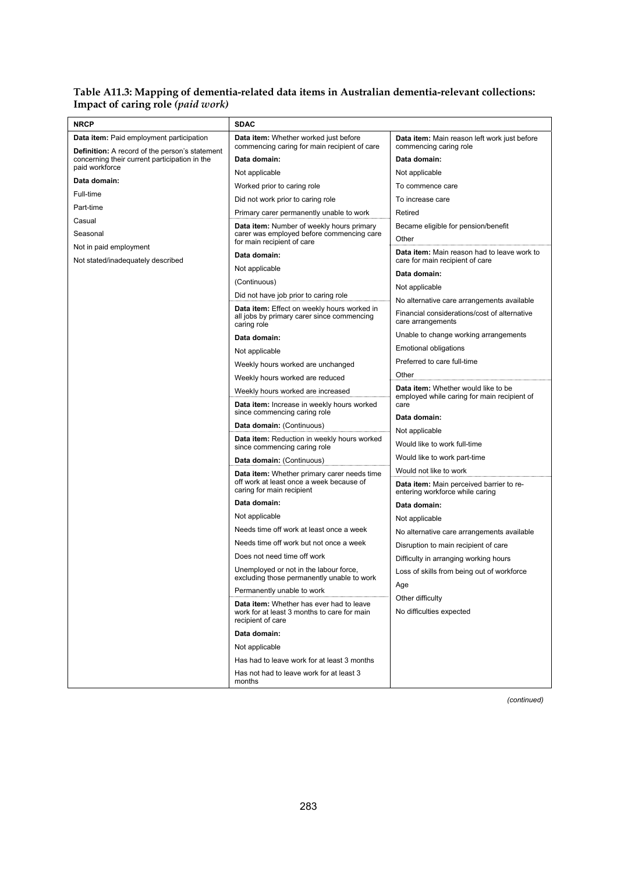#### **Table A11.3: Mapping of dementia-related data items in Australian dementia-relevant collections: Impact of caring role** *(paid work)*

| Data item: Whether worked just before<br><b>Data item:</b> Paid employment participation<br>Data item: Main reason left work just before<br>commencing caring for main recipient of care<br>commencing caring role<br><b>Definition:</b> A record of the person's statement<br>concerning their current participation in the<br>Data domain:<br>Data domain:<br>paid workforce<br>Not applicable<br>Not applicable<br>Data domain:<br>To commence care<br>Worked prior to caring role<br>Full-time<br>Did not work prior to caring role<br>To increase care<br>Part-time<br>Retired<br>Primary carer permanently unable to work<br>Casual<br>Data item: Number of weekly hours primary<br>Became eligible for pension/benefit<br>carer was employed before commencing care<br>Seasonal<br>Other<br>for main recipient of care<br>Not in paid employment<br>Data item: Main reason had to leave work to<br>Data domain:<br>care for main recipient of care<br>Not stated/inadequately described<br>Not applicable<br>Data domain:<br>(Continuous)<br>Not applicable<br>Did not have job prior to caring role<br>No alternative care arrangements available<br>Data item: Effect on weekly hours worked in<br>Financial considerations/cost of alternative<br>all jobs by primary carer since commencing<br>care arrangements<br>caring role<br>Unable to change working arrangements<br>Data domain:<br>Emotional obligations<br>Not applicable<br>Preferred to care full-time<br>Weekly hours worked are unchanged<br>Other<br>Weekly hours worked are reduced<br>Data item: Whether would like to be<br>Weekly hours worked are increased<br>employed while caring for main recipient of<br>care<br>Data item: Increase in weekly hours worked<br>since commencing caring role<br>Data domain:<br>Data domain: (Continuous)<br>Not applicable<br><b>Data item:</b> Reduction in weekly hours worked<br>Would like to work full-time<br>since commencing caring role<br>Would like to work part-time<br>Data domain: (Continuous)<br>Would not like to work<br><b>Data item:</b> Whether primary carer needs time<br>off work at least once a week because of<br><b>Data item:</b> Main perceived barrier to re-<br>caring for main recipient<br>entering workforce while caring<br>Data domain:<br>Data domain:<br>Not applicable<br>Not applicable<br>Needs time off work at least once a week<br>No alternative care arrangements available<br>Needs time off work but not once a week<br>Disruption to main recipient of care<br>Does not need time off work<br>Difficulty in arranging working hours<br>Unemployed or not in the labour force,<br>Loss of skills from being out of workforce<br>excluding those permanently unable to work<br>Age<br>Permanently unable to work<br>Other difficulty<br>Data item: Whether has ever had to leave<br>No difficulties expected<br>work for at least 3 months to care for main<br>recipient of care<br>Data domain:<br>Not applicable<br>Has had to leave work for at least 3 months<br>Has not had to leave work for at least 3<br>months | <b>NRCP</b> | <b>SDAC</b> |  |
|---------------------------------------------------------------------------------------------------------------------------------------------------------------------------------------------------------------------------------------------------------------------------------------------------------------------------------------------------------------------------------------------------------------------------------------------------------------------------------------------------------------------------------------------------------------------------------------------------------------------------------------------------------------------------------------------------------------------------------------------------------------------------------------------------------------------------------------------------------------------------------------------------------------------------------------------------------------------------------------------------------------------------------------------------------------------------------------------------------------------------------------------------------------------------------------------------------------------------------------------------------------------------------------------------------------------------------------------------------------------------------------------------------------------------------------------------------------------------------------------------------------------------------------------------------------------------------------------------------------------------------------------------------------------------------------------------------------------------------------------------------------------------------------------------------------------------------------------------------------------------------------------------------------------------------------------------------------------------------------------------------------------------------------------------------------------------------------------------------------------------------------------------------------------------------------------------------------------------------------------------------------------------------------------------------------------------------------------------------------------------------------------------------------------------------------------------------------------------------------------------------------------------------------------------------------------------------------------------------------------------------------------------------------------------------------------------------------------------------------------------------------------------------------------------------------------------------------------------------------------------------------------------------------------------------------------------------------------------------------------------------------------------------------------------------------------------------------------|-------------|-------------|--|
|                                                                                                                                                                                                                                                                                                                                                                                                                                                                                                                                                                                                                                                                                                                                                                                                                                                                                                                                                                                                                                                                                                                                                                                                                                                                                                                                                                                                                                                                                                                                                                                                                                                                                                                                                                                                                                                                                                                                                                                                                                                                                                                                                                                                                                                                                                                                                                                                                                                                                                                                                                                                                                                                                                                                                                                                                                                                                                                                                                                                                                                                                             |             |             |  |
|                                                                                                                                                                                                                                                                                                                                                                                                                                                                                                                                                                                                                                                                                                                                                                                                                                                                                                                                                                                                                                                                                                                                                                                                                                                                                                                                                                                                                                                                                                                                                                                                                                                                                                                                                                                                                                                                                                                                                                                                                                                                                                                                                                                                                                                                                                                                                                                                                                                                                                                                                                                                                                                                                                                                                                                                                                                                                                                                                                                                                                                                                             |             |             |  |
|                                                                                                                                                                                                                                                                                                                                                                                                                                                                                                                                                                                                                                                                                                                                                                                                                                                                                                                                                                                                                                                                                                                                                                                                                                                                                                                                                                                                                                                                                                                                                                                                                                                                                                                                                                                                                                                                                                                                                                                                                                                                                                                                                                                                                                                                                                                                                                                                                                                                                                                                                                                                                                                                                                                                                                                                                                                                                                                                                                                                                                                                                             |             |             |  |
|                                                                                                                                                                                                                                                                                                                                                                                                                                                                                                                                                                                                                                                                                                                                                                                                                                                                                                                                                                                                                                                                                                                                                                                                                                                                                                                                                                                                                                                                                                                                                                                                                                                                                                                                                                                                                                                                                                                                                                                                                                                                                                                                                                                                                                                                                                                                                                                                                                                                                                                                                                                                                                                                                                                                                                                                                                                                                                                                                                                                                                                                                             |             |             |  |
|                                                                                                                                                                                                                                                                                                                                                                                                                                                                                                                                                                                                                                                                                                                                                                                                                                                                                                                                                                                                                                                                                                                                                                                                                                                                                                                                                                                                                                                                                                                                                                                                                                                                                                                                                                                                                                                                                                                                                                                                                                                                                                                                                                                                                                                                                                                                                                                                                                                                                                                                                                                                                                                                                                                                                                                                                                                                                                                                                                                                                                                                                             |             |             |  |
|                                                                                                                                                                                                                                                                                                                                                                                                                                                                                                                                                                                                                                                                                                                                                                                                                                                                                                                                                                                                                                                                                                                                                                                                                                                                                                                                                                                                                                                                                                                                                                                                                                                                                                                                                                                                                                                                                                                                                                                                                                                                                                                                                                                                                                                                                                                                                                                                                                                                                                                                                                                                                                                                                                                                                                                                                                                                                                                                                                                                                                                                                             |             |             |  |
|                                                                                                                                                                                                                                                                                                                                                                                                                                                                                                                                                                                                                                                                                                                                                                                                                                                                                                                                                                                                                                                                                                                                                                                                                                                                                                                                                                                                                                                                                                                                                                                                                                                                                                                                                                                                                                                                                                                                                                                                                                                                                                                                                                                                                                                                                                                                                                                                                                                                                                                                                                                                                                                                                                                                                                                                                                                                                                                                                                                                                                                                                             |             |             |  |
|                                                                                                                                                                                                                                                                                                                                                                                                                                                                                                                                                                                                                                                                                                                                                                                                                                                                                                                                                                                                                                                                                                                                                                                                                                                                                                                                                                                                                                                                                                                                                                                                                                                                                                                                                                                                                                                                                                                                                                                                                                                                                                                                                                                                                                                                                                                                                                                                                                                                                                                                                                                                                                                                                                                                                                                                                                                                                                                                                                                                                                                                                             |             |             |  |
|                                                                                                                                                                                                                                                                                                                                                                                                                                                                                                                                                                                                                                                                                                                                                                                                                                                                                                                                                                                                                                                                                                                                                                                                                                                                                                                                                                                                                                                                                                                                                                                                                                                                                                                                                                                                                                                                                                                                                                                                                                                                                                                                                                                                                                                                                                                                                                                                                                                                                                                                                                                                                                                                                                                                                                                                                                                                                                                                                                                                                                                                                             |             |             |  |
|                                                                                                                                                                                                                                                                                                                                                                                                                                                                                                                                                                                                                                                                                                                                                                                                                                                                                                                                                                                                                                                                                                                                                                                                                                                                                                                                                                                                                                                                                                                                                                                                                                                                                                                                                                                                                                                                                                                                                                                                                                                                                                                                                                                                                                                                                                                                                                                                                                                                                                                                                                                                                                                                                                                                                                                                                                                                                                                                                                                                                                                                                             |             |             |  |
|                                                                                                                                                                                                                                                                                                                                                                                                                                                                                                                                                                                                                                                                                                                                                                                                                                                                                                                                                                                                                                                                                                                                                                                                                                                                                                                                                                                                                                                                                                                                                                                                                                                                                                                                                                                                                                                                                                                                                                                                                                                                                                                                                                                                                                                                                                                                                                                                                                                                                                                                                                                                                                                                                                                                                                                                                                                                                                                                                                                                                                                                                             |             |             |  |
|                                                                                                                                                                                                                                                                                                                                                                                                                                                                                                                                                                                                                                                                                                                                                                                                                                                                                                                                                                                                                                                                                                                                                                                                                                                                                                                                                                                                                                                                                                                                                                                                                                                                                                                                                                                                                                                                                                                                                                                                                                                                                                                                                                                                                                                                                                                                                                                                                                                                                                                                                                                                                                                                                                                                                                                                                                                                                                                                                                                                                                                                                             |             |             |  |
|                                                                                                                                                                                                                                                                                                                                                                                                                                                                                                                                                                                                                                                                                                                                                                                                                                                                                                                                                                                                                                                                                                                                                                                                                                                                                                                                                                                                                                                                                                                                                                                                                                                                                                                                                                                                                                                                                                                                                                                                                                                                                                                                                                                                                                                                                                                                                                                                                                                                                                                                                                                                                                                                                                                                                                                                                                                                                                                                                                                                                                                                                             |             |             |  |
|                                                                                                                                                                                                                                                                                                                                                                                                                                                                                                                                                                                                                                                                                                                                                                                                                                                                                                                                                                                                                                                                                                                                                                                                                                                                                                                                                                                                                                                                                                                                                                                                                                                                                                                                                                                                                                                                                                                                                                                                                                                                                                                                                                                                                                                                                                                                                                                                                                                                                                                                                                                                                                                                                                                                                                                                                                                                                                                                                                                                                                                                                             |             |             |  |
|                                                                                                                                                                                                                                                                                                                                                                                                                                                                                                                                                                                                                                                                                                                                                                                                                                                                                                                                                                                                                                                                                                                                                                                                                                                                                                                                                                                                                                                                                                                                                                                                                                                                                                                                                                                                                                                                                                                                                                                                                                                                                                                                                                                                                                                                                                                                                                                                                                                                                                                                                                                                                                                                                                                                                                                                                                                                                                                                                                                                                                                                                             |             |             |  |
|                                                                                                                                                                                                                                                                                                                                                                                                                                                                                                                                                                                                                                                                                                                                                                                                                                                                                                                                                                                                                                                                                                                                                                                                                                                                                                                                                                                                                                                                                                                                                                                                                                                                                                                                                                                                                                                                                                                                                                                                                                                                                                                                                                                                                                                                                                                                                                                                                                                                                                                                                                                                                                                                                                                                                                                                                                                                                                                                                                                                                                                                                             |             |             |  |
|                                                                                                                                                                                                                                                                                                                                                                                                                                                                                                                                                                                                                                                                                                                                                                                                                                                                                                                                                                                                                                                                                                                                                                                                                                                                                                                                                                                                                                                                                                                                                                                                                                                                                                                                                                                                                                                                                                                                                                                                                                                                                                                                                                                                                                                                                                                                                                                                                                                                                                                                                                                                                                                                                                                                                                                                                                                                                                                                                                                                                                                                                             |             |             |  |
|                                                                                                                                                                                                                                                                                                                                                                                                                                                                                                                                                                                                                                                                                                                                                                                                                                                                                                                                                                                                                                                                                                                                                                                                                                                                                                                                                                                                                                                                                                                                                                                                                                                                                                                                                                                                                                                                                                                                                                                                                                                                                                                                                                                                                                                                                                                                                                                                                                                                                                                                                                                                                                                                                                                                                                                                                                                                                                                                                                                                                                                                                             |             |             |  |
|                                                                                                                                                                                                                                                                                                                                                                                                                                                                                                                                                                                                                                                                                                                                                                                                                                                                                                                                                                                                                                                                                                                                                                                                                                                                                                                                                                                                                                                                                                                                                                                                                                                                                                                                                                                                                                                                                                                                                                                                                                                                                                                                                                                                                                                                                                                                                                                                                                                                                                                                                                                                                                                                                                                                                                                                                                                                                                                                                                                                                                                                                             |             |             |  |
|                                                                                                                                                                                                                                                                                                                                                                                                                                                                                                                                                                                                                                                                                                                                                                                                                                                                                                                                                                                                                                                                                                                                                                                                                                                                                                                                                                                                                                                                                                                                                                                                                                                                                                                                                                                                                                                                                                                                                                                                                                                                                                                                                                                                                                                                                                                                                                                                                                                                                                                                                                                                                                                                                                                                                                                                                                                                                                                                                                                                                                                                                             |             |             |  |
|                                                                                                                                                                                                                                                                                                                                                                                                                                                                                                                                                                                                                                                                                                                                                                                                                                                                                                                                                                                                                                                                                                                                                                                                                                                                                                                                                                                                                                                                                                                                                                                                                                                                                                                                                                                                                                                                                                                                                                                                                                                                                                                                                                                                                                                                                                                                                                                                                                                                                                                                                                                                                                                                                                                                                                                                                                                                                                                                                                                                                                                                                             |             |             |  |
|                                                                                                                                                                                                                                                                                                                                                                                                                                                                                                                                                                                                                                                                                                                                                                                                                                                                                                                                                                                                                                                                                                                                                                                                                                                                                                                                                                                                                                                                                                                                                                                                                                                                                                                                                                                                                                                                                                                                                                                                                                                                                                                                                                                                                                                                                                                                                                                                                                                                                                                                                                                                                                                                                                                                                                                                                                                                                                                                                                                                                                                                                             |             |             |  |
|                                                                                                                                                                                                                                                                                                                                                                                                                                                                                                                                                                                                                                                                                                                                                                                                                                                                                                                                                                                                                                                                                                                                                                                                                                                                                                                                                                                                                                                                                                                                                                                                                                                                                                                                                                                                                                                                                                                                                                                                                                                                                                                                                                                                                                                                                                                                                                                                                                                                                                                                                                                                                                                                                                                                                                                                                                                                                                                                                                                                                                                                                             |             |             |  |
|                                                                                                                                                                                                                                                                                                                                                                                                                                                                                                                                                                                                                                                                                                                                                                                                                                                                                                                                                                                                                                                                                                                                                                                                                                                                                                                                                                                                                                                                                                                                                                                                                                                                                                                                                                                                                                                                                                                                                                                                                                                                                                                                                                                                                                                                                                                                                                                                                                                                                                                                                                                                                                                                                                                                                                                                                                                                                                                                                                                                                                                                                             |             |             |  |
|                                                                                                                                                                                                                                                                                                                                                                                                                                                                                                                                                                                                                                                                                                                                                                                                                                                                                                                                                                                                                                                                                                                                                                                                                                                                                                                                                                                                                                                                                                                                                                                                                                                                                                                                                                                                                                                                                                                                                                                                                                                                                                                                                                                                                                                                                                                                                                                                                                                                                                                                                                                                                                                                                                                                                                                                                                                                                                                                                                                                                                                                                             |             |             |  |
|                                                                                                                                                                                                                                                                                                                                                                                                                                                                                                                                                                                                                                                                                                                                                                                                                                                                                                                                                                                                                                                                                                                                                                                                                                                                                                                                                                                                                                                                                                                                                                                                                                                                                                                                                                                                                                                                                                                                                                                                                                                                                                                                                                                                                                                                                                                                                                                                                                                                                                                                                                                                                                                                                                                                                                                                                                                                                                                                                                                                                                                                                             |             |             |  |
|                                                                                                                                                                                                                                                                                                                                                                                                                                                                                                                                                                                                                                                                                                                                                                                                                                                                                                                                                                                                                                                                                                                                                                                                                                                                                                                                                                                                                                                                                                                                                                                                                                                                                                                                                                                                                                                                                                                                                                                                                                                                                                                                                                                                                                                                                                                                                                                                                                                                                                                                                                                                                                                                                                                                                                                                                                                                                                                                                                                                                                                                                             |             |             |  |
|                                                                                                                                                                                                                                                                                                                                                                                                                                                                                                                                                                                                                                                                                                                                                                                                                                                                                                                                                                                                                                                                                                                                                                                                                                                                                                                                                                                                                                                                                                                                                                                                                                                                                                                                                                                                                                                                                                                                                                                                                                                                                                                                                                                                                                                                                                                                                                                                                                                                                                                                                                                                                                                                                                                                                                                                                                                                                                                                                                                                                                                                                             |             |             |  |
|                                                                                                                                                                                                                                                                                                                                                                                                                                                                                                                                                                                                                                                                                                                                                                                                                                                                                                                                                                                                                                                                                                                                                                                                                                                                                                                                                                                                                                                                                                                                                                                                                                                                                                                                                                                                                                                                                                                                                                                                                                                                                                                                                                                                                                                                                                                                                                                                                                                                                                                                                                                                                                                                                                                                                                                                                                                                                                                                                                                                                                                                                             |             |             |  |
|                                                                                                                                                                                                                                                                                                                                                                                                                                                                                                                                                                                                                                                                                                                                                                                                                                                                                                                                                                                                                                                                                                                                                                                                                                                                                                                                                                                                                                                                                                                                                                                                                                                                                                                                                                                                                                                                                                                                                                                                                                                                                                                                                                                                                                                                                                                                                                                                                                                                                                                                                                                                                                                                                                                                                                                                                                                                                                                                                                                                                                                                                             |             |             |  |
|                                                                                                                                                                                                                                                                                                                                                                                                                                                                                                                                                                                                                                                                                                                                                                                                                                                                                                                                                                                                                                                                                                                                                                                                                                                                                                                                                                                                                                                                                                                                                                                                                                                                                                                                                                                                                                                                                                                                                                                                                                                                                                                                                                                                                                                                                                                                                                                                                                                                                                                                                                                                                                                                                                                                                                                                                                                                                                                                                                                                                                                                                             |             |             |  |
|                                                                                                                                                                                                                                                                                                                                                                                                                                                                                                                                                                                                                                                                                                                                                                                                                                                                                                                                                                                                                                                                                                                                                                                                                                                                                                                                                                                                                                                                                                                                                                                                                                                                                                                                                                                                                                                                                                                                                                                                                                                                                                                                                                                                                                                                                                                                                                                                                                                                                                                                                                                                                                                                                                                                                                                                                                                                                                                                                                                                                                                                                             |             |             |  |
|                                                                                                                                                                                                                                                                                                                                                                                                                                                                                                                                                                                                                                                                                                                                                                                                                                                                                                                                                                                                                                                                                                                                                                                                                                                                                                                                                                                                                                                                                                                                                                                                                                                                                                                                                                                                                                                                                                                                                                                                                                                                                                                                                                                                                                                                                                                                                                                                                                                                                                                                                                                                                                                                                                                                                                                                                                                                                                                                                                                                                                                                                             |             |             |  |
|                                                                                                                                                                                                                                                                                                                                                                                                                                                                                                                                                                                                                                                                                                                                                                                                                                                                                                                                                                                                                                                                                                                                                                                                                                                                                                                                                                                                                                                                                                                                                                                                                                                                                                                                                                                                                                                                                                                                                                                                                                                                                                                                                                                                                                                                                                                                                                                                                                                                                                                                                                                                                                                                                                                                                                                                                                                                                                                                                                                                                                                                                             |             |             |  |
|                                                                                                                                                                                                                                                                                                                                                                                                                                                                                                                                                                                                                                                                                                                                                                                                                                                                                                                                                                                                                                                                                                                                                                                                                                                                                                                                                                                                                                                                                                                                                                                                                                                                                                                                                                                                                                                                                                                                                                                                                                                                                                                                                                                                                                                                                                                                                                                                                                                                                                                                                                                                                                                                                                                                                                                                                                                                                                                                                                                                                                                                                             |             |             |  |
|                                                                                                                                                                                                                                                                                                                                                                                                                                                                                                                                                                                                                                                                                                                                                                                                                                                                                                                                                                                                                                                                                                                                                                                                                                                                                                                                                                                                                                                                                                                                                                                                                                                                                                                                                                                                                                                                                                                                                                                                                                                                                                                                                                                                                                                                                                                                                                                                                                                                                                                                                                                                                                                                                                                                                                                                                                                                                                                                                                                                                                                                                             |             |             |  |
|                                                                                                                                                                                                                                                                                                                                                                                                                                                                                                                                                                                                                                                                                                                                                                                                                                                                                                                                                                                                                                                                                                                                                                                                                                                                                                                                                                                                                                                                                                                                                                                                                                                                                                                                                                                                                                                                                                                                                                                                                                                                                                                                                                                                                                                                                                                                                                                                                                                                                                                                                                                                                                                                                                                                                                                                                                                                                                                                                                                                                                                                                             |             |             |  |
|                                                                                                                                                                                                                                                                                                                                                                                                                                                                                                                                                                                                                                                                                                                                                                                                                                                                                                                                                                                                                                                                                                                                                                                                                                                                                                                                                                                                                                                                                                                                                                                                                                                                                                                                                                                                                                                                                                                                                                                                                                                                                                                                                                                                                                                                                                                                                                                                                                                                                                                                                                                                                                                                                                                                                                                                                                                                                                                                                                                                                                                                                             |             |             |  |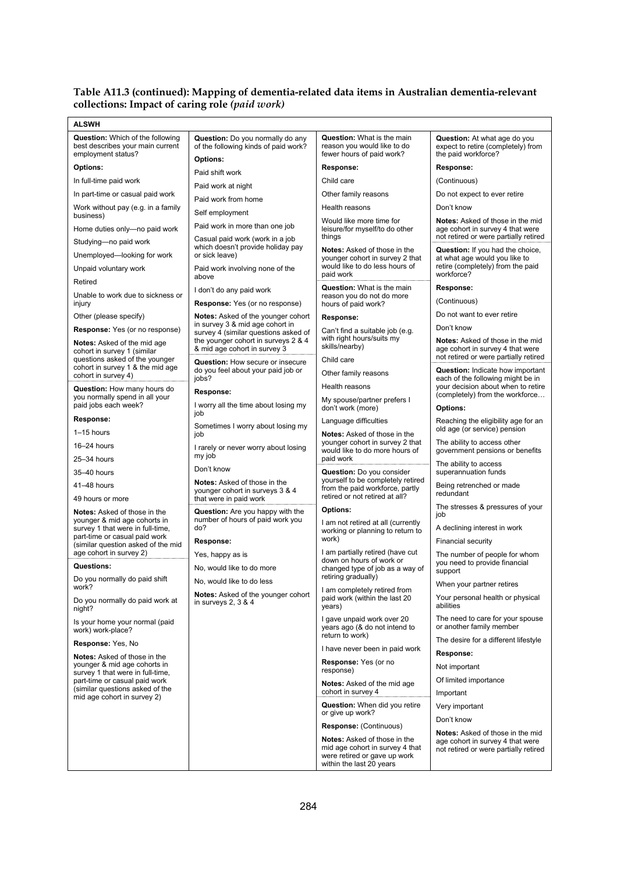#### **Table A11.3 (continued): Mapping of dementia-related data items in Australian dementia-relevant collections: Impact of caring role** *(paid work)*

| <b>ALSWH</b>                                                                                      |                                                                                             |                                                                                                                                    |                                                                                                  |  |
|---------------------------------------------------------------------------------------------------|---------------------------------------------------------------------------------------------|------------------------------------------------------------------------------------------------------------------------------------|--------------------------------------------------------------------------------------------------|--|
| <b>Question:</b> Which of the following<br>best describes your main current<br>employment status? | <b>Question:</b> Do you normally do any<br>of the following kinds of paid work?<br>Options: | <b>Question:</b> What is the main<br>reason you would like to do<br>fewer hours of paid work?                                      | <b>Question:</b> At what age do you<br>expect to retire (completely) from<br>the paid workforce? |  |
| <b>Options:</b>                                                                                   | Paid shift work                                                                             | Response:                                                                                                                          | Response:                                                                                        |  |
| In full-time paid work                                                                            | Paid work at night                                                                          | Child care                                                                                                                         | (Continuous)                                                                                     |  |
| In part-time or casual paid work                                                                  | Paid work from home                                                                         | Other family reasons                                                                                                               | Do not expect to ever retire                                                                     |  |
| Work without pay (e.g. in a family<br>business)                                                   | Self employment                                                                             | Health reasons                                                                                                                     | Don't know                                                                                       |  |
| Home duties only-no paid work                                                                     | Paid work in more than one job                                                              | Would like more time for<br>leisure/for myself/to do other                                                                         | <b>Notes:</b> Asked of those in the mid<br>age cohort in survey 4 that were                      |  |
| Studying—no paid work                                                                             | Casual paid work (work in a job<br>which doesn't provide holiday pay                        | things                                                                                                                             | not retired or were partially retired                                                            |  |
| Unemployed-looking for work                                                                       | or sick leave)                                                                              | Notes: Asked of those in the<br>younger cohort in survey 2 that                                                                    | Question: If you had the choice,<br>at what age would you like to                                |  |
| Unpaid voluntary work                                                                             | Paid work involving none of the<br>above                                                    | would like to do less hours of<br>paid work                                                                                        | retire (completely) from the paid<br>workforce?                                                  |  |
| Retired                                                                                           | I don't do any paid work                                                                    | <b>Question:</b> What is the main                                                                                                  | Response:                                                                                        |  |
| Unable to work due to sickness or<br>injury                                                       | <b>Response:</b> Yes (or no response)                                                       | reason you do not do more<br>hours of paid work?                                                                                   | (Continuous)                                                                                     |  |
| Other (please specify)                                                                            | Notes: Asked of the younger cohort                                                          | Response:                                                                                                                          | Do not want to ever retire                                                                       |  |
| <b>Response:</b> Yes (or no response)                                                             | in survey 3 & mid age cohort in<br>survey 4 (similar questions asked of                     | Can't find a suitable job (e.g.                                                                                                    | Don't know                                                                                       |  |
| <b>Notes:</b> Asked of the mid age<br>cohort in survey 1 (similar                                 | the younger cohort in surveys 2 & 4<br>& mid age cohort in survey 3                         | with right hours/suits my<br>skills/nearby)                                                                                        | <b>Notes:</b> Asked of those in the mid<br>age cohort in survey 4 that were                      |  |
| questions asked of the younger<br>cohort in survey 1 & the mid age                                | Question: How secure or insecure                                                            | Child care                                                                                                                         | not retired or were partially retired                                                            |  |
| cohort in survey 4)                                                                               | do you feel about your paid job or<br>jobs?                                                 | Other family reasons                                                                                                               | <b>Question:</b> Indicate how important<br>each of the following might be in                     |  |
| Question: How many hours do                                                                       | Response:                                                                                   | Health reasons                                                                                                                     | your decision about when to retire<br>(completely) from the workforce                            |  |
| you normally spend in all your<br>paid jobs each week?                                            | I worry all the time about losing my<br>job                                                 | My spouse/partner prefers I<br>don't work (more)                                                                                   | <b>Options:</b>                                                                                  |  |
| Response:                                                                                         | Sometimes I worry about losing my                                                           | Language difficulties                                                                                                              | Reaching the eligibility age for an                                                              |  |
| $1-15$ hours                                                                                      | job                                                                                         | <b>Notes:</b> Asked of those in the                                                                                                | old age (or service) pension                                                                     |  |
| 16-24 hours                                                                                       | I rarely or never worry about losing<br>my job                                              | younger cohort in survey 2 that<br>would like to do more hours of<br>paid work                                                     | The ability to access other<br>government pensions or benefits                                   |  |
| 25-34 hours                                                                                       | Don't know                                                                                  |                                                                                                                                    | The ability to access                                                                            |  |
| 35-40 hours                                                                                       | Notes: Asked of those in the                                                                | Question: Do you consider<br>yourself to be completely retired                                                                     | superannuation funds                                                                             |  |
| 41-48 hours<br>49 hours or more                                                                   | younger cohort in surveys 3 & 4<br>that were in paid work                                   | from the paid workforce, partly<br>retired or not retired at all?                                                                  | Being retrenched or made<br>redundant                                                            |  |
| <b>Notes:</b> Asked of those in the<br>younger & mid age cohorts in                               | <b>Question:</b> Are you happy with the<br>number of hours of paid work you                 | <b>Options:</b>                                                                                                                    | The stresses & pressures of your<br>job                                                          |  |
| survey 1 that were in full-time,                                                                  | do?                                                                                         | I am not retired at all (currently<br>working or planning to return to                                                             | A declining interest in work                                                                     |  |
| part-time or casual paid work<br>(similar question asked of the mid                               | Response:                                                                                   | work)                                                                                                                              | <b>Financial security</b>                                                                        |  |
| age cohort in survey 2)                                                                           | Yes, happy as is                                                                            | I am partially retired (have cut<br>down on hours of work or                                                                       | The number of people for whom                                                                    |  |
| Questions:                                                                                        | No. would like to do more                                                                   | changed type of job as a way of                                                                                                    | you need to provide financial<br>support                                                         |  |
| Do you normally do paid shift                                                                     | No, would like to do less                                                                   | retiring gradually)                                                                                                                | When your partner retires                                                                        |  |
| work?<br>Do you normally do paid work at<br>night?                                                | <b>Notes:</b> Asked of the younger cohort<br>in surveys $2, 3 \& 4$                         | I am completely retired from<br>paid work (within the last 20<br>years)                                                            | Your personal health or physical<br>abilities                                                    |  |
| Is your home your normal (paid<br>work) work-place?                                               |                                                                                             | I gave unpaid work over 20<br>years ago (& do not intend to                                                                        | The need to care for your spouse<br>or another family member                                     |  |
| Response: Yes, No                                                                                 |                                                                                             | return to work)                                                                                                                    | The desire for a different lifestyle                                                             |  |
| <b>Notes:</b> Asked of those in the                                                               |                                                                                             | I have never been in paid work                                                                                                     | Response:                                                                                        |  |
| younger & mid age cohorts in<br>survey 1 that were in full-time,                                  |                                                                                             | Response: Yes (or no<br>response)                                                                                                  | Not important                                                                                    |  |
| part-time or casual paid work<br>(similar questions asked of the                                  |                                                                                             | <b>Notes:</b> Asked of the mid age                                                                                                 | Of limited importance                                                                            |  |
| mid age cohort in survey 2)                                                                       |                                                                                             | cohort in survey 4<br>Question: When did you retire                                                                                | Important                                                                                        |  |
|                                                                                                   |                                                                                             | or give up work?                                                                                                                   | Very important<br>Don't know                                                                     |  |
|                                                                                                   |                                                                                             | Response: (Continuous)                                                                                                             | <b>Notes:</b> Asked of those in the mid                                                          |  |
|                                                                                                   |                                                                                             | <b>Notes:</b> Asked of those in the<br>mid age cohort in survey 4 that<br>were retired or gave up work<br>within the last 20 years | age cohort in survey 4 that were<br>not retired or were partially retired                        |  |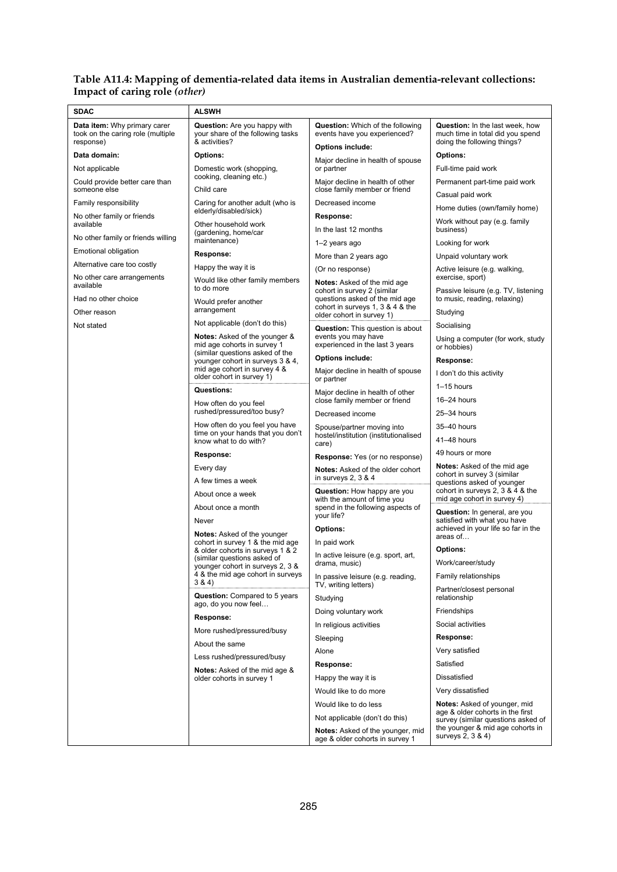#### **Table A11.4: Mapping of dementia-related data items in Australian dementia-relevant collections: Impact of caring role** *(other)*

| <b>SDAC</b>                                                                    | <b>ALSWH</b>                                                                              |                                                                            |                                                                                                           |  |
|--------------------------------------------------------------------------------|-------------------------------------------------------------------------------------------|----------------------------------------------------------------------------|-----------------------------------------------------------------------------------------------------------|--|
| Data item: Why primary carer<br>took on the caring role (multiple<br>response) | <b>Question:</b> Are you happy with<br>your share of the following tasks<br>& activities? | <b>Question:</b> Which of the following<br>events have you experienced?    | <b>Question:</b> In the last week, how<br>much time in total did you spend<br>doing the following things? |  |
| Data domain:                                                                   | <b>Options:</b>                                                                           | <b>Options include:</b>                                                    | <b>Options:</b>                                                                                           |  |
| Not applicable                                                                 | Domestic work (shopping,                                                                  | Major decline in health of spouse<br>or partner                            | Full-time paid work                                                                                       |  |
| Could provide better care than                                                 | cooking, cleaning etc.)<br>Major decline in health of other                               |                                                                            | Permanent part-time paid work                                                                             |  |
| someone else                                                                   | Child care                                                                                | close family member or friend                                              | Casual paid work                                                                                          |  |
| Family responsibility                                                          | Caring for another adult (who is<br>elderly/disabled/sick)                                | Decreased income                                                           | Home duties (own/family home)                                                                             |  |
| No other family or friends<br>available                                        | Other household work                                                                      | Response:                                                                  | Work without pay (e.g. family                                                                             |  |
| No other family or friends willing                                             | (gardening, home/car                                                                      | In the last 12 months                                                      | business)                                                                                                 |  |
| Emotional obligation                                                           | maintenance)                                                                              | 1-2 years ago                                                              | Looking for work                                                                                          |  |
| Alternative care too costly                                                    | Response:                                                                                 | More than 2 years ago                                                      | Unpaid voluntary work                                                                                     |  |
| No other care arrangements                                                     | Happy the way it is                                                                       | (Or no response)                                                           | Active leisure (e.g. walking,<br>exercise, sport)                                                         |  |
| available                                                                      | Would like other family members<br>to do more                                             | <b>Notes:</b> Asked of the mid age<br>cohort in survey 2 (similar          | Passive leisure (e.g. TV, listening                                                                       |  |
| Had no other choice                                                            | Would prefer another<br>arrangement                                                       | questions asked of the mid age<br>cohort in surveys 1, 3 & 4 & the         | to music, reading, relaxing)                                                                              |  |
| Other reason                                                                   |                                                                                           | older cohort in survey 1)                                                  | Studying                                                                                                  |  |
| Not stated                                                                     | Not applicable (don't do this)<br>Notes: Asked of the younger &                           | <b>Question:</b> This question is about<br>events you may have             | Socialising                                                                                               |  |
|                                                                                | mid age cohorts in survey 1                                                               | experienced in the last 3 years                                            | Using a computer (for work, study<br>or hobbies)                                                          |  |
|                                                                                | (similar questions asked of the<br>younger cohort in surveys 3 & 4,                       | <b>Options include:</b>                                                    | Response:                                                                                                 |  |
|                                                                                | mid age cohort in survey 4 &<br>older cohort in survey 1)                                 | Major decline in health of spouse<br>or partner                            | I don't do this activity                                                                                  |  |
|                                                                                | Questions:                                                                                | Major decline in health of other                                           | $1 - 15$ hours                                                                                            |  |
|                                                                                | How often do you feel                                                                     | close family member or friend                                              | 16-24 hours                                                                                               |  |
|                                                                                | rushed/pressured/too busy?                                                                | Decreased income                                                           | 25-34 hours                                                                                               |  |
|                                                                                | How often do you feel you have<br>time on your hands that you don't                       | Spouse/partner moving into                                                 | 35-40 hours                                                                                               |  |
|                                                                                | know what to do with?                                                                     | hostel/institution (institutionalised<br>care)                             | 41-48 hours                                                                                               |  |
|                                                                                | Response:                                                                                 | <b>Response:</b> Yes (or no response)                                      | 49 hours or more                                                                                          |  |
|                                                                                | Every day                                                                                 | Notes: Asked of the older cohort                                           | <b>Notes:</b> Asked of the mid age<br>cohort in survey 3 (similar                                         |  |
|                                                                                | A few times a week                                                                        | in surveys $2, 3, 8, 4$                                                    | questions asked of younger<br>cohort in surveys 2, 3 & 4 & the                                            |  |
|                                                                                | About once a week                                                                         | Question: How happy are you<br>with the amount of time you                 | mid age cohort in survey 4)                                                                               |  |
|                                                                                | About once a month                                                                        | spend in the following aspects of<br>your life?                            | Question: In general, are you                                                                             |  |
|                                                                                | Never                                                                                     | <b>Options:</b>                                                            | satisfied with what you have<br>achieved in your life so far in the                                       |  |
|                                                                                | <b>Notes:</b> Asked of the younger<br>cohort in survey 1 & the mid age                    | In paid work                                                               | areas of                                                                                                  |  |
|                                                                                | & older cohorts in surveys 1 & 2<br>(similar questions asked of                           | In active leisure (e.g. sport, art,                                        | <b>Options:</b>                                                                                           |  |
|                                                                                | younger cohort in surveys 2, 3 &                                                          | drama, music)                                                              | Work/career/study                                                                                         |  |
|                                                                                | 4 & the mid age cohort in surveys<br>3 & 4)                                               | In passive leisure (e.g. reading,<br>TV, writing letters)                  | Family relationships                                                                                      |  |
|                                                                                | Question: Compared to 5 years                                                             | Studying                                                                   | Partner/closest personal<br>relationship                                                                  |  |
|                                                                                | ago, do you now feel                                                                      | Doing voluntary work                                                       | Friendships                                                                                               |  |
|                                                                                | Response:                                                                                 | In religious activities                                                    | Social activities                                                                                         |  |
|                                                                                | More rushed/pressured/busy                                                                | Sleeping                                                                   | Response:                                                                                                 |  |
|                                                                                | About the same                                                                            | Alone                                                                      | Very satisfied                                                                                            |  |
|                                                                                | Less rushed/pressured/busy<br>Response:<br>Notes: Asked of the mid age &                  |                                                                            | Satisfied                                                                                                 |  |
|                                                                                | older cohorts in survey 1                                                                 | Happy the way it is                                                        | <b>Dissatisfied</b>                                                                                       |  |
|                                                                                |                                                                                           | Would like to do more                                                      | Very dissatisfied                                                                                         |  |
|                                                                                |                                                                                           | Would like to do less                                                      | <b>Notes:</b> Asked of younger, mid                                                                       |  |
|                                                                                |                                                                                           | Not applicable (don't do this)                                             | age & older cohorts in the first<br>survey (similar questions asked of                                    |  |
|                                                                                |                                                                                           | <b>Notes:</b> Asked of the younger, mid<br>age & older cohorts in survey 1 | the younger & mid age cohorts in<br>surveys 2, 3 & 4)                                                     |  |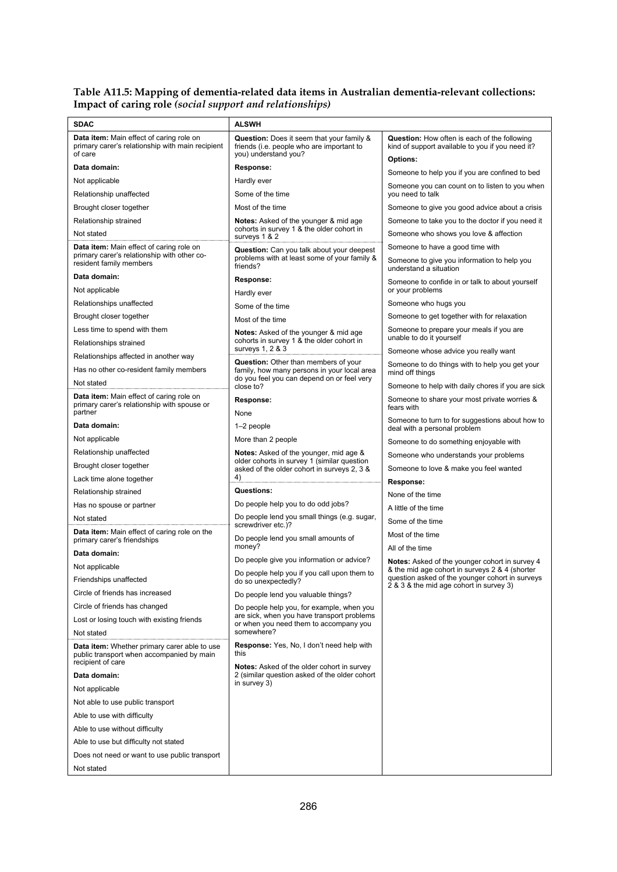#### **Table A11.5: Mapping of dementia-related data items in Australian dementia-relevant collections: Impact of caring role** *(social support and relationships)*

| <b>SDAC</b>                                                                                                        | <b>ALSWH</b>                                                                                                          |                                                                                                           |
|--------------------------------------------------------------------------------------------------------------------|-----------------------------------------------------------------------------------------------------------------------|-----------------------------------------------------------------------------------------------------------|
| <b>Data item:</b> Main effect of caring role on<br>primary carer's relationship with main recipient<br>of care     | <b>Question:</b> Does it seem that your family &<br>friends (i.e. people who are important to<br>you) understand you? | <b>Question:</b> How often is each of the following<br>kind of support available to you if you need it?   |
| Data domain:                                                                                                       | Response:                                                                                                             | <b>Options:</b>                                                                                           |
| Not applicable                                                                                                     | Hardly ever                                                                                                           | Someone to help you if you are confined to bed                                                            |
| Relationship unaffected                                                                                            | Some of the time                                                                                                      | Someone you can count on to listen to you when<br>you need to talk                                        |
| Brought closer together                                                                                            | Most of the time                                                                                                      | Someone to give you good advice about a crisis                                                            |
| Relationship strained                                                                                              | Notes: Asked of the younger & mid age                                                                                 | Someone to take you to the doctor if you need it                                                          |
| Not stated                                                                                                         | cohorts in survey 1 & the older cohort in<br>surveys 1 & 2                                                            | Someone who shows you love & affection                                                                    |
| Data item: Main effect of caring role on<br>primary carer's relationship with other co-<br>resident family members | Question: Can you talk about your deepest<br>problems with at least some of your family &<br>friends?                 | Someone to have a good time with<br>Someone to give you information to help you<br>understand a situation |
| Data domain:                                                                                                       | Response:                                                                                                             |                                                                                                           |
| Not applicable                                                                                                     | Hardly ever                                                                                                           | Someone to confide in or talk to about yourself<br>or your problems                                       |
| Relationships unaffected                                                                                           | Some of the time                                                                                                      | Someone who hugs you                                                                                      |
| Brought closer together                                                                                            | Most of the time                                                                                                      | Someone to get together with for relaxation                                                               |
| Less time to spend with them                                                                                       | <b>Notes:</b> Asked of the younger & mid age                                                                          | Someone to prepare your meals if you are                                                                  |
| Relationships strained                                                                                             | cohorts in survey 1 & the older cohort in                                                                             | unable to do it yourself                                                                                  |
| Relationships affected in another way                                                                              | surveys 1, 2 & 3                                                                                                      | Someone whose advice you really want                                                                      |
| Has no other co-resident family members                                                                            | Question: Other than members of your<br>family, how many persons in your local area                                   | Someone to do things with to help you get your<br>mind off things                                         |
| Not stated                                                                                                         | do you feel you can depend on or feel very<br>close to?                                                               | Someone to help with daily chores if you are sick                                                         |
| Data item: Main effect of caring role on<br>primary carer's relationship with spouse or<br>partner                 | Response:<br>None                                                                                                     | Someone to share your most private worries &<br>fears with                                                |
| Data domain:                                                                                                       | 1-2 people                                                                                                            | Someone to turn to for suggestions about how to                                                           |
| Not applicable                                                                                                     | More than 2 people                                                                                                    | deal with a personal problem                                                                              |
| Relationship unaffected                                                                                            | <b>Notes:</b> Asked of the younger, mid age &                                                                         | Someone to do something enjoyable with                                                                    |
| Brought closer together                                                                                            | older cohorts in survey 1 (similar question                                                                           | Someone who understands your problems                                                                     |
|                                                                                                                    | asked of the older cohort in surveys 2, 3 &<br>4)                                                                     | Someone to love & make you feel wanted                                                                    |
| Lack time alone together                                                                                           | Questions:                                                                                                            | Response:                                                                                                 |
| Relationship strained                                                                                              | Do people help you to do odd jobs?                                                                                    | None of the time                                                                                          |
| Has no spouse or partner                                                                                           | Do people lend you small things (e.g. sugar,                                                                          | A little of the time                                                                                      |
| Not stated                                                                                                         | screwdriver etc.)?                                                                                                    | Some of the time                                                                                          |
| Data item: Main effect of caring role on the<br>primary carer's friendships                                        | Do people lend you small amounts of                                                                                   | Most of the time                                                                                          |
| Data domain:                                                                                                       | money?                                                                                                                | All of the time                                                                                           |
| Not applicable                                                                                                     | Do people give you information or advice?                                                                             | Notes: Asked of the younger cohort in survey 4<br>& the mid age cohort in surveys 2 & 4 (shorter          |
| Friendships unaffected                                                                                             | Do people help you if you call upon them to<br>do so unexpectedly?                                                    | question asked of the younger cohort in surveys<br>2 & 3 & the mid age cohort in survey 3)                |
| Circle of friends has increased                                                                                    | Do people lend you valuable things?                                                                                   |                                                                                                           |
| Circle of friends has changed                                                                                      | Do people help you, for example, when you                                                                             |                                                                                                           |
| Lost or losing touch with existing friends                                                                         | are sick, when you have transport problems<br>or when you need them to accompany you                                  |                                                                                                           |
| Not stated                                                                                                         | somewhere?                                                                                                            |                                                                                                           |
| Data item: Whether primary carer able to use<br>public transport when accompanied by main<br>recipient of care     | Response: Yes, No, I don't need help with<br>this                                                                     |                                                                                                           |
| Data domain:                                                                                                       | Notes: Asked of the older cohort in survey<br>2 (similar question asked of the older cohort                           |                                                                                                           |
| Not applicable                                                                                                     | in survey 3)                                                                                                          |                                                                                                           |
| Not able to use public transport                                                                                   |                                                                                                                       |                                                                                                           |
| Able to use with difficulty                                                                                        |                                                                                                                       |                                                                                                           |
| Able to use without difficulty                                                                                     |                                                                                                                       |                                                                                                           |
| Able to use but difficulty not stated                                                                              |                                                                                                                       |                                                                                                           |
| Does not need or want to use public transport                                                                      |                                                                                                                       |                                                                                                           |
|                                                                                                                    |                                                                                                                       |                                                                                                           |
| Not stated                                                                                                         |                                                                                                                       |                                                                                                           |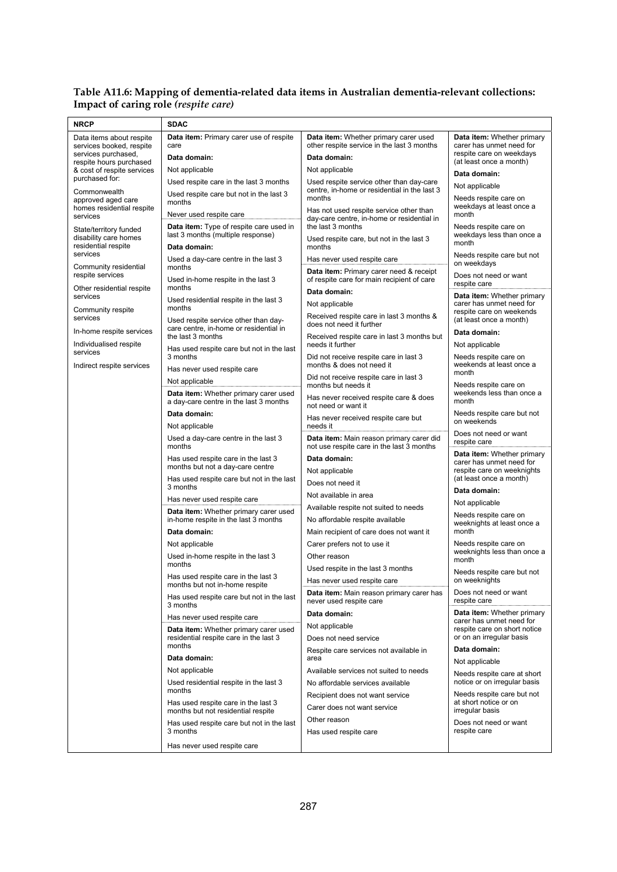#### **Table A11.6: Mapping of dementia-related data items in Australian dementia-relevant collections: Impact of caring role** *(respite care)*

| <b>NRCP</b>                                                            | <b>SDAC</b>                                                                                  |                                                                                          |                                                               |  |
|------------------------------------------------------------------------|----------------------------------------------------------------------------------------------|------------------------------------------------------------------------------------------|---------------------------------------------------------------|--|
| Data items about respite<br>services booked, respite                   | Data item: Primary carer use of respite<br>care                                              | Data item: Whether primary carer used<br>other respite service in the last 3 months      | <b>Data item:</b> Whether primary<br>carer has unmet need for |  |
| services purchased,<br>respite hours purchased                         | Data domain:                                                                                 | Data domain:                                                                             | respite care on weekdays<br>(at least once a month)           |  |
| & cost of respite services<br>purchased for:                           | Not applicable                                                                               | Not applicable                                                                           | Data domain:                                                  |  |
|                                                                        | Used respite care in the last 3 months                                                       | Used respite service other than day-care<br>centre, in-home or residential in the last 3 | Not applicable                                                |  |
| Commonwealth<br>approved aged care<br>homes residential respite        | Used respite care but not in the last 3<br>months                                            | months<br>Has not used respite service other than                                        | Needs respite care on<br>weekdays at least once a             |  |
| services                                                               | Never used respite care                                                                      | day-care centre, in-home or residential in<br>the last 3 months                          | month                                                         |  |
| State/territory funded<br>disability care homes<br>residential respite | Data item: Type of respite care used in<br>last 3 months (multiple response)<br>Data domain: | Used respite care, but not in the last 3<br>months                                       | Needs respite care on<br>weekdays less than once a<br>month   |  |
| services                                                               | Used a day-care centre in the last 3                                                         | Has never used respite care                                                              | Needs respite care but not                                    |  |
| Community residential<br>respite services                              | months                                                                                       | Data item: Primary carer need & receipt                                                  | on weekdays<br>Does not need or want                          |  |
| Other residential respite                                              | Used in-home respite in the last 3<br>months                                                 | of respite care for main recipient of care<br>Data domain:                               | respite care                                                  |  |
| services                                                               | Used residential respite in the last 3<br>months                                             | Not applicable                                                                           | Data item: Whether primary<br>carer has unmet need for        |  |
| Community respite<br>services                                          | Used respite service other than day-                                                         | Received respite care in last 3 months &<br>does not need it further                     | respite care on weekends<br>(at least once a month)           |  |
| In-home respite services                                               | care centre, in-home or residential in<br>the last 3 months                                  | Received respite care in last 3 months but                                               | Data domain:                                                  |  |
| Individualised respite<br>services                                     | Has used respite care but not in the last                                                    | needs it further                                                                         | Not applicable                                                |  |
| Indirect respite services                                              | 3 months<br>Has never used respite care                                                      | Did not receive respite care in last 3<br>months & does not need it                      | Needs respite care on<br>weekends at least once a             |  |
|                                                                        | Not applicable                                                                               | Did not receive respite care in last 3<br>months but needs it                            | month<br>Needs respite care on                                |  |
|                                                                        | Data item: Whether primary carer used<br>a day-care centre in the last 3 months              | Has never received respite care & does<br>not need or want it                            | weekends less than once a<br>month                            |  |
|                                                                        | Data domain:                                                                                 | Has never received respite care but                                                      | Needs respite care but not                                    |  |
|                                                                        | Not applicable                                                                               | on weekends<br>needs it                                                                  |                                                               |  |
|                                                                        | Used a day-care centre in the last 3<br>months                                               | Data item: Main reason primary carer did<br>not use respite care in the last 3 months    | Does not need or want<br>respite care                         |  |
|                                                                        | Has used respite care in the last 3<br>months but not a day-care centre                      | Data domain:                                                                             | Data item: Whether primary<br>carer has unmet need for        |  |
|                                                                        | Has used respite care but not in the last                                                    | Not applicable                                                                           | respite care on weeknights<br>(at least once a month)         |  |
|                                                                        | 3 months                                                                                     | Does not need it<br>Not available in area                                                | Data domain:                                                  |  |
|                                                                        | Has never used respite care                                                                  | Available respite not suited to needs                                                    | Not applicable                                                |  |
|                                                                        | Data item: Whether primary carer used<br>in-home respite in the last 3 months                | No affordable respite available                                                          | Needs respite care on                                         |  |
|                                                                        | Data domain:                                                                                 | Main recipient of care does not want it                                                  | weeknights at least once a<br>month                           |  |
|                                                                        | Not applicable                                                                               | Carer prefers not to use it                                                              | Needs respite care on                                         |  |
|                                                                        | Used in-home respite in the last 3                                                           | Other reason                                                                             | weeknights less than once a<br>month                          |  |
|                                                                        | months                                                                                       | Used respite in the last 3 months                                                        | Needs respite care but not                                    |  |
|                                                                        | Has used respite care in the last 3<br>months but not in-home respite                        | Has never used respite care                                                              | on weeknights                                                 |  |
|                                                                        | Has used respite care but not in the last<br>3 months                                        | Data item: Main reason primary carer has<br>never used respite care                      | Does not need or want<br>respite care                         |  |
|                                                                        | Has never used respite care                                                                  | Data domain:                                                                             | Data item: Whether primary<br>carer has unmet need for        |  |
|                                                                        | Data item: Whether primary carer used<br>residential respite care in the last 3              | Not applicable<br>Does not need service                                                  | respite care on short notice<br>or on an irregular basis      |  |
|                                                                        | months                                                                                       | Respite care services not available in                                                   | Data domain:                                                  |  |
|                                                                        | Data domain:                                                                                 | area<br>Not applicable                                                                   |                                                               |  |
|                                                                        | Not applicable                                                                               | Available services not suited to needs                                                   | Needs respite care at short                                   |  |
|                                                                        | Used residential respite in the last 3<br>months                                             | No affordable services available                                                         | notice or on irregular basis<br>Needs respite care but not    |  |
|                                                                        | Has used respite care in the last 3                                                          | Recipient does not want service<br>Carer does not want service                           | at short notice or on<br>irregular basis                      |  |
|                                                                        | months but not residential respite<br>Has used respite care but not in the last              | Other reason                                                                             | Does not need or want                                         |  |
|                                                                        | 3 months                                                                                     | Has used respite care                                                                    | respite care                                                  |  |
|                                                                        | Has never used respite care                                                                  |                                                                                          |                                                               |  |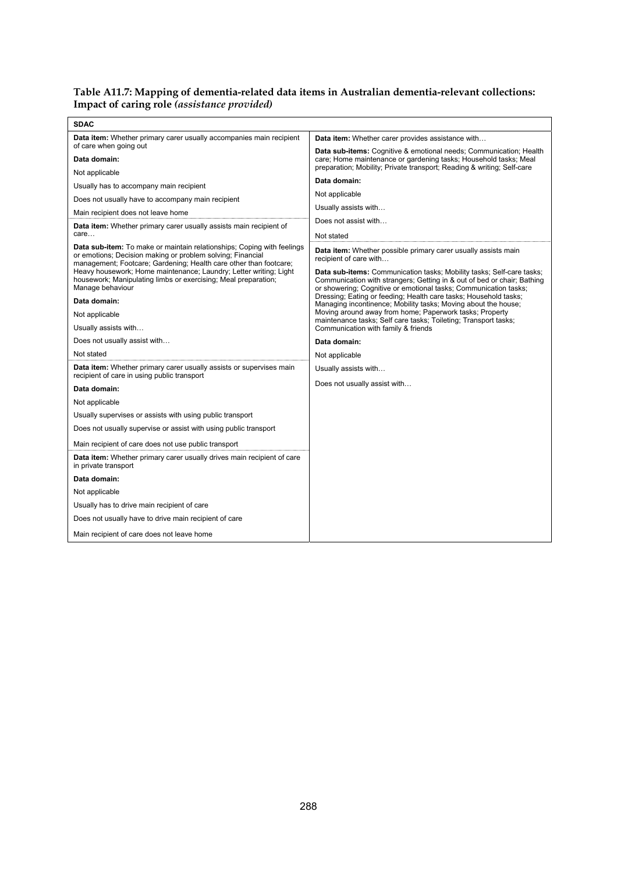#### **Table A11.7: Mapping of dementia-related data items in Australian dementia-relevant collections: Impact of caring role** *(assistance provided)*

| <b>SDAC</b>                                                                                                                                                                                                                                                                                                                                                          |                                                                                                                                                                                                                                                                                                                  |
|----------------------------------------------------------------------------------------------------------------------------------------------------------------------------------------------------------------------------------------------------------------------------------------------------------------------------------------------------------------------|------------------------------------------------------------------------------------------------------------------------------------------------------------------------------------------------------------------------------------------------------------------------------------------------------------------|
| <b>Data item:</b> Whether primary carer usually accompanies main recipient<br>of care when going out                                                                                                                                                                                                                                                                 | <b>Data item:</b> Whether carer provides assistance with                                                                                                                                                                                                                                                         |
| Data domain:                                                                                                                                                                                                                                                                                                                                                         | <b>Data sub-items:</b> Cognitive & emotional needs; Communication; Health<br>care; Home maintenance or gardening tasks; Household tasks; Meal                                                                                                                                                                    |
| Not applicable                                                                                                                                                                                                                                                                                                                                                       | preparation; Mobility; Private transport; Reading & writing; Self-care                                                                                                                                                                                                                                           |
| Usually has to accompany main recipient                                                                                                                                                                                                                                                                                                                              | Data domain:                                                                                                                                                                                                                                                                                                     |
| Does not usually have to accompany main recipient                                                                                                                                                                                                                                                                                                                    | Not applicable                                                                                                                                                                                                                                                                                                   |
| Main recipient does not leave home                                                                                                                                                                                                                                                                                                                                   | Usually assists with                                                                                                                                                                                                                                                                                             |
| Data item: Whether primary carer usually assists main recipient of<br>care                                                                                                                                                                                                                                                                                           | Does not assist with<br>Not stated                                                                                                                                                                                                                                                                               |
| Data sub-item: To make or maintain relationships; Coping with feelings<br>or emotions; Decision making or problem solving; Financial<br>management; Footcare; Gardening; Health care other than footcare;<br>Heavy housework; Home maintenance; Laundry; Letter writing; Light<br>housework; Manipulating limbs or exercising; Meal preparation;<br>Manage behaviour | Data item: Whether possible primary carer usually assists main<br>recipient of care with<br>Data sub-items: Communication tasks; Mobility tasks; Self-care tasks;<br>Communication with strangers; Getting in & out of bed or chair; Bathing<br>or showering; Cognitive or emotional tasks; Communication tasks; |
| Data domain:                                                                                                                                                                                                                                                                                                                                                         | Dressing; Eating or feeding; Health care tasks; Household tasks;<br>Managing incontinence; Mobility tasks; Moving about the house;                                                                                                                                                                               |
| Not applicable                                                                                                                                                                                                                                                                                                                                                       | Moving around away from home; Paperwork tasks; Property<br>maintenance tasks; Self care tasks; Toileting; Transport tasks;                                                                                                                                                                                       |
| Usually assists with                                                                                                                                                                                                                                                                                                                                                 | Communication with family & friends                                                                                                                                                                                                                                                                              |
| Does not usually assist with                                                                                                                                                                                                                                                                                                                                         | Data domain:                                                                                                                                                                                                                                                                                                     |
| Not stated                                                                                                                                                                                                                                                                                                                                                           | Not applicable                                                                                                                                                                                                                                                                                                   |
| Data item: Whether primary carer usually assists or supervises main<br>recipient of care in using public transport                                                                                                                                                                                                                                                   | Usually assists with                                                                                                                                                                                                                                                                                             |
| Data domain:                                                                                                                                                                                                                                                                                                                                                         | Does not usually assist with                                                                                                                                                                                                                                                                                     |
| Not applicable                                                                                                                                                                                                                                                                                                                                                       |                                                                                                                                                                                                                                                                                                                  |
| Usually supervises or assists with using public transport                                                                                                                                                                                                                                                                                                            |                                                                                                                                                                                                                                                                                                                  |
| Does not usually supervise or assist with using public transport                                                                                                                                                                                                                                                                                                     |                                                                                                                                                                                                                                                                                                                  |
| Main recipient of care does not use public transport                                                                                                                                                                                                                                                                                                                 |                                                                                                                                                                                                                                                                                                                  |
| Data item: Whether primary carer usually drives main recipient of care<br>in private transport                                                                                                                                                                                                                                                                       |                                                                                                                                                                                                                                                                                                                  |
| Data domain:                                                                                                                                                                                                                                                                                                                                                         |                                                                                                                                                                                                                                                                                                                  |
| Not applicable                                                                                                                                                                                                                                                                                                                                                       |                                                                                                                                                                                                                                                                                                                  |
| Usually has to drive main recipient of care                                                                                                                                                                                                                                                                                                                          |                                                                                                                                                                                                                                                                                                                  |
| Does not usually have to drive main recipient of care                                                                                                                                                                                                                                                                                                                |                                                                                                                                                                                                                                                                                                                  |
| Main recipient of care does not leave home                                                                                                                                                                                                                                                                                                                           |                                                                                                                                                                                                                                                                                                                  |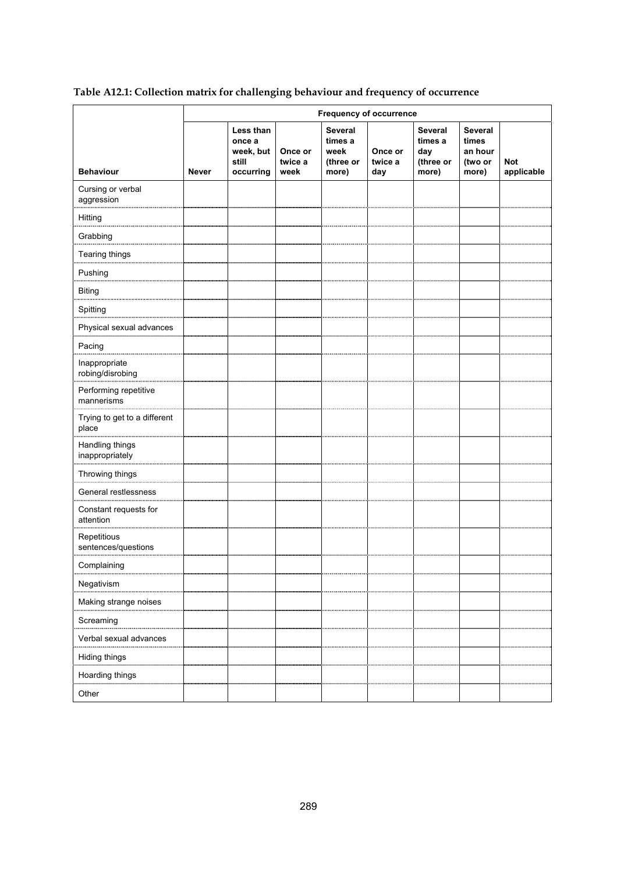|  | Table A12.1: Collection matrix for challenging behaviour and frequency of occurrence |
|--|--------------------------------------------------------------------------------------|
|  |                                                                                      |

|                                       |       |                                                        |                            | <b>Frequency of occurrence</b>                          |                           |                                                        |                                                        |                          |
|---------------------------------------|-------|--------------------------------------------------------|----------------------------|---------------------------------------------------------|---------------------------|--------------------------------------------------------|--------------------------------------------------------|--------------------------|
| <b>Behaviour</b>                      | Never | Less than<br>once a<br>week, but<br>still<br>occurring | Once or<br>twice a<br>week | <b>Several</b><br>times a<br>week<br>(three or<br>more) | Once or<br>twice a<br>day | <b>Several</b><br>times a<br>day<br>(three or<br>more) | <b>Several</b><br>times<br>an hour<br>(two or<br>more) | <b>Not</b><br>applicable |
| Cursing or verbal<br>aggression       |       |                                                        |                            |                                                         |                           |                                                        |                                                        |                          |
| Hitting                               |       |                                                        |                            |                                                         |                           |                                                        |                                                        |                          |
| Grabbing                              |       |                                                        |                            |                                                         |                           |                                                        |                                                        |                          |
| Tearing things                        |       |                                                        |                            |                                                         |                           |                                                        |                                                        |                          |
| Pushing                               |       |                                                        |                            |                                                         |                           |                                                        |                                                        |                          |
| <b>Biting</b>                         |       |                                                        |                            |                                                         |                           |                                                        |                                                        |                          |
| Spitting                              |       |                                                        |                            |                                                         |                           |                                                        |                                                        |                          |
| Physical sexual advances              |       |                                                        |                            |                                                         |                           |                                                        |                                                        |                          |
| Pacing                                |       |                                                        |                            |                                                         |                           |                                                        |                                                        |                          |
| Inappropriate<br>robing/disrobing     |       |                                                        |                            |                                                         |                           |                                                        |                                                        |                          |
| Performing repetitive<br>mannerisms   |       |                                                        |                            |                                                         |                           |                                                        |                                                        |                          |
| Trying to get to a different<br>place |       |                                                        |                            |                                                         |                           |                                                        |                                                        |                          |
| Handling things<br>inappropriately    |       |                                                        |                            |                                                         |                           |                                                        |                                                        |                          |
| Throwing things                       |       |                                                        |                            |                                                         |                           |                                                        |                                                        |                          |
| General restlessness                  |       |                                                        |                            |                                                         |                           |                                                        |                                                        |                          |
| Constant requests for<br>attention    |       |                                                        |                            |                                                         |                           |                                                        |                                                        |                          |
| Repetitious<br>sentences/questions    |       |                                                        |                            |                                                         |                           |                                                        |                                                        |                          |
| Complaining                           |       |                                                        |                            |                                                         |                           |                                                        |                                                        |                          |
| Negativism                            |       |                                                        |                            |                                                         |                           |                                                        |                                                        |                          |
| Making strange noises                 |       |                                                        |                            |                                                         |                           |                                                        |                                                        |                          |
| Screaming                             |       |                                                        |                            |                                                         |                           |                                                        |                                                        |                          |
| Verbal sexual advances                |       |                                                        |                            |                                                         |                           |                                                        |                                                        |                          |
| Hiding things                         |       |                                                        |                            |                                                         |                           |                                                        |                                                        |                          |
| Hoarding things                       |       |                                                        |                            |                                                         |                           |                                                        |                                                        |                          |
| Other                                 |       |                                                        |                            |                                                         |                           |                                                        |                                                        |                          |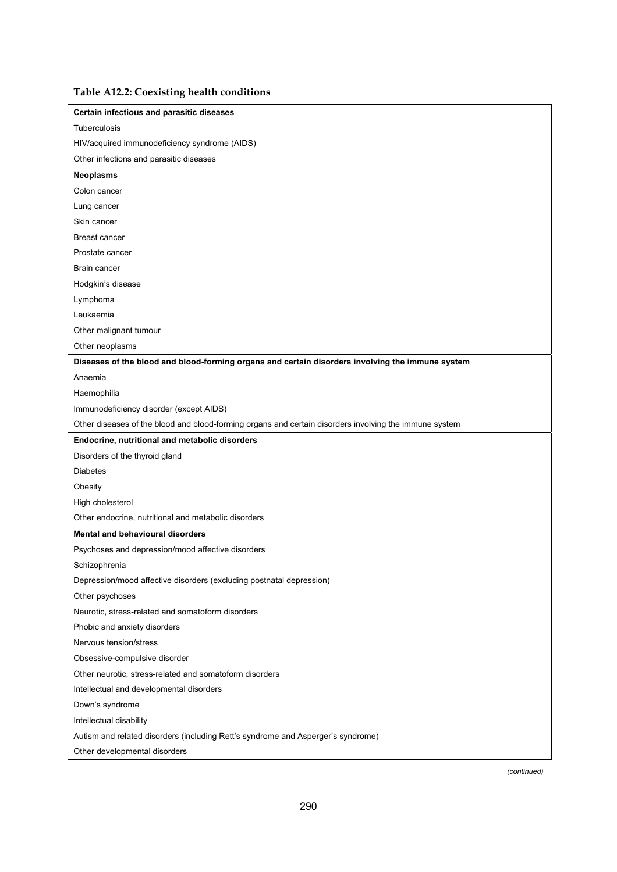| Table A12.2: Coexisting health conditions |  |  |  |
|-------------------------------------------|--|--|--|
|-------------------------------------------|--|--|--|

| Certain infectious and parasitic diseases                                                              |
|--------------------------------------------------------------------------------------------------------|
| Tuberculosis                                                                                           |
| HIV/acquired immunodeficiency syndrome (AIDS)                                                          |
| Other infections and parasitic diseases                                                                |
| <b>Neoplasms</b>                                                                                       |
| Colon cancer                                                                                           |
| Lung cancer                                                                                            |
| Skin cancer                                                                                            |
| Breast cancer                                                                                          |
| Prostate cancer                                                                                        |
| Brain cancer                                                                                           |
| Hodgkin's disease                                                                                      |
| Lymphoma                                                                                               |
| Leukaemia                                                                                              |
| Other malignant tumour                                                                                 |
| Other neoplasms                                                                                        |
| Diseases of the blood and blood-forming organs and certain disorders involving the immune system       |
| Anaemia                                                                                                |
| Haemophilia                                                                                            |
| Immunodeficiency disorder (except AIDS)                                                                |
| Other diseases of the blood and blood-forming organs and certain disorders involving the immune system |
| Endocrine, nutritional and metabolic disorders                                                         |
| Disorders of the thyroid gland                                                                         |
| <b>Diabetes</b>                                                                                        |
| Obesity                                                                                                |
| High cholesterol                                                                                       |
| Other endocrine, nutritional and metabolic disorders                                                   |
| <b>Mental and behavioural disorders</b>                                                                |
| Psychoses and depression/mood affective disorders                                                      |
| Schizophrenia                                                                                          |
| Depression/mood affective disorders (excluding postnatal depression)                                   |
| Other psychoses                                                                                        |
| Neurotic, stress-related and somatoform disorders                                                      |
| Phobic and anxiety disorders                                                                           |
| Nervous tension/stress                                                                                 |
| Obsessive-compulsive disorder                                                                          |
| Other neurotic, stress-related and somatoform disorders                                                |
| Intellectual and developmental disorders                                                               |
| Down's syndrome                                                                                        |
| Intellectual disability                                                                                |
| Autism and related disorders (including Rett's syndrome and Asperger's syndrome)                       |
|                                                                                                        |
| Other developmental disorders                                                                          |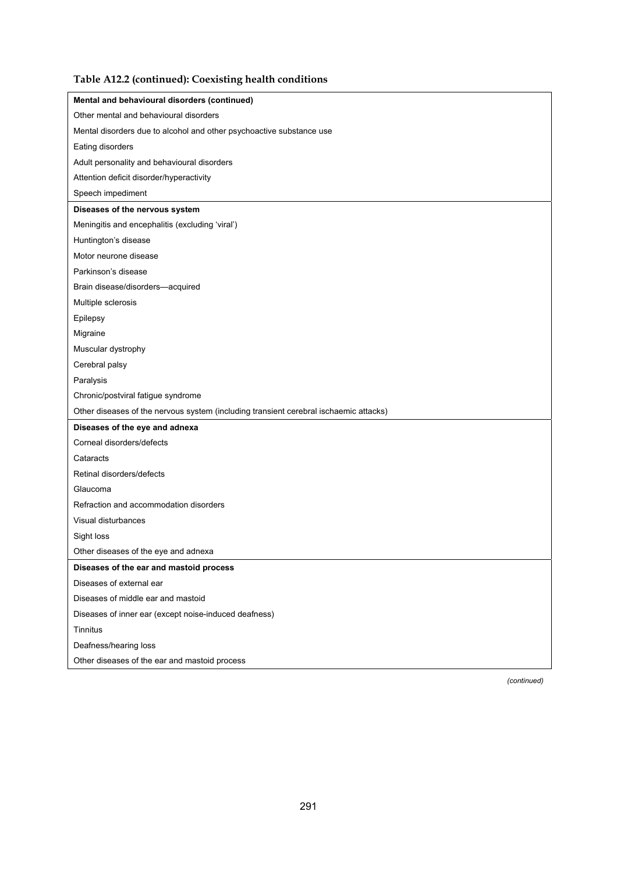### **Table A12.2 (continued): Coexisting health conditions**

| Mental and behavioural disorders (continued)                                          |
|---------------------------------------------------------------------------------------|
| Other mental and behavioural disorders                                                |
| Mental disorders due to alcohol and other psychoactive substance use                  |
| Eating disorders                                                                      |
| Adult personality and behavioural disorders                                           |
| Attention deficit disorder/hyperactivity                                              |
| Speech impediment                                                                     |
| Diseases of the nervous system                                                        |
| Meningitis and encephalitis (excluding 'viral')                                       |
| Huntington's disease                                                                  |
| Motor neurone disease                                                                 |
| Parkinson's disease                                                                   |
| Brain disease/disorders-acquired                                                      |
| Multiple sclerosis                                                                    |
| Epilepsy                                                                              |
| Migraine                                                                              |
| Muscular dystrophy                                                                    |
| Cerebral palsy                                                                        |
| Paralysis                                                                             |
| Chronic/postviral fatigue syndrome                                                    |
| Other diseases of the nervous system (including transient cerebral ischaemic attacks) |
| Diseases of the eye and adnexa                                                        |
| Corneal disorders/defects                                                             |
| Cataracts                                                                             |
| Retinal disorders/defects                                                             |
| Glaucoma                                                                              |
| Refraction and accommodation disorders                                                |
| Visual disturbances                                                                   |
| Sight loss                                                                            |
| Other diseases of the eye and adnexa                                                  |
| Diseases of the ear and mastoid process                                               |
| Diseases of external ear                                                              |
| Diseases of middle ear and mastoid                                                    |
| Diseases of inner ear (except noise-induced deafness)                                 |
| <b>Tinnitus</b>                                                                       |
| Deafness/hearing loss                                                                 |
| Other diseases of the ear and mastoid process                                         |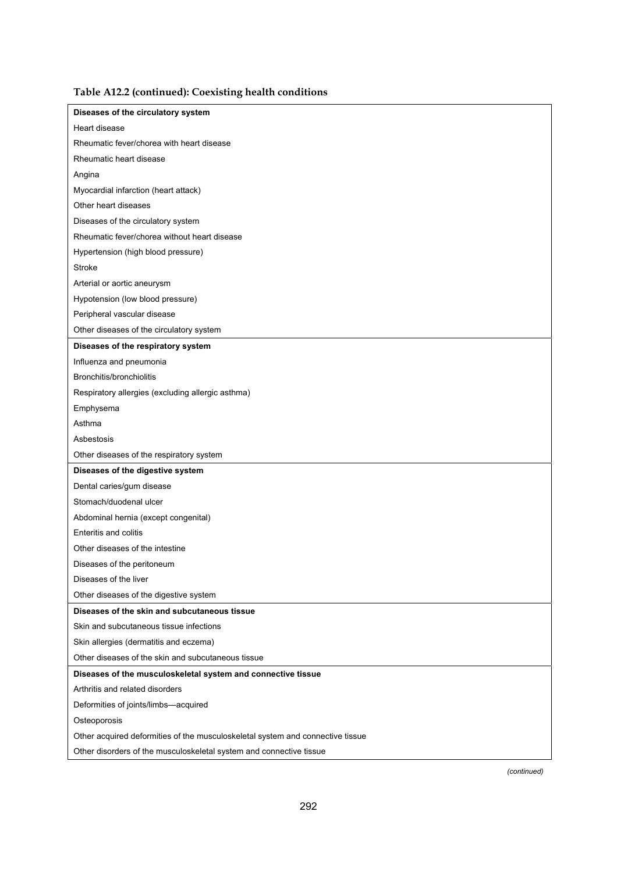| Diseases of the circulatory system                                             |
|--------------------------------------------------------------------------------|
| Heart disease                                                                  |
| Rheumatic fever/chorea with heart disease                                      |
| Rheumatic heart disease                                                        |
| Angina                                                                         |
| Myocardial infarction (heart attack)                                           |
| Other heart diseases                                                           |
| Diseases of the circulatory system                                             |
| Rheumatic fever/chorea without heart disease                                   |
| Hypertension (high blood pressure)                                             |
| Stroke                                                                         |
| Arterial or aortic aneurysm                                                    |
| Hypotension (low blood pressure)                                               |
| Peripheral vascular disease                                                    |
| Other diseases of the circulatory system                                       |
| Diseases of the respiratory system                                             |
| Influenza and pneumonia                                                        |
| Bronchitis/bronchiolitis                                                       |
| Respiratory allergies (excluding allergic asthma)                              |
| Emphysema                                                                      |
| Asthma                                                                         |
| Asbestosis                                                                     |
| Other diseases of the respiratory system                                       |
| Diseases of the digestive system                                               |
| Dental caries/gum disease                                                      |
| Stomach/duodenal ulcer                                                         |
| Abdominal hernia (except congenital)                                           |
| <b>Enteritis and colitis</b>                                                   |
| Other diseases of the intestine                                                |
| Diseases of the peritoneum                                                     |
| Diseases of the liver                                                          |
| Other diseases of the digestive system                                         |
| Diseases of the skin and subcutaneous tissue                                   |
| Skin and subcutaneous tissue infections                                        |
| Skin allergies (dermatitis and eczema)                                         |
| Other diseases of the skin and subcutaneous tissue                             |
| Diseases of the musculoskeletal system and connective tissue                   |
| Arthritis and related disorders                                                |
| Deformities of joints/limbs-acquired                                           |
| Osteoporosis                                                                   |
| Other acquired deformities of the musculoskeletal system and connective tissue |
| Other disorders of the musculoskeletal system and connective tissue            |
|                                                                                |

### **Table A12.2 (continued): Coexisting health conditions**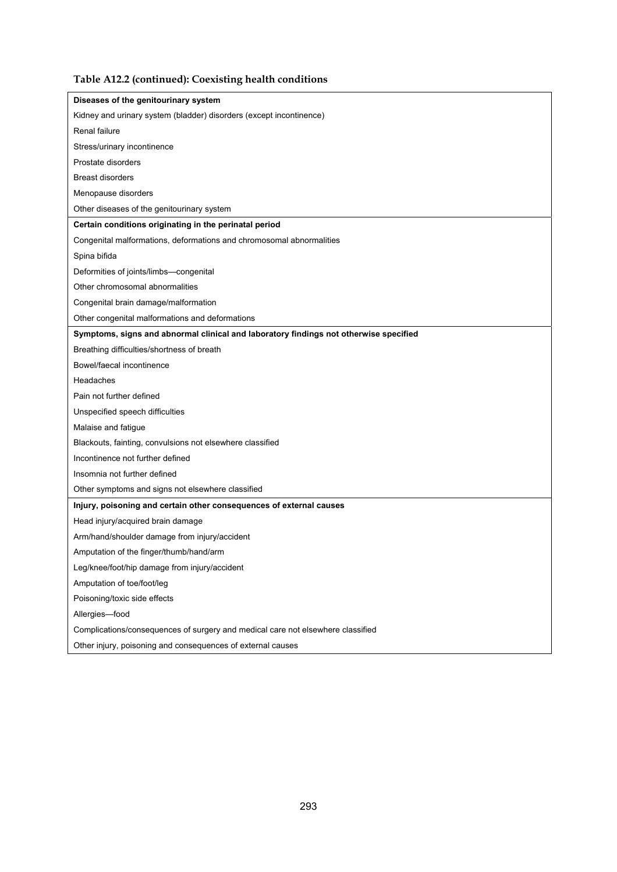### **Table A12.2 (continued): Coexisting health conditions**

| Diseases of the genitourinary system                                                  |
|---------------------------------------------------------------------------------------|
| Kidney and urinary system (bladder) disorders (except incontinence)                   |
| Renal failure                                                                         |
| Stress/urinary incontinence                                                           |
| Prostate disorders                                                                    |
| <b>Breast disorders</b>                                                               |
| Menopause disorders                                                                   |
| Other diseases of the genitourinary system                                            |
| Certain conditions originating in the perinatal period                                |
| Congenital malformations, deformations and chromosomal abnormalities                  |
| Spina bifida                                                                          |
| Deformities of joints/limbs-congenital                                                |
| Other chromosomal abnormalities                                                       |
| Congenital brain damage/malformation                                                  |
| Other congenital malformations and deformations                                       |
| Symptoms, signs and abnormal clinical and laboratory findings not otherwise specified |
| Breathing difficulties/shortness of breath                                            |
| Bowel/faecal incontinence                                                             |
| Headaches                                                                             |
| Pain not further defined                                                              |
| Unspecified speech difficulties                                                       |
| Malaise and fatigue                                                                   |
| Blackouts, fainting, convulsions not elsewhere classified                             |
| Incontinence not further defined                                                      |
| Insomnia not further defined                                                          |
| Other symptoms and signs not elsewhere classified                                     |
| Injury, poisoning and certain other consequences of external causes                   |
| Head injury/acquired brain damage                                                     |
| Arm/hand/shoulder damage from injury/accident                                         |
| Amputation of the finger/thumb/hand/arm                                               |
| Leg/knee/foot/hip damage from injury/accident                                         |
| Amputation of toe/foot/leg                                                            |
| Poisoning/toxic side effects                                                          |
| Allergies-food                                                                        |
| Complications/consequences of surgery and medical care not elsewhere classified       |
| Other injury, poisoning and consequences of external causes                           |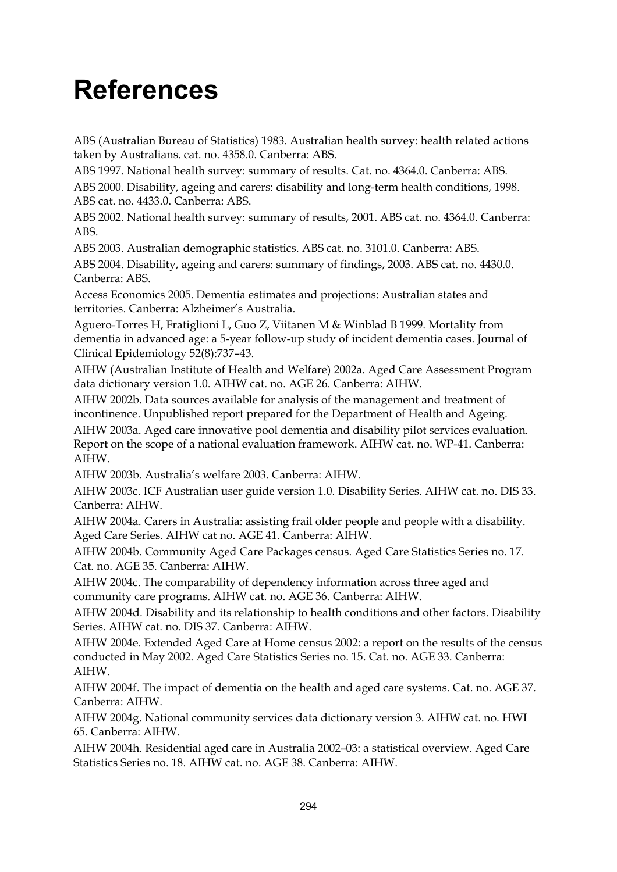## **References**

ABS (Australian Bureau of Statistics) 1983. Australian health survey: health related actions taken by Australians. cat. no. 4358.0. Canberra: ABS.

ABS 1997. National health survey: summary of results. Cat. no. 4364.0. Canberra: ABS.

ABS 2000. Disability, ageing and carers: disability and long-term health conditions, 1998. ABS cat. no. 4433.0. Canberra: ABS.

ABS 2002. National health survey: summary of results, 2001. ABS cat. no. 4364.0. Canberra: ABS.

ABS 2003. Australian demographic statistics. ABS cat. no. 3101.0. Canberra: ABS.

ABS 2004. Disability, ageing and carers: summary of findings, 2003. ABS cat. no. 4430.0. Canberra: ABS.

Access Economics 2005. Dementia estimates and projections: Australian states and territories. Canberra: Alzheimer's Australia.

Aguero-Torres H, Fratiglioni L, Guo Z, Viitanen M & Winblad B 1999. Mortality from dementia in advanced age: a 5-year follow-up study of incident dementia cases. Journal of Clinical Epidemiology 52(8):737–43.

AIHW (Australian Institute of Health and Welfare) 2002a. Aged Care Assessment Program data dictionary version 1.0. AIHW cat. no. AGE 26. Canberra: AIHW.

AIHW 2002b. Data sources available for analysis of the management and treatment of incontinence. Unpublished report prepared for the Department of Health and Ageing.

AIHW 2003a. Aged care innovative pool dementia and disability pilot services evaluation. Report on the scope of a national evaluation framework. AIHW cat. no. WP-41. Canberra: AIHW.

AIHW 2003b. Australia's welfare 2003. Canberra: AIHW.

AIHW 2003c. ICF Australian user guide version 1.0. Disability Series. AIHW cat. no. DIS 33. Canberra: AIHW.

AIHW 2004a. Carers in Australia: assisting frail older people and people with a disability. Aged Care Series. AIHW cat no. AGE 41. Canberra: AIHW.

AIHW 2004b. Community Aged Care Packages census. Aged Care Statistics Series no. 17. Cat. no. AGE 35. Canberra: AIHW.

AIHW 2004c. The comparability of dependency information across three aged and community care programs. AIHW cat. no. AGE 36. Canberra: AIHW.

AIHW 2004d. Disability and its relationship to health conditions and other factors. Disability Series. AIHW cat. no. DIS 37. Canberra: AIHW.

AIHW 2004e. Extended Aged Care at Home census 2002: a report on the results of the census conducted in May 2002. Aged Care Statistics Series no. 15. Cat. no. AGE 33. Canberra: AIHW.

AIHW 2004f. The impact of dementia on the health and aged care systems. Cat. no. AGE 37. Canberra: AIHW.

AIHW 2004g. National community services data dictionary version 3. AIHW cat. no. HWI 65. Canberra: AIHW.

AIHW 2004h. Residential aged care in Australia 2002–03: a statistical overview. Aged Care Statistics Series no. 18. AIHW cat. no. AGE 38. Canberra: AIHW.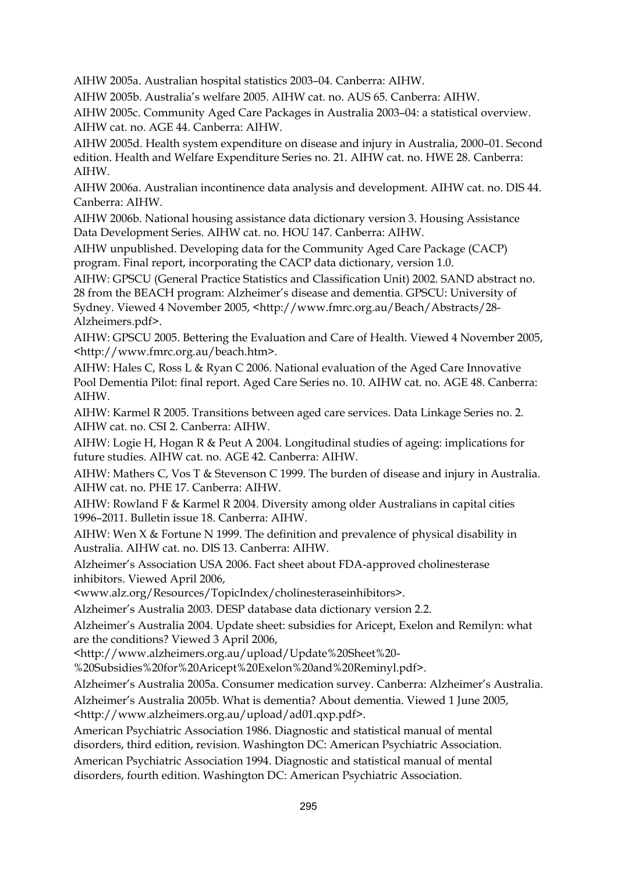AIHW 2005a. Australian hospital statistics 2003–04. Canberra: AIHW.

AIHW 2005b. Australia's welfare 2005. AIHW cat. no. AUS 65. Canberra: AIHW.

AIHW 2005c. Community Aged Care Packages in Australia 2003–04: a statistical overview. AIHW cat. no. AGE 44. Canberra: AIHW.

AIHW 2005d. Health system expenditure on disease and injury in Australia, 2000–01. Second edition. Health and Welfare Expenditure Series no. 21. AIHW cat. no. HWE 28. Canberra: AIHW.

AIHW 2006a. Australian incontinence data analysis and development. AIHW cat. no. DIS 44. Canberra: AIHW.

AIHW 2006b. National housing assistance data dictionary version 3. Housing Assistance Data Development Series. AIHW cat. no. HOU 147. Canberra: AIHW.

AIHW unpublished. Developing data for the Community Aged Care Package (CACP) program. Final report, incorporating the CACP data dictionary, version 1.0.

AIHW: GPSCU (General Practice Statistics and Classification Unit) 2002. SAND abstract no.

28 from the BEACH program: Alzheimer's disease and dementia. GPSCU: University of Sydney. Viewed 4 November 2005, <http://www.fmrc.org.au/Beach/Abstracts/28- Alzheimers.pdf>.

AIHW: GPSCU 2005. Bettering the Evaluation and Care of Health. Viewed 4 November 2005, <http://www.fmrc.org.au/beach.htm>.

AIHW: Hales C, Ross L & Ryan C 2006. National evaluation of the Aged Care Innovative Pool Dementia Pilot: final report. Aged Care Series no. 10. AIHW cat. no. AGE 48. Canberra: AIHW.

AIHW: Karmel R 2005. Transitions between aged care services. Data Linkage Series no. 2. AIHW cat. no. CSI 2. Canberra: AIHW.

AIHW: Logie H, Hogan R & Peut A 2004. Longitudinal studies of ageing: implications for future studies. AIHW cat. no. AGE 42. Canberra: AIHW.

AIHW: Mathers C, Vos T & Stevenson C 1999. The burden of disease and injury in Australia. AIHW cat. no. PHE 17. Canberra: AIHW.

AIHW: Rowland F & Karmel R 2004. Diversity among older Australians in capital cities 1996–2011. Bulletin issue 18. Canberra: AIHW.

AIHW: Wen X & Fortune N 1999. The definition and prevalence of physical disability in Australia. AIHW cat. no. DIS 13. Canberra: AIHW.

Alzheimer's Association USA 2006. Fact sheet about FDA-approved cholinesterase inhibitors. Viewed April 2006,

<www.alz.org/Resources/TopicIndex/cholinesteraseinhibitors>.

Alzheimer's Australia 2003. DESP database data dictionary version 2.2.

Alzheimer's Australia 2004. Update sheet: subsidies for Aricept, Exelon and Remilyn: what are the conditions? Viewed 3 April 2006,

<http://www.alzheimers.org.au/upload/Update%20Sheet%20-

%20Subsidies%20for%20Aricept%20Exelon%20and%20Reminyl.pdf>.

Alzheimer's Australia 2005a. Consumer medication survey. Canberra: Alzheimer's Australia.

Alzheimer's Australia 2005b. What is dementia? About dementia. Viewed 1 June 2005, <http://www.alzheimers.org.au/upload/ad01.qxp.pdf>.

American Psychiatric Association 1986. Diagnostic and statistical manual of mental disorders, third edition, revision. Washington DC: American Psychiatric Association.

American Psychiatric Association 1994. Diagnostic and statistical manual of mental disorders, fourth edition. Washington DC: American Psychiatric Association.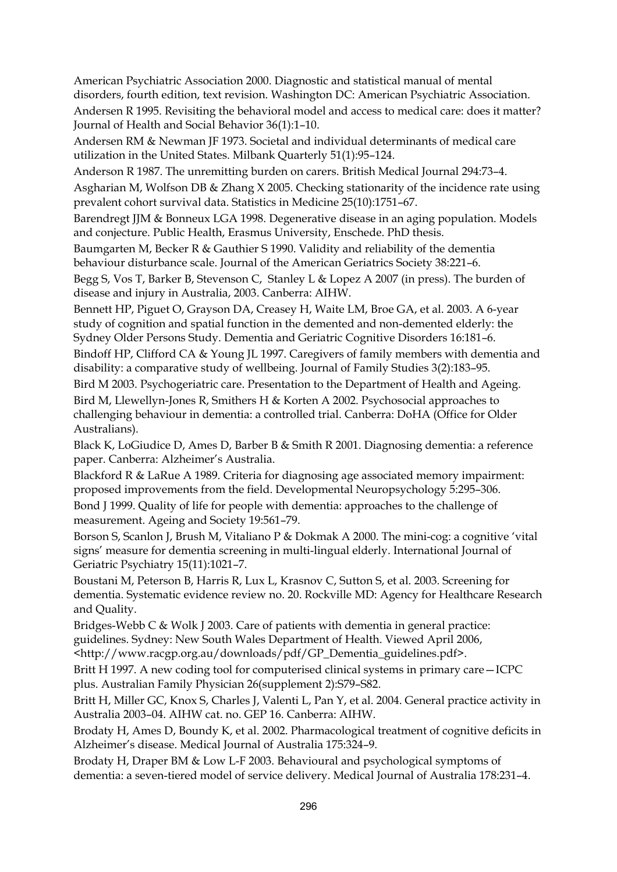American Psychiatric Association 2000. Diagnostic and statistical manual of mental disorders, fourth edition, text revision. Washington DC: American Psychiatric Association. Andersen R 1995. Revisiting the behavioral model and access to medical care: does it matter? Journal of Health and Social Behavior 36(1):1–10.

Andersen RM & Newman JF 1973. Societal and individual determinants of medical care utilization in the United States. Milbank Quarterly 51(1):95–124.

Anderson R 1987. The unremitting burden on carers. British Medical Journal 294:73–4.

Asgharian M, Wolfson DB & Zhang X 2005. Checking stationarity of the incidence rate using prevalent cohort survival data. Statistics in Medicine 25(10):1751–67.

Barendregt JJM & Bonneux LGA 1998. Degenerative disease in an aging population. Models and conjecture. Public Health, Erasmus University, Enschede. PhD thesis.

Baumgarten M, Becker R & Gauthier S 1990. Validity and reliability of the dementia behaviour disturbance scale. Journal of the American Geriatrics Society 38:221–6.

Begg S, Vos T, Barker B, Stevenson C, Stanley L & Lopez A 2007 (in press). The burden of disease and injury in Australia, 2003. Canberra: AIHW.

Bennett HP, Piguet O, Grayson DA, Creasey H, Waite LM, Broe GA, et al. 2003. A 6-year study of cognition and spatial function in the demented and non-demented elderly: the Sydney Older Persons Study. Dementia and Geriatric Cognitive Disorders 16:181–6.

Bindoff HP, Clifford CA & Young JL 1997. Caregivers of family members with dementia and disability: a comparative study of wellbeing. Journal of Family Studies 3(2):183–95.

Bird M 2003. Psychogeriatric care. Presentation to the Department of Health and Ageing. Bird M, Llewellyn-Jones R, Smithers H & Korten A 2002. Psychosocial approaches to challenging behaviour in dementia: a controlled trial. Canberra: DoHA (Office for Older Australians).

Black K, LoGiudice D, Ames D, Barber B & Smith R 2001. Diagnosing dementia: a reference paper. Canberra: Alzheimer's Australia.

Blackford R & LaRue A 1989. Criteria for diagnosing age associated memory impairment: proposed improvements from the field. Developmental Neuropsychology 5:295–306.

Bond J 1999. Quality of life for people with dementia: approaches to the challenge of measurement. Ageing and Society 19:561–79.

Borson S, Scanlon J, Brush M, Vitaliano P & Dokmak A 2000. The mini-cog: a cognitive 'vital signs' measure for dementia screening in multi-lingual elderly. International Journal of Geriatric Psychiatry 15(11):1021–7.

Boustani M, Peterson B, Harris R, Lux L, Krasnov C, Sutton S, et al. 2003. Screening for dementia. Systematic evidence review no. 20. Rockville MD: Agency for Healthcare Research and Quality.

Bridges-Webb C & Wolk J 2003. Care of patients with dementia in general practice: guidelines. Sydney: New South Wales Department of Health. Viewed April 2006, <http://www.racgp.org.au/downloads/pdf/GP\_Dementia\_guidelines.pdf>.

Britt H 1997. A new coding tool for computerised clinical systems in primary care—ICPC plus. Australian Family Physician 26(supplement 2):S79–S82.

Britt H, Miller GC, Knox S, Charles J, Valenti L, Pan Y, et al. 2004. General practice activity in Australia 2003–04. AIHW cat. no. GEP 16. Canberra: AIHW.

Brodaty H, Ames D, Boundy K, et al. 2002. Pharmacological treatment of cognitive deficits in Alzheimer's disease. Medical Journal of Australia 175:324–9.

Brodaty H, Draper BM & Low L-F 2003. Behavioural and psychological symptoms of dementia: a seven-tiered model of service delivery. Medical Journal of Australia 178:231–4.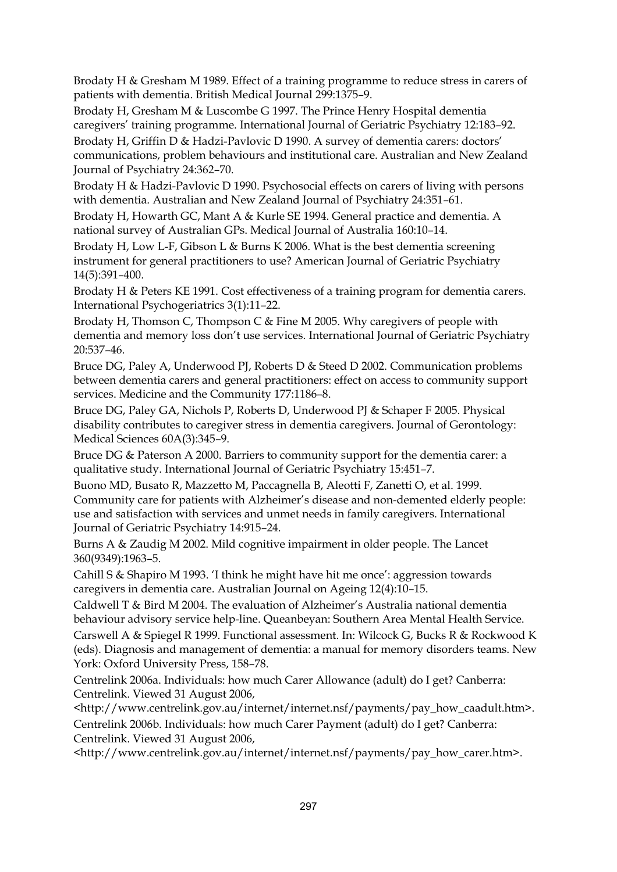Brodaty H & Gresham M 1989. Effect of a training programme to reduce stress in carers of patients with dementia. British Medical Journal 299:1375–9.

Brodaty H, Gresham M & Luscombe G 1997. The Prince Henry Hospital dementia caregivers' training programme. International Journal of Geriatric Psychiatry 12:183–92. Brodaty H, Griffin D & Hadzi-Pavlovic D 1990. A survey of dementia carers: doctors'

communications, problem behaviours and institutional care. Australian and New Zealand Journal of Psychiatry 24:362–70.

Brodaty H & Hadzi-Pavlovic D 1990. Psychosocial effects on carers of living with persons with dementia. Australian and New Zealand Journal of Psychiatry 24:351–61.

Brodaty H, Howarth GC, Mant A & Kurle SE 1994. General practice and dementia. A national survey of Australian GPs. Medical Journal of Australia 160:10–14.

Brodaty H, Low L-F, Gibson L & Burns K 2006. What is the best dementia screening instrument for general practitioners to use? American Journal of Geriatric Psychiatry 14(5):391–400.

Brodaty H & Peters KE 1991. Cost effectiveness of a training program for dementia carers. International Psychogeriatrics 3(1):11–22.

Brodaty H, Thomson C, Thompson C & Fine M 2005. Why caregivers of people with dementia and memory loss don't use services. International Journal of Geriatric Psychiatry 20:537–46.

Bruce DG, Paley A, Underwood PJ, Roberts D & Steed D 2002. Communication problems between dementia carers and general practitioners: effect on access to community support services. Medicine and the Community 177:1186–8.

Bruce DG, Paley GA, Nichols P, Roberts D, Underwood PJ & Schaper F 2005. Physical disability contributes to caregiver stress in dementia caregivers. Journal of Gerontology: Medical Sciences 60A(3):345–9.

Bruce DG & Paterson A 2000. Barriers to community support for the dementia carer: a qualitative study. International Journal of Geriatric Psychiatry 15:451–7.

Buono MD, Busato R, Mazzetto M, Paccagnella B, Aleotti F, Zanetti O, et al. 1999. Community care for patients with Alzheimer's disease and non-demented elderly people: use and satisfaction with services and unmet needs in family caregivers. International Journal of Geriatric Psychiatry 14:915–24.

Burns A & Zaudig M 2002. Mild cognitive impairment in older people. The Lancet 360(9349):1963–5.

Cahill S & Shapiro M 1993. 'I think he might have hit me once': aggression towards caregivers in dementia care. Australian Journal on Ageing 12(4):10–15.

Caldwell T & Bird M 2004. The evaluation of Alzheimer's Australia national dementia behaviour advisory service help-line. Queanbeyan: Southern Area Mental Health Service.

Carswell A & Spiegel R 1999. Functional assessment. In: Wilcock G, Bucks R & Rockwood K (eds). Diagnosis and management of dementia: a manual for memory disorders teams. New York: Oxford University Press, 158–78.

Centrelink 2006a. Individuals: how much Carer Allowance (adult) do I get? Canberra: Centrelink. Viewed 31 August 2006,

<http://www.centrelink.gov.au/internet/internet.nsf/payments/pay\_how\_caadult.htm>.

Centrelink 2006b. Individuals: how much Carer Payment (adult) do I get? Canberra: Centrelink. Viewed 31 August 2006,

<http://www.centrelink.gov.au/internet/internet.nsf/payments/pay\_how\_carer.htm>.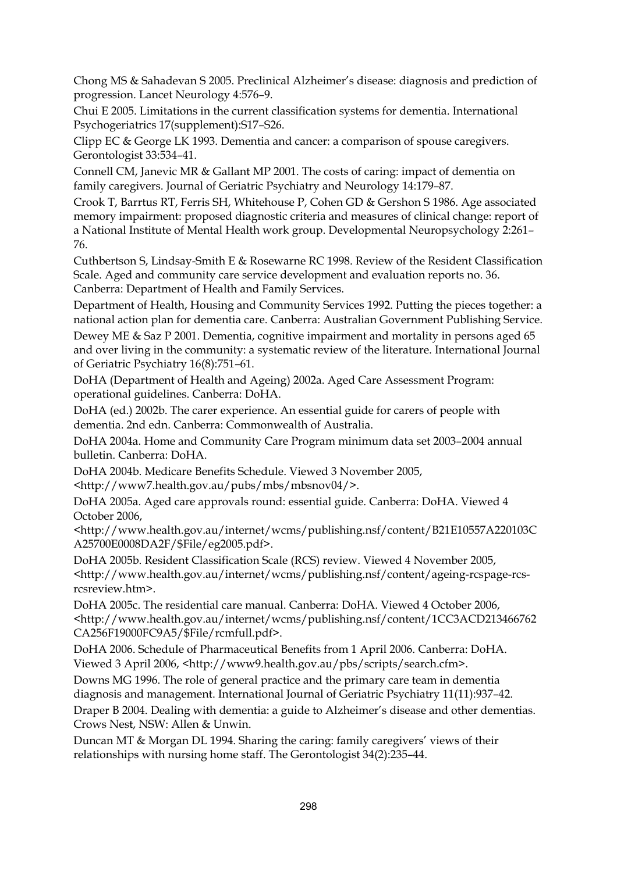Chong MS & Sahadevan S 2005. Preclinical Alzheimer's disease: diagnosis and prediction of progression. Lancet Neurology 4:576–9.

Chui E 2005. Limitations in the current classification systems for dementia. International Psychogeriatrics 17(supplement):S17–S26.

Clipp EC & George LK 1993. Dementia and cancer: a comparison of spouse caregivers. Gerontologist 33:534–41.

Connell CM, Janevic MR & Gallant MP 2001. The costs of caring: impact of dementia on family caregivers. Journal of Geriatric Psychiatry and Neurology 14:179–87.

Crook T, Barrtus RT, Ferris SH, Whitehouse P, Cohen GD & Gershon S 1986. Age associated memory impairment: proposed diagnostic criteria and measures of clinical change: report of a National Institute of Mental Health work group. Developmental Neuropsychology 2:261– 76.

Cuthbertson S, Lindsay-Smith E & Rosewarne RC 1998. Review of the Resident Classification Scale. Aged and community care service development and evaluation reports no. 36. Canberra: Department of Health and Family Services.

Department of Health, Housing and Community Services 1992. Putting the pieces together: a national action plan for dementia care. Canberra: Australian Government Publishing Service.

Dewey ME & Saz P 2001. Dementia, cognitive impairment and mortality in persons aged 65 and over living in the community: a systematic review of the literature. International Journal of Geriatric Psychiatry 16(8):751–61.

DoHA (Department of Health and Ageing) 2002a. Aged Care Assessment Program: operational guidelines. Canberra: DoHA.

DoHA (ed.) 2002b. The carer experience. An essential guide for carers of people with dementia. 2nd edn. Canberra: Commonwealth of Australia.

DoHA 2004a. Home and Community Care Program minimum data set 2003–2004 annual bulletin. Canberra: DoHA.

DoHA 2004b. Medicare Benefits Schedule. Viewed 3 November 2005,

<http://www7.health.gov.au/pubs/mbs/mbsnov04/>.

DoHA 2005a. Aged care approvals round: essential guide. Canberra: DoHA. Viewed 4 October 2006,

<http://www.health.gov.au/internet/wcms/publishing.nsf/content/B21E10557A220103C A25700E0008DA2F/\$File/eg2005.pdf>.

DoHA 2005b. Resident Classification Scale (RCS) review. Viewed 4 November 2005, <http://www.health.gov.au/internet/wcms/publishing.nsf/content/ageing-rcspage-rcsrcsreview.htm>.

DoHA 2005c. The residential care manual. Canberra: DoHA. Viewed 4 October 2006, <http://www.health.gov.au/internet/wcms/publishing.nsf/content/1CC3ACD213466762 CA256F19000FC9A5/\$File/rcmfull.pdf>.

DoHA 2006. Schedule of Pharmaceutical Benefits from 1 April 2006. Canberra: DoHA. Viewed 3 April 2006, <http://www9.health.gov.au/pbs/scripts/search.cfm>.

Downs MG 1996. The role of general practice and the primary care team in dementia diagnosis and management. International Journal of Geriatric Psychiatry 11(11):937–42.

Draper B 2004. Dealing with dementia: a guide to Alzheimer's disease and other dementias. Crows Nest, NSW: Allen & Unwin.

Duncan MT & Morgan DL 1994. Sharing the caring: family caregivers' views of their relationships with nursing home staff. The Gerontologist 34(2):235–44.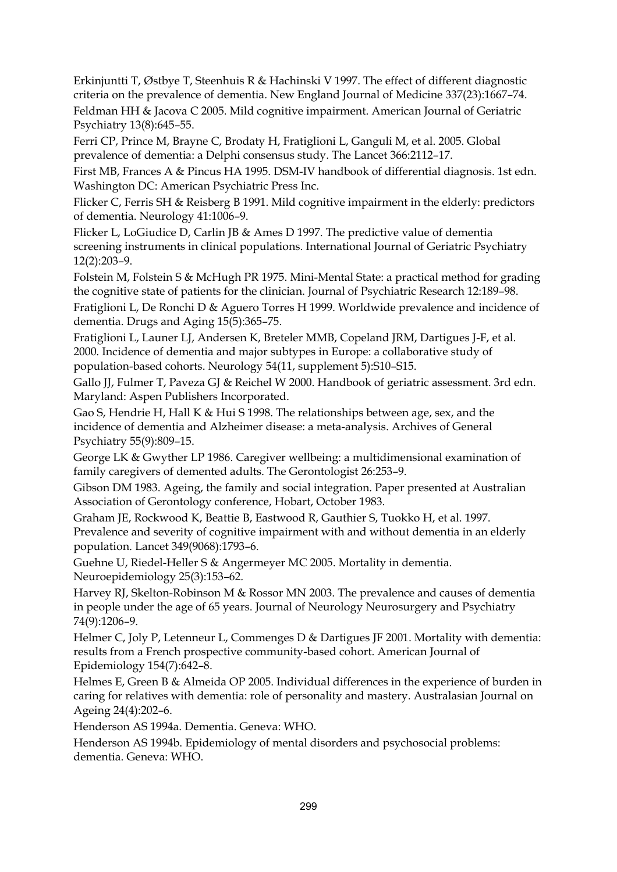Erkinjuntti T, Østbye T, Steenhuis R & Hachinski V 1997. The effect of different diagnostic criteria on the prevalence of dementia. New England Journal of Medicine 337(23):1667–74. Feldman HH & Jacova C 2005. Mild cognitive impairment. American Journal of Geriatric Psychiatry 13(8):645–55.

Ferri CP, Prince M, Brayne C, Brodaty H, Fratiglioni L, Ganguli M, et al. 2005. Global prevalence of dementia: a Delphi consensus study. The Lancet 366:2112–17.

First MB, Frances A & Pincus HA 1995. DSM-IV handbook of differential diagnosis. 1st edn. Washington DC: American Psychiatric Press Inc.

Flicker C, Ferris SH & Reisberg B 1991. Mild cognitive impairment in the elderly: predictors of dementia. Neurology 41:1006–9.

Flicker L, LoGiudice D, Carlin JB & Ames D 1997. The predictive value of dementia screening instruments in clinical populations. International Journal of Geriatric Psychiatry 12(2):203–9.

Folstein M, Folstein S & McHugh PR 1975. Mini-Mental State: a practical method for grading the cognitive state of patients for the clinician. Journal of Psychiatric Research 12:189–98.

Fratiglioni L, De Ronchi D & Aguero Torres H 1999. Worldwide prevalence and incidence of dementia. Drugs and Aging 15(5):365–75.

Fratiglioni L, Launer LJ, Andersen K, Breteler MMB, Copeland JRM, Dartigues J-F, et al. 2000. Incidence of dementia and major subtypes in Europe: a collaborative study of population-based cohorts. Neurology 54(11, supplement 5):S10–S15.

Gallo JJ, Fulmer T, Paveza GJ & Reichel W 2000. Handbook of geriatric assessment. 3rd edn. Maryland: Aspen Publishers Incorporated.

Gao S, Hendrie H, Hall K & Hui S 1998. The relationships between age, sex, and the incidence of dementia and Alzheimer disease: a meta-analysis. Archives of General Psychiatry 55(9):809–15.

George LK & Gwyther LP 1986. Caregiver wellbeing: a multidimensional examination of family caregivers of demented adults. The Gerontologist 26:253–9.

Gibson DM 1983. Ageing, the family and social integration. Paper presented at Australian Association of Gerontology conference, Hobart, October 1983.

Graham JE, Rockwood K, Beattie B, Eastwood R, Gauthier S, Tuokko H, et al. 1997. Prevalence and severity of cognitive impairment with and without dementia in an elderly population. Lancet 349(9068):1793–6.

Guehne U, Riedel-Heller S & Angermeyer MC 2005. Mortality in dementia. Neuroepidemiology 25(3):153–62.

Harvey RJ, Skelton-Robinson M & Rossor MN 2003. The prevalence and causes of dementia in people under the age of 65 years. Journal of Neurology Neurosurgery and Psychiatry 74(9):1206–9.

Helmer C, Joly P, Letenneur L, Commenges D & Dartigues JF 2001. Mortality with dementia: results from a French prospective community-based cohort. American Journal of Epidemiology 154(7):642–8.

Helmes E, Green B & Almeida OP 2005. Individual differences in the experience of burden in caring for relatives with dementia: role of personality and mastery. Australasian Journal on Ageing 24(4):202–6.

Henderson AS 1994a. Dementia. Geneva: WHO.

Henderson AS 1994b. Epidemiology of mental disorders and psychosocial problems: dementia. Geneva: WHO.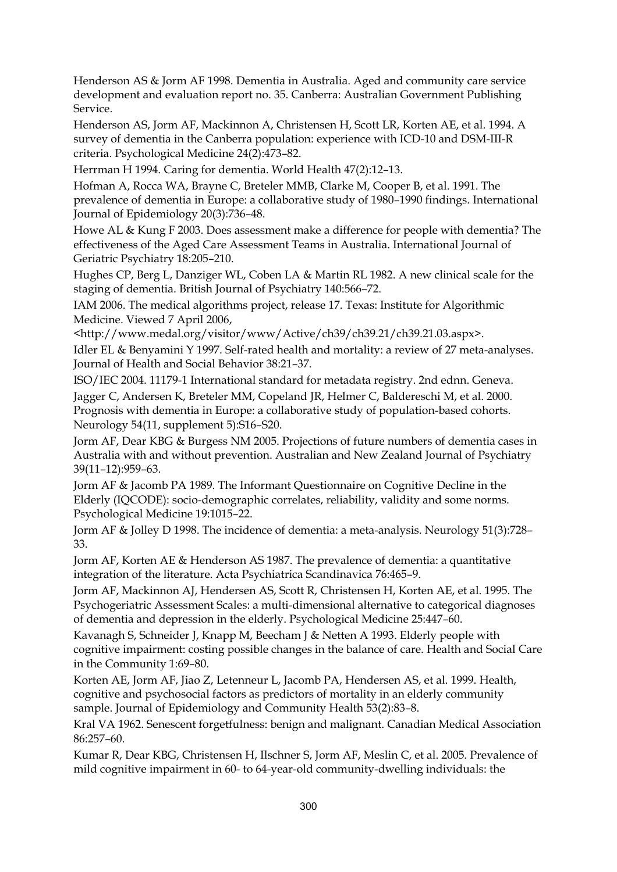Henderson AS & Jorm AF 1998. Dementia in Australia. Aged and community care service development and evaluation report no. 35. Canberra: Australian Government Publishing Service.

Henderson AS, Jorm AF, Mackinnon A, Christensen H, Scott LR, Korten AE, et al. 1994. A survey of dementia in the Canberra population: experience with ICD-10 and DSM-III-R criteria. Psychological Medicine 24(2):473–82.

Herrman H 1994. Caring for dementia. World Health 47(2):12–13.

Hofman A, Rocca WA, Brayne C, Breteler MMB, Clarke M, Cooper B, et al. 1991. The prevalence of dementia in Europe: a collaborative study of 1980–1990 findings. International Journal of Epidemiology 20(3):736–48.

Howe AL & Kung F 2003. Does assessment make a difference for people with dementia? The effectiveness of the Aged Care Assessment Teams in Australia. International Journal of Geriatric Psychiatry 18:205–210.

Hughes CP, Berg L, Danziger WL, Coben LA & Martin RL 1982. A new clinical scale for the staging of dementia. British Journal of Psychiatry 140:566–72.

IAM 2006. The medical algorithms project, release 17. Texas: Institute for Algorithmic Medicine. Viewed 7 April 2006,

<http://www.medal.org/visitor/www/Active/ch39/ch39.21/ch39.21.03.aspx>.

Idler EL & Benyamini Y 1997. Self-rated health and mortality: a review of 27 meta-analyses. Journal of Health and Social Behavior 38:21–37.

ISO/IEC 2004. 11179-1 International standard for metadata registry. 2nd ednn. Geneva.

Jagger C, Andersen K, Breteler MM, Copeland JR, Helmer C, Baldereschi M, et al. 2000. Prognosis with dementia in Europe: a collaborative study of population-based cohorts. Neurology 54(11, supplement 5):S16–S20.

Jorm AF, Dear KBG & Burgess NM 2005. Projections of future numbers of dementia cases in Australia with and without prevention. Australian and New Zealand Journal of Psychiatry 39(11–12):959–63.

Jorm AF & Jacomb PA 1989. The Informant Questionnaire on Cognitive Decline in the Elderly (IQCODE): socio-demographic correlates, reliability, validity and some norms. Psychological Medicine 19:1015–22.

Jorm AF & Jolley D 1998. The incidence of dementia: a meta-analysis. Neurology 51(3):728– 33.

Jorm AF, Korten AE & Henderson AS 1987. The prevalence of dementia: a quantitative integration of the literature. Acta Psychiatrica Scandinavica 76:465–9.

Jorm AF, Mackinnon AJ, Hendersen AS, Scott R, Christensen H, Korten AE, et al. 1995. The Psychogeriatric Assessment Scales: a multi-dimensional alternative to categorical diagnoses of dementia and depression in the elderly. Psychological Medicine 25:447–60.

Kavanagh S, Schneider J, Knapp M, Beecham J & Netten A 1993. Elderly people with cognitive impairment: costing possible changes in the balance of care. Health and Social Care in the Community 1:69–80.

Korten AE, Jorm AF, Jiao Z, Letenneur L, Jacomb PA, Hendersen AS, et al. 1999. Health, cognitive and psychosocial factors as predictors of mortality in an elderly community sample. Journal of Epidemiology and Community Health 53(2):83–8.

Kral VA 1962. Senescent forgetfulness: benign and malignant. Canadian Medical Association 86:257–60.

Kumar R, Dear KBG, Christensen H, Ilschner S, Jorm AF, Meslin C, et al. 2005. Prevalence of mild cognitive impairment in 60- to 64-year-old community-dwelling individuals: the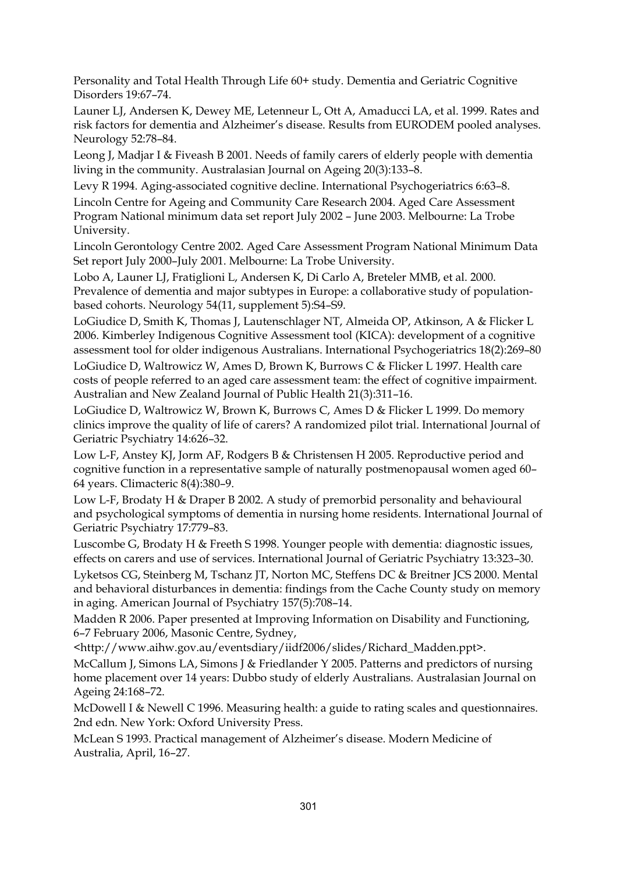Personality and Total Health Through Life 60+ study. Dementia and Geriatric Cognitive Disorders 19:67–74.

Launer LJ, Andersen K, Dewey ME, Letenneur L, Ott A, Amaducci LA, et al. 1999. Rates and risk factors for dementia and Alzheimer's disease. Results from EURODEM pooled analyses. Neurology 52:78–84.

Leong J, Madjar I & Fiveash B 2001. Needs of family carers of elderly people with dementia living in the community. Australasian Journal on Ageing 20(3):133–8.

Levy R 1994. Aging-associated cognitive decline. International Psychogeriatrics 6:63–8.

Lincoln Centre for Ageing and Community Care Research 2004. Aged Care Assessment Program National minimum data set report July 2002 – June 2003. Melbourne: La Trobe University.

Lincoln Gerontology Centre 2002. Aged Care Assessment Program National Minimum Data Set report July 2000–July 2001. Melbourne: La Trobe University.

Lobo A, Launer LJ, Fratiglioni L, Andersen K, Di Carlo A, Breteler MMB, et al. 2000. Prevalence of dementia and major subtypes in Europe: a collaborative study of populationbased cohorts. Neurology 54(11, supplement 5):S4–S9.

LoGiudice D, Smith K, Thomas J, Lautenschlager NT, Almeida OP, Atkinson, A & Flicker L 2006. Kimberley Indigenous Cognitive Assessment tool (KICA): development of a cognitive assessment tool for older indigenous Australians. International Psychogeriatrics 18(2):269–80

LoGiudice D, Waltrowicz W, Ames D, Brown K, Burrows C & Flicker L 1997. Health care costs of people referred to an aged care assessment team: the effect of cognitive impairment. Australian and New Zealand Journal of Public Health 21(3):311–16.

LoGiudice D, Waltrowicz W, Brown K, Burrows C, Ames D & Flicker L 1999. Do memory clinics improve the quality of life of carers? A randomized pilot trial. International Journal of Geriatric Psychiatry 14:626–32.

Low L-F, Anstey KJ, Jorm AF, Rodgers B & Christensen H 2005. Reproductive period and cognitive function in a representative sample of naturally postmenopausal women aged 60– 64 years. Climacteric 8(4):380–9.

Low L-F, Brodaty H & Draper B 2002. A study of premorbid personality and behavioural and psychological symptoms of dementia in nursing home residents. International Journal of Geriatric Psychiatry 17:779–83.

Luscombe G, Brodaty H & Freeth S 1998. Younger people with dementia: diagnostic issues, effects on carers and use of services. International Journal of Geriatric Psychiatry 13:323–30.

Lyketsos CG, Steinberg M, Tschanz JT, Norton MC, Steffens DC & Breitner JCS 2000. Mental and behavioral disturbances in dementia: findings from the Cache County study on memory in aging. American Journal of Psychiatry 157(5):708–14.

Madden R 2006. Paper presented at Improving Information on Disability and Functioning, 6–7 February 2006, Masonic Centre, Sydney,

<http://www.aihw.gov.au/eventsdiary/iidf2006/slides/Richard\_Madden.ppt>.

McCallum J, Simons LA, Simons J & Friedlander Y 2005. Patterns and predictors of nursing home placement over 14 years: Dubbo study of elderly Australians. Australasian Journal on Ageing 24:168–72.

McDowell I & Newell C 1996. Measuring health: a guide to rating scales and questionnaires. 2nd edn. New York: Oxford University Press.

McLean S 1993. Practical management of Alzheimer's disease. Modern Medicine of Australia, April, 16–27.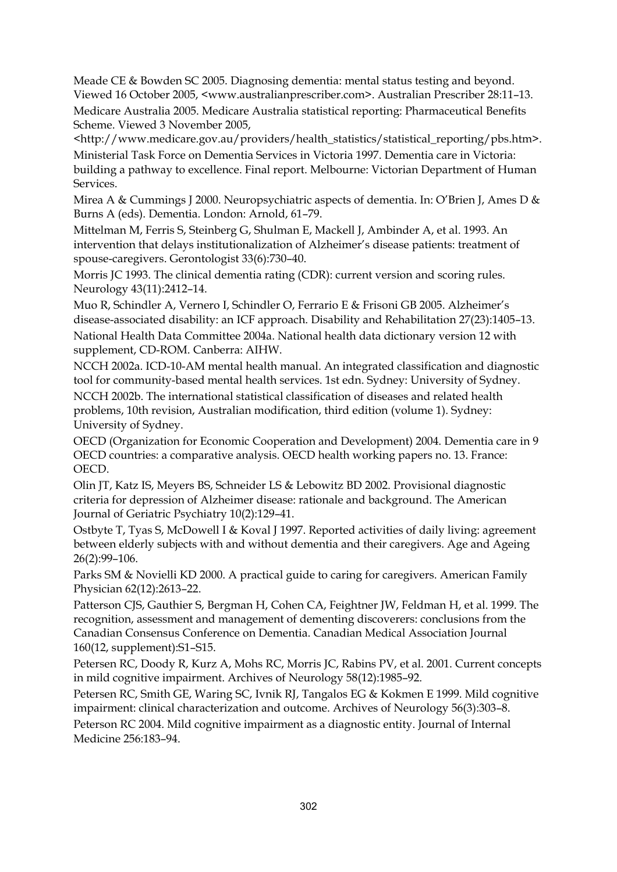Meade CE & Bowden SC 2005. Diagnosing dementia: mental status testing and beyond. Viewed 16 October 2005, <www.australianprescriber.com>. Australian Prescriber 28:11–13. Medicare Australia 2005. Medicare Australia statistical reporting: Pharmaceutical Benefits Scheme. Viewed 3 November 2005,

<http://www.medicare.gov.au/providers/health\_statistics/statistical\_reporting/pbs.htm>. Ministerial Task Force on Dementia Services in Victoria 1997. Dementia care in Victoria: building a pathway to excellence. Final report. Melbourne: Victorian Department of Human Services.

Mirea A & Cummings J 2000. Neuropsychiatric aspects of dementia. In: O'Brien J, Ames D & Burns A (eds). Dementia. London: Arnold, 61–79.

Mittelman M, Ferris S, Steinberg G, Shulman E, Mackell J, Ambinder A, et al. 1993. An intervention that delays institutionalization of Alzheimer's disease patients: treatment of spouse-caregivers. Gerontologist 33(6):730–40.

Morris JC 1993. The clinical dementia rating (CDR): current version and scoring rules. Neurology 43(11):2412–14.

Muo R, Schindler A, Vernero I, Schindler O, Ferrario E & Frisoni GB 2005. Alzheimer's disease-associated disability: an ICF approach. Disability and Rehabilitation 27(23):1405–13. National Health Data Committee 2004a. National health data dictionary version 12 with

supplement, CD-ROM. Canberra: AIHW. NCCH 2002a. ICD-10-AM mental health manual. An integrated classification and diagnostic

tool for community-based mental health services. 1st edn. Sydney: University of Sydney. NCCH 2002b. The international statistical classification of diseases and related health problems, 10th revision, Australian modification, third edition (volume 1). Sydney: University of Sydney.

OECD (Organization for Economic Cooperation and Development) 2004. Dementia care in 9 OECD countries: a comparative analysis. OECD health working papers no. 13. France: OECD.

Olin JT, Katz IS, Meyers BS, Schneider LS & Lebowitz BD 2002. Provisional diagnostic criteria for depression of Alzheimer disease: rationale and background. The American Journal of Geriatric Psychiatry 10(2):129–41.

Ostbyte T, Tyas S, McDowell I & Koval J 1997. Reported activities of daily living: agreement between elderly subjects with and without dementia and their caregivers. Age and Ageing 26(2):99–106.

Parks SM & Novielli KD 2000. A practical guide to caring for caregivers. American Family Physician 62(12):2613–22.

Patterson CJS, Gauthier S, Bergman H, Cohen CA, Feightner JW, Feldman H, et al. 1999. The recognition, assessment and management of dementing discoverers: conclusions from the Canadian Consensus Conference on Dementia. Canadian Medical Association Journal 160(12, supplement):S1–S15.

Petersen RC, Doody R, Kurz A, Mohs RC, Morris JC, Rabins PV, et al. 2001. Current concepts in mild cognitive impairment. Archives of Neurology 58(12):1985–92.

Petersen RC, Smith GE, Waring SC, Ivnik RJ, Tangalos EG & Kokmen E 1999. Mild cognitive impairment: clinical characterization and outcome. Archives of Neurology 56(3):303–8.

Peterson RC 2004. Mild cognitive impairment as a diagnostic entity. Journal of Internal Medicine 256:183–94.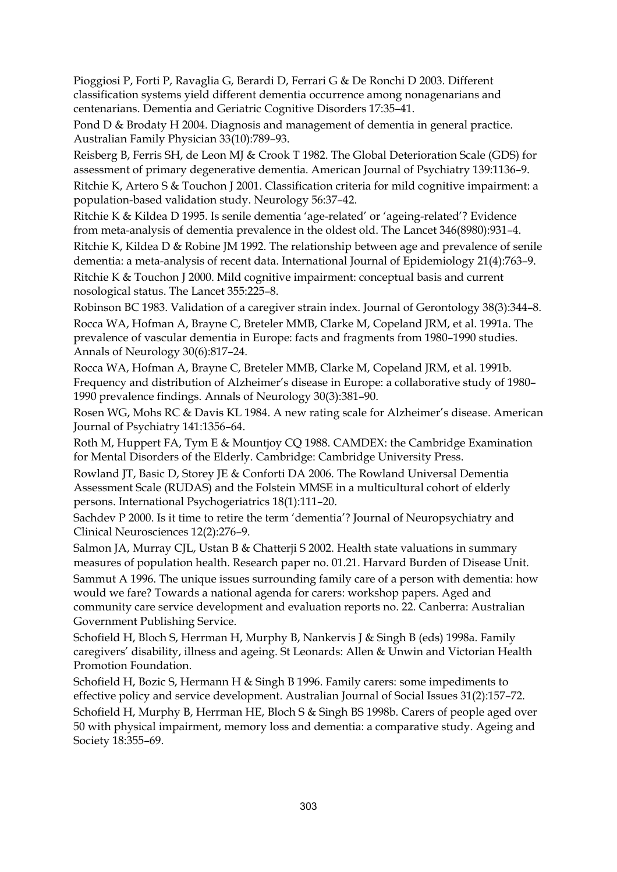Pioggiosi P, Forti P, Ravaglia G, Berardi D, Ferrari G & De Ronchi D 2003. Different classification systems yield different dementia occurrence among nonagenarians and centenarians. Dementia and Geriatric Cognitive Disorders 17:35–41.

Pond D & Brodaty H 2004. Diagnosis and management of dementia in general practice. Australian Family Physician 33(10):789–93.

Reisberg B, Ferris SH, de Leon MJ & Crook T 1982. The Global Deterioration Scale (GDS) for assessment of primary degenerative dementia. American Journal of Psychiatry 139:1136–9. Ritchie K, Artero S & Touchon J 2001. Classification criteria for mild cognitive impairment: a population-based validation study. Neurology 56:37–42.

Ritchie K & Kildea D 1995. Is senile dementia 'age-related' or 'ageing-related'? Evidence from meta-analysis of dementia prevalence in the oldest old. The Lancet 346(8980):931–4. Ritchie K, Kildea D & Robine JM 1992. The relationship between age and prevalence of senile dementia: a meta-analysis of recent data. International Journal of Epidemiology 21(4):763–9. Ritchie K & Touchon J 2000. Mild cognitive impairment: conceptual basis and current nosological status. The Lancet 355:225–8.

Robinson BC 1983. Validation of a caregiver strain index. Journal of Gerontology 38(3):344–8. Rocca WA, Hofman A, Brayne C, Breteler MMB, Clarke M, Copeland JRM, et al. 1991a. The prevalence of vascular dementia in Europe: facts and fragments from 1980–1990 studies. Annals of Neurology 30(6):817–24.

Rocca WA, Hofman A, Brayne C, Breteler MMB, Clarke M, Copeland JRM, et al. 1991b. Frequency and distribution of Alzheimer's disease in Europe: a collaborative study of 1980– 1990 prevalence findings. Annals of Neurology 30(3):381–90.

Rosen WG, Mohs RC & Davis KL 1984. A new rating scale for Alzheimer's disease. American Journal of Psychiatry 141:1356–64.

Roth M, Huppert FA, Tym E & Mountjoy CQ 1988. CAMDEX: the Cambridge Examination for Mental Disorders of the Elderly. Cambridge: Cambridge University Press.

Rowland JT, Basic D, Storey JE & Conforti DA 2006. The Rowland Universal Dementia Assessment Scale (RUDAS) and the Folstein MMSE in a multicultural cohort of elderly persons. International Psychogeriatrics 18(1):111–20.

Sachdev P 2000. Is it time to retire the term 'dementia'? Journal of Neuropsychiatry and Clinical Neurosciences 12(2):276–9.

Salmon JA, Murray CJL, Ustan B & Chatterji S 2002. Health state valuations in summary measures of population health. Research paper no. 01.21. Harvard Burden of Disease Unit. Sammut A 1996. The unique issues surrounding family care of a person with dementia: how would we fare? Towards a national agenda for carers: workshop papers. Aged and community care service development and evaluation reports no. 22. Canberra: Australian Government Publishing Service.

Schofield H, Bloch S, Herrman H, Murphy B, Nankervis J & Singh B (eds) 1998a. Family caregivers' disability, illness and ageing. St Leonards: Allen & Unwin and Victorian Health Promotion Foundation.

Schofield H, Bozic S, Hermann H & Singh B 1996. Family carers: some impediments to effective policy and service development. Australian Journal of Social Issues 31(2):157–72. Schofield H, Murphy B, Herrman HE, Bloch S & Singh BS 1998b. Carers of people aged over 50 with physical impairment, memory loss and dementia: a comparative study. Ageing and Society 18:355–69.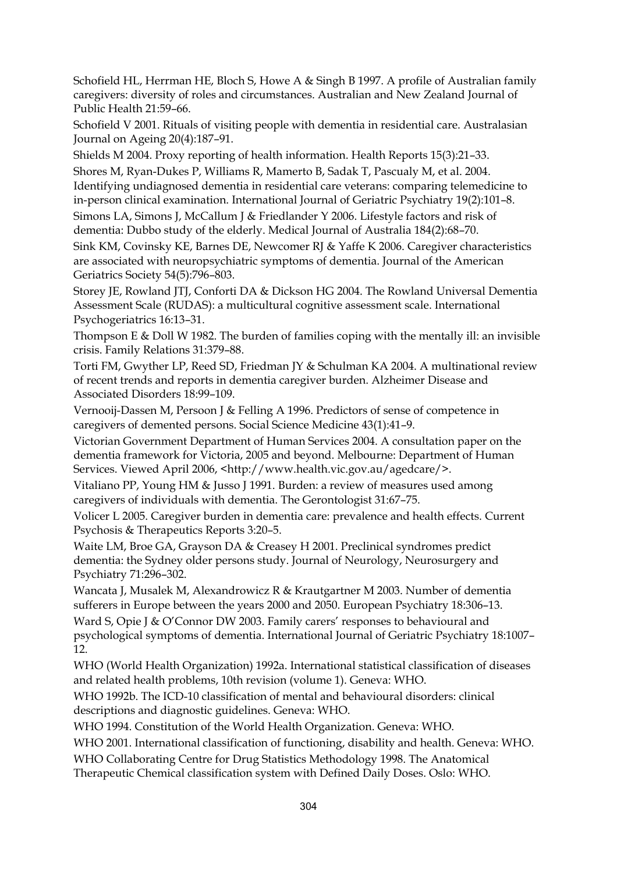Schofield HL, Herrman HE, Bloch S, Howe A & Singh B 1997. A profile of Australian family caregivers: diversity of roles and circumstances. Australian and New Zealand Journal of Public Health 21:59–66.

Schofield V 2001. Rituals of visiting people with dementia in residential care. Australasian Journal on Ageing 20(4):187–91.

Shields M 2004. Proxy reporting of health information. Health Reports 15(3):21–33.

Shores M, Ryan-Dukes P, Williams R, Mamerto B, Sadak T, Pascualy M, et al. 2004. Identifying undiagnosed dementia in residential care veterans: comparing telemedicine to in-person clinical examination. International Journal of Geriatric Psychiatry 19(2):101–8.

Simons LA, Simons J, McCallum J & Friedlander Y 2006. Lifestyle factors and risk of dementia: Dubbo study of the elderly. Medical Journal of Australia 184(2):68–70.

Sink KM, Covinsky KE, Barnes DE, Newcomer RJ & Yaffe K 2006. Caregiver characteristics are associated with neuropsychiatric symptoms of dementia. Journal of the American Geriatrics Society 54(5):796–803.

Storey JE, Rowland JTJ, Conforti DA & Dickson HG 2004. The Rowland Universal Dementia Assessment Scale (RUDAS): a multicultural cognitive assessment scale. International Psychogeriatrics 16:13–31.

Thompson E & Doll W 1982. The burden of families coping with the mentally ill: an invisible crisis. Family Relations 31:379–88.

Torti FM, Gwyther LP, Reed SD, Friedman JY & Schulman KA 2004. A multinational review of recent trends and reports in dementia caregiver burden. Alzheimer Disease and Associated Disorders 18:99–109.

Vernooij-Dassen M, Persoon J & Felling A 1996. Predictors of sense of competence in caregivers of demented persons. Social Science Medicine 43(1):41–9.

Victorian Government Department of Human Services 2004. A consultation paper on the dementia framework for Victoria, 2005 and beyond. Melbourne: Department of Human Services. Viewed April 2006, <http://www.health.vic.gov.au/agedcare/>.

Vitaliano PP, Young HM & Jusso J 1991. Burden: a review of measures used among caregivers of individuals with dementia. The Gerontologist 31:67–75.

Volicer L 2005. Caregiver burden in dementia care: prevalence and health effects. Current Psychosis & Therapeutics Reports 3:20–5.

Waite LM, Broe GA, Grayson DA & Creasey H 2001. Preclinical syndromes predict dementia: the Sydney older persons study. Journal of Neurology, Neurosurgery and Psychiatry 71:296–302.

Wancata J, Musalek M, Alexandrowicz R & Krautgartner M 2003. Number of dementia sufferers in Europe between the years 2000 and 2050. European Psychiatry 18:306–13.

Ward S, Opie J & O'Connor DW 2003. Family carers' responses to behavioural and psychological symptoms of dementia. International Journal of Geriatric Psychiatry 18:1007– 12.

WHO (World Health Organization) 1992a. International statistical classification of diseases and related health problems, 10th revision (volume 1). Geneva: WHO.

WHO 1992b. The ICD-10 classification of mental and behavioural disorders: clinical descriptions and diagnostic guidelines. Geneva: WHO.

WHO 1994. Constitution of the World Health Organization. Geneva: WHO.

WHO 2001. International classification of functioning, disability and health. Geneva: WHO.

WHO Collaborating Centre for Drug Statistics Methodology 1998. The Anatomical

Therapeutic Chemical classification system with Defined Daily Doses. Oslo: WHO.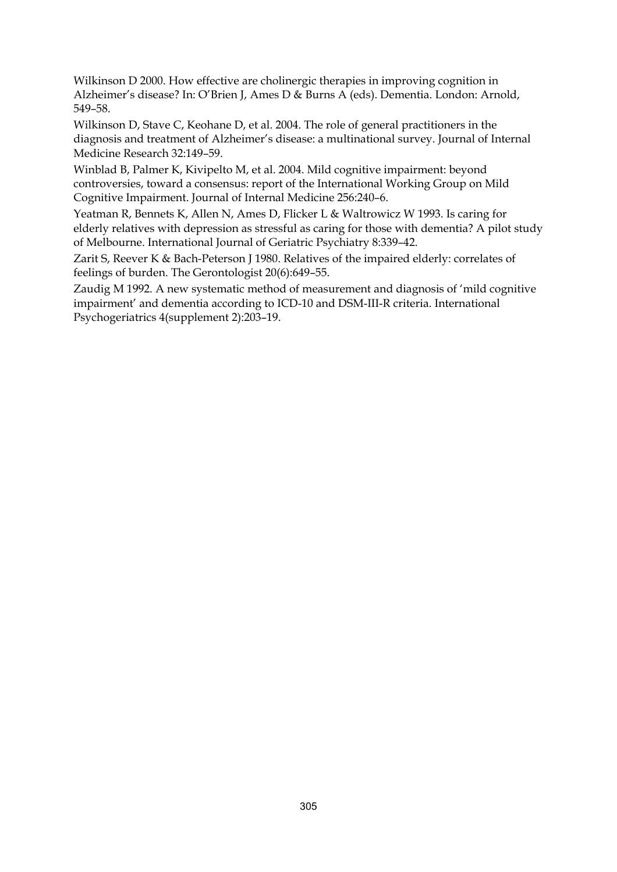Wilkinson D 2000. How effective are cholinergic therapies in improving cognition in Alzheimer's disease? In: O'Brien J, Ames D & Burns A (eds). Dementia. London: Arnold, 549–58.

Wilkinson D, Stave C, Keohane D, et al. 2004. The role of general practitioners in the diagnosis and treatment of Alzheimer's disease: a multinational survey. Journal of Internal Medicine Research 32:149–59.

Winblad B, Palmer K, Kivipelto M, et al. 2004. Mild cognitive impairment: beyond controversies, toward a consensus: report of the International Working Group on Mild Cognitive Impairment. Journal of Internal Medicine 256:240–6.

Yeatman R, Bennets K, Allen N, Ames D, Flicker L & Waltrowicz W 1993. Is caring for elderly relatives with depression as stressful as caring for those with dementia? A pilot study of Melbourne. International Journal of Geriatric Psychiatry 8:339–42.

Zarit S, Reever K & Bach-Peterson J 1980. Relatives of the impaired elderly: correlates of feelings of burden. The Gerontologist 20(6):649–55.

Zaudig M 1992. A new systematic method of measurement and diagnosis of 'mild cognitive impairment' and dementia according to ICD-10 and DSM-III-R criteria. International Psychogeriatrics 4(supplement 2):203–19.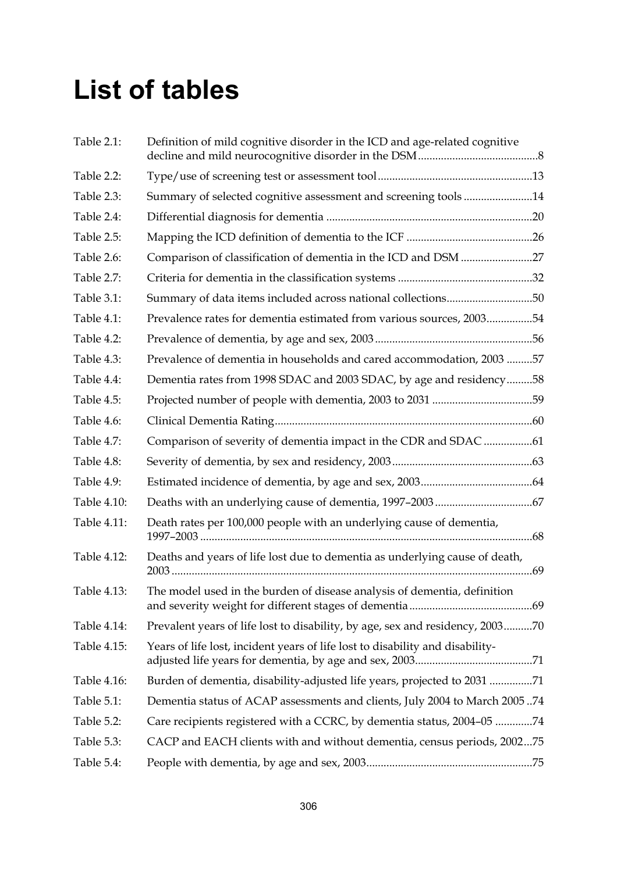## **List of tables**

| Table 2.1:  | Definition of mild cognitive disorder in the ICD and age-related cognitive    |
|-------------|-------------------------------------------------------------------------------|
| Table 2.2:  |                                                                               |
| Table 2.3:  | Summary of selected cognitive assessment and screening tools14                |
| Table 2.4:  |                                                                               |
| Table 2.5:  |                                                                               |
| Table 2.6:  | Comparison of classification of dementia in the ICD and DSM 27                |
| Table 2.7:  |                                                                               |
| Table 3.1:  | Summary of data items included across national collections50                  |
| Table 4.1:  | Prevalence rates for dementia estimated from various sources, 200354          |
| Table 4.2:  |                                                                               |
| Table 4.3:  | Prevalence of dementia in households and cared accommodation, 200357          |
| Table 4.4:  | Dementia rates from 1998 SDAC and 2003 SDAC, by age and residency58           |
| Table 4.5:  | Projected number of people with dementia, 2003 to 2031 59                     |
| Table 4.6:  |                                                                               |
| Table 4.7:  | Comparison of severity of dementia impact in the CDR and SDAC 61              |
| Table 4.8:  |                                                                               |
| Table 4.9:  |                                                                               |
| Table 4.10: |                                                                               |
| Table 4.11: | Death rates per 100,000 people with an underlying cause of dementia,          |
| Table 4.12: | Deaths and years of life lost due to dementia as underlying cause of death,   |
| Table 4.13: | The model used in the burden of disease analysis of dementia, definition      |
| Table 4.14: | Prevalent years of life lost to disability, by age, sex and residency, 200370 |
| Table 4.15: | Years of life lost, incident years of life lost to disability and disability- |
| Table 4.16: | Burden of dementia, disability-adjusted life years, projected to 2031 71      |
| Table 5.1:  | Dementia status of ACAP assessments and clients, July 2004 to March 200574    |
| Table 5.2:  | Care recipients registered with a CCRC, by dementia status, 2004-05 74        |
| Table 5.3:  | CACP and EACH clients with and without dementia, census periods, 200275       |
| Table 5.4:  |                                                                               |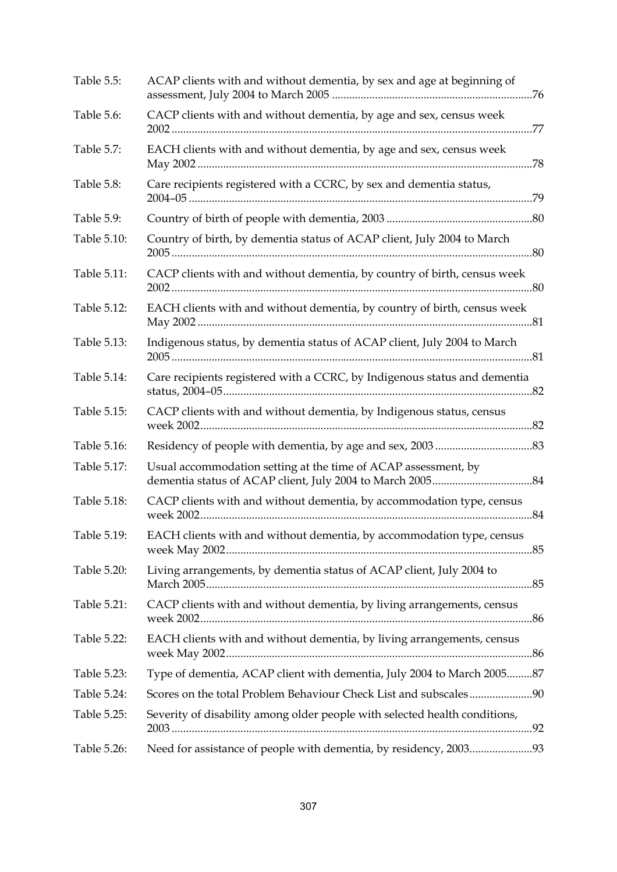| Table 5.5:  | ACAP clients with and without dementia, by sex and age at beginning of     |
|-------------|----------------------------------------------------------------------------|
| Table 5.6:  | CACP clients with and without dementia, by age and sex, census week        |
| Table 5.7:  | EACH clients with and without dementia, by age and sex, census week        |
| Table 5.8:  | Care recipients registered with a CCRC, by sex and dementia status,        |
| Table 5.9:  |                                                                            |
| Table 5.10: | Country of birth, by dementia status of ACAP client, July 2004 to March    |
| Table 5.11: | CACP clients with and without dementia, by country of birth, census week   |
| Table 5.12: | EACH clients with and without dementia, by country of birth, census week   |
| Table 5.13: | Indigenous status, by dementia status of ACAP client, July 2004 to March   |
| Table 5.14: | Care recipients registered with a CCRC, by Indigenous status and dementia  |
| Table 5.15: | CACP clients with and without dementia, by Indigenous status, census       |
| Table 5.16: |                                                                            |
| Table 5.17: | Usual accommodation setting at the time of ACAP assessment, by             |
| Table 5.18: | CACP clients with and without dementia, by accommodation type, census      |
| Table 5.19: | EACH clients with and without dementia, by accommodation type, census      |
| Table 5.20: | Living arrangements, by dementia status of ACAP client, July 2004 to       |
| Table 5.21: | CACP clients with and without dementia, by living arrangements, census     |
| Table 5.22: | EACH clients with and without dementia, by living arrangements, census     |
| Table 5.23: | Type of dementia, ACAP client with dementia, July 2004 to March 200587     |
| Table 5.24: |                                                                            |
| Table 5.25: | Severity of disability among older people with selected health conditions, |
| Table 5.26: | Need for assistance of people with dementia, by residency, 200393          |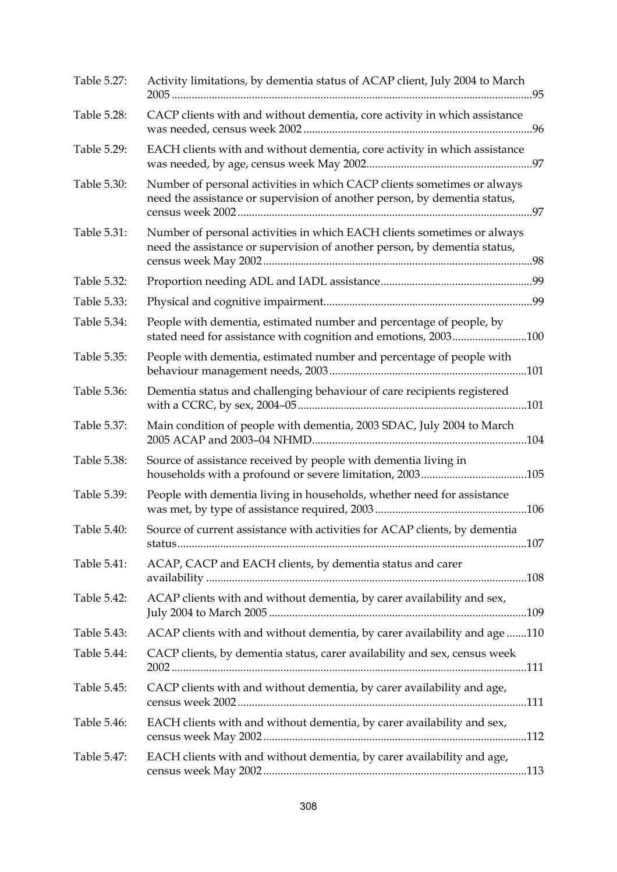| Table 5.27: | Activity limitations, by dementia status of ACAP client, July 2004 to March                                                                          |  |
|-------------|------------------------------------------------------------------------------------------------------------------------------------------------------|--|
| Table 5.28: | CACP clients with and without dementia, core activity in which assistance                                                                            |  |
| Table 5.29: | EACH clients with and without dementia, core activity in which assistance                                                                            |  |
| Table 5.30: | Number of personal activities in which CACP clients sometimes or always<br>need the assistance or supervision of another person, by dementia status, |  |
| Table 5.31: | Number of personal activities in which EACH clients sometimes or always<br>need the assistance or supervision of another person, by dementia status, |  |
| Table 5.32: |                                                                                                                                                      |  |
| Table 5.33: |                                                                                                                                                      |  |
| Table 5.34: | People with dementia, estimated number and percentage of people, by<br>stated need for assistance with cognition and emotions, 2003100               |  |
| Table 5.35: | People with dementia, estimated number and percentage of people with                                                                                 |  |
| Table 5.36: | Dementia status and challenging behaviour of care recipients registered                                                                              |  |
| Table 5.37: | Main condition of people with dementia, 2003 SDAC, July 2004 to March                                                                                |  |
| Table 5.38: | Source of assistance received by people with dementia living in                                                                                      |  |
| Table 5.39: | People with dementia living in households, whether need for assistance                                                                               |  |
| Table 5.40: | Source of current assistance with activities for ACAP clients, by dementia                                                                           |  |
| Table 5.41: | ACAP, CACP and EACH clients, by dementia status and carer                                                                                            |  |
| Table 5.42: | ACAP clients with and without dementia, by carer availability and sex,                                                                               |  |
| Table 5.43: | ACAP clients with and without dementia, by carer availability and age110                                                                             |  |
| Table 5.44: | CACP clients, by dementia status, carer availability and sex, census week                                                                            |  |
| Table 5.45: | CACP clients with and without dementia, by carer availability and age,                                                                               |  |
| Table 5.46: | EACH clients with and without dementia, by carer availability and sex,                                                                               |  |
| Table 5.47: | EACH clients with and without dementia, by carer availability and age,                                                                               |  |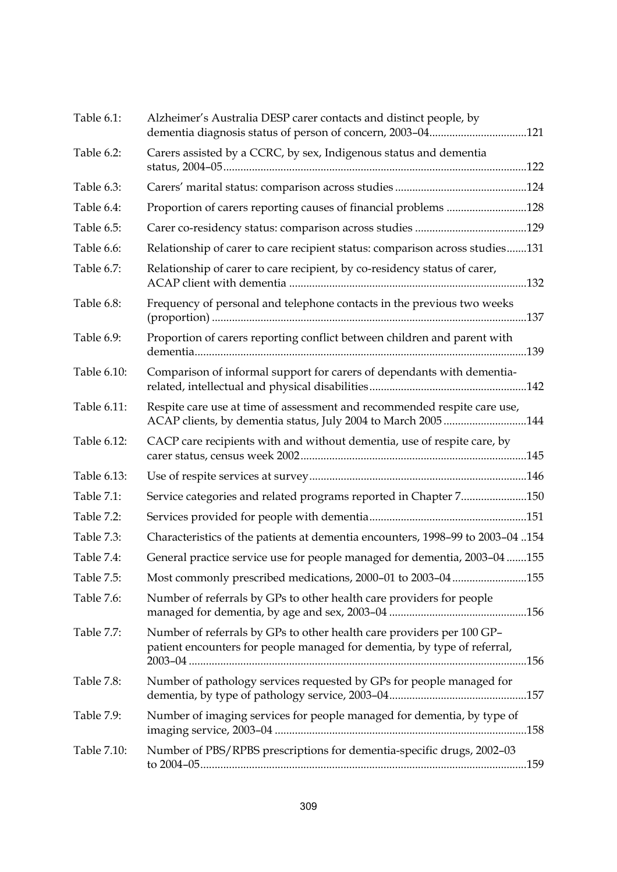| Table 6.1:  | Alzheimer's Australia DESP carer contacts and distinct people, by<br>dementia diagnosis status of person of concern, 2003-04121                   |  |
|-------------|---------------------------------------------------------------------------------------------------------------------------------------------------|--|
| Table 6.2:  | Carers assisted by a CCRC, by sex, Indigenous status and dementia                                                                                 |  |
| Table 6.3:  |                                                                                                                                                   |  |
| Table 6.4:  | Proportion of carers reporting causes of financial problems 128                                                                                   |  |
| Table 6.5:  |                                                                                                                                                   |  |
| Table 6.6:  | Relationship of carer to care recipient status: comparison across studies131                                                                      |  |
| Table 6.7:  | Relationship of carer to care recipient, by co-residency status of carer,                                                                         |  |
| Table 6.8:  | Frequency of personal and telephone contacts in the previous two weeks                                                                            |  |
| Table 6.9:  | Proportion of carers reporting conflict between children and parent with                                                                          |  |
| Table 6.10: | Comparison of informal support for carers of dependants with dementia-                                                                            |  |
| Table 6.11: | Respite care use at time of assessment and recommended respite care use,<br>ACAP clients, by dementia status, July 2004 to March 2005 144         |  |
| Table 6.12: | CACP care recipients with and without dementia, use of respite care, by                                                                           |  |
| Table 6.13: |                                                                                                                                                   |  |
| Table 7.1:  | Service categories and related programs reported in Chapter 7150                                                                                  |  |
| Table 7.2:  |                                                                                                                                                   |  |
| Table 7.3:  | Characteristics of the patients at dementia encounters, 1998-99 to 2003-04154                                                                     |  |
| Table 7.4:  | General practice service use for people managed for dementia, 2003-04 155                                                                         |  |
| Table 7.5:  | Most commonly prescribed medications, 2000-01 to 2003-04155                                                                                       |  |
| Table 7.6:  | Number of referrals by GPs to other health care providers for people                                                                              |  |
| Table 7.7:  | Number of referrals by GPs to other health care providers per 100 GP-<br>patient encounters for people managed for dementia, by type of referral, |  |
| Table 7.8:  | Number of pathology services requested by GPs for people managed for                                                                              |  |
| Table 7.9:  | Number of imaging services for people managed for dementia, by type of                                                                            |  |
| Table 7.10: | Number of PBS/RPBS prescriptions for dementia-specific drugs, 2002-03                                                                             |  |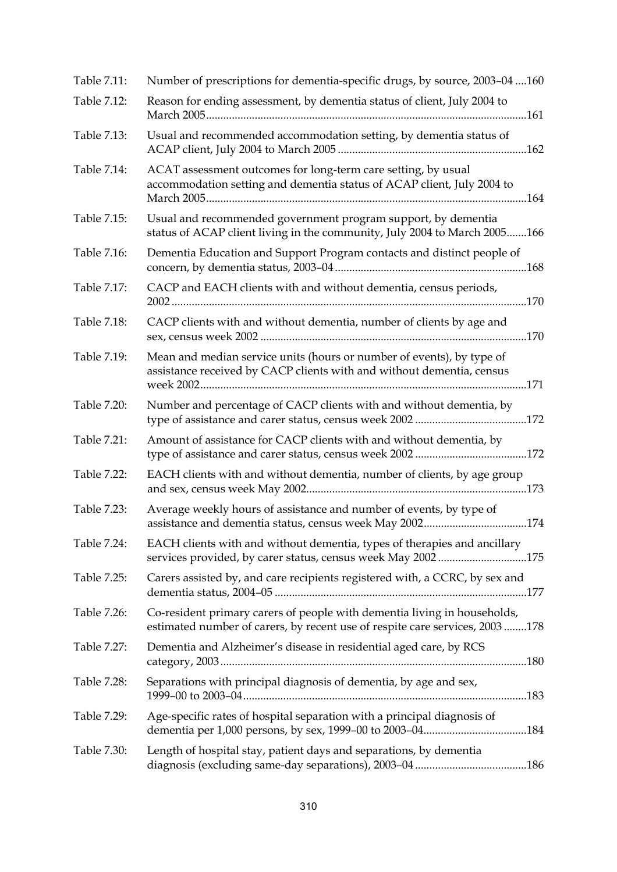| Table 7.11: | Number of prescriptions for dementia-specific drugs, by source, 2003-04 160                                                                             |
|-------------|---------------------------------------------------------------------------------------------------------------------------------------------------------|
| Table 7.12: | Reason for ending assessment, by dementia status of client, July 2004 to                                                                                |
| Table 7.13: | Usual and recommended accommodation setting, by dementia status of                                                                                      |
| Table 7.14: | ACAT assessment outcomes for long-term care setting, by usual<br>accommodation setting and dementia status of ACAP client, July 2004 to                 |
| Table 7.15: | Usual and recommended government program support, by dementia<br>status of ACAP client living in the community, July 2004 to March 2005166              |
| Table 7.16: | Dementia Education and Support Program contacts and distinct people of                                                                                  |
| Table 7.17: | CACP and EACH clients with and without dementia, census periods,                                                                                        |
| Table 7.18: | CACP clients with and without dementia, number of clients by age and                                                                                    |
| Table 7.19: | Mean and median service units (hours or number of events), by type of<br>assistance received by CACP clients with and without dementia, census          |
| Table 7.20: | Number and percentage of CACP clients with and without dementia, by                                                                                     |
| Table 7.21: | Amount of assistance for CACP clients with and without dementia, by                                                                                     |
| Table 7.22: | EACH clients with and without dementia, number of clients, by age group                                                                                 |
| Table 7.23: | Average weekly hours of assistance and number of events, by type of                                                                                     |
| Table 7.24: | EACH clients with and without dementia, types of therapies and ancillary<br>services provided, by carer status, census week May 2002175                 |
| Table 7.25: | Carers assisted by, and care recipients registered with, a CCRC, by sex and                                                                             |
| Table 7.26: | Co-resident primary carers of people with dementia living in households,<br>estimated number of carers, by recent use of respite care services, 2003178 |
| Table 7.27: | Dementia and Alzheimer's disease in residential aged care, by RCS                                                                                       |
| Table 7.28: | Separations with principal diagnosis of dementia, by age and sex,                                                                                       |
| Table 7.29: | Age-specific rates of hospital separation with a principal diagnosis of                                                                                 |
| Table 7.30: | Length of hospital stay, patient days and separations, by dementia                                                                                      |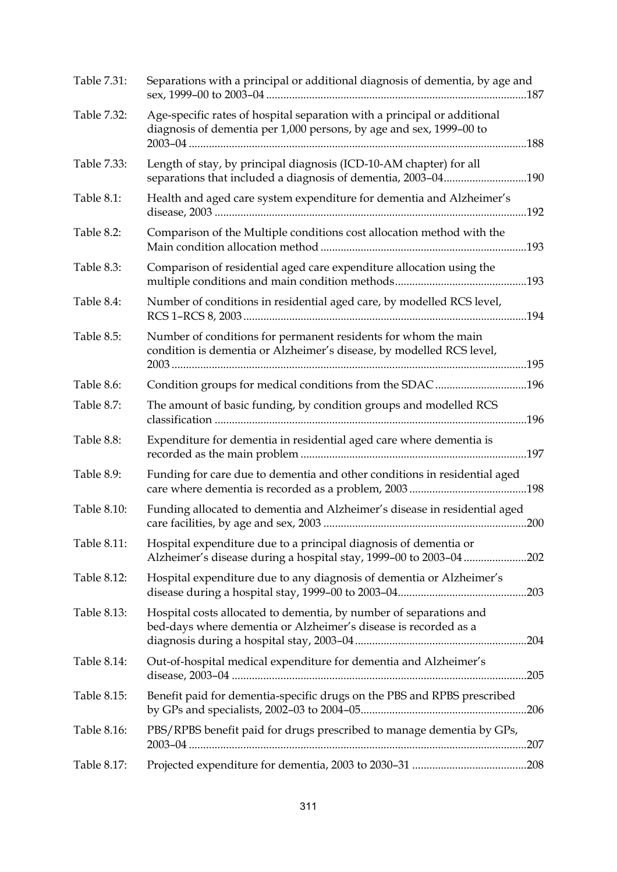| Table 7.31: | Separations with a principal or additional diagnosis of dementia, by age and                                                                    |
|-------------|-------------------------------------------------------------------------------------------------------------------------------------------------|
| Table 7.32: | Age-specific rates of hospital separation with a principal or additional<br>diagnosis of dementia per 1,000 persons, by age and sex, 1999-00 to |
| Table 7.33: | Length of stay, by principal diagnosis (ICD-10-AM chapter) for all<br>separations that included a diagnosis of dementia, 2003-04190             |
| Table 8.1:  | Health and aged care system expenditure for dementia and Alzheimer's<br>192                                                                     |
| Table 8.2:  | Comparison of the Multiple conditions cost allocation method with the                                                                           |
| Table 8.3:  | Comparison of residential aged care expenditure allocation using the                                                                            |
| Table 8.4:  | Number of conditions in residential aged care, by modelled RCS level,                                                                           |
| Table 8.5:  | Number of conditions for permanent residents for whom the main<br>condition is dementia or Alzheimer's disease, by modelled RCS level,          |
| Table 8.6:  | Condition groups for medical conditions from the SDAC196                                                                                        |
| Table 8.7:  | The amount of basic funding, by condition groups and modelled RCS                                                                               |
| Table 8.8:  | Expenditure for dementia in residential aged care where dementia is                                                                             |
| Table 8.9:  | Funding for care due to dementia and other conditions in residential aged                                                                       |
| Table 8.10: | Funding allocated to dementia and Alzheimer's disease in residential aged                                                                       |
| Table 8.11: | Hospital expenditure due to a principal diagnosis of dementia or<br>Alzheimer's disease during a hospital stay, 1999-00 to 2003-04202           |
| Table 8.12: | Hospital expenditure due to any diagnosis of dementia or Alzheimer's                                                                            |
| Table 8.13: | Hospital costs allocated to dementia, by number of separations and<br>bed-days where dementia or Alzheimer's disease is recorded as a           |
| Table 8.14: | Out-of-hospital medical expenditure for dementia and Alzheimer's                                                                                |
| Table 8.15: | Benefit paid for dementia-specific drugs on the PBS and RPBS prescribed                                                                         |
| Table 8.16: | PBS/RPBS benefit paid for drugs prescribed to manage dementia by GPs,                                                                           |
| Table 8.17: |                                                                                                                                                 |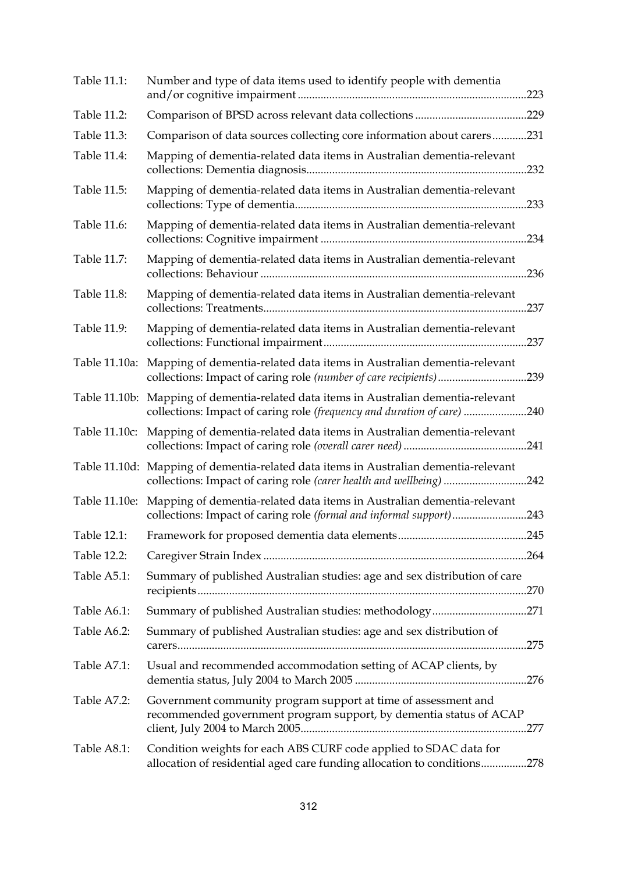| Table 11.1:   | Number and type of data items used to identify people with dementia                                                                                             |  |
|---------------|-----------------------------------------------------------------------------------------------------------------------------------------------------------------|--|
| Table 11.2:   |                                                                                                                                                                 |  |
| Table 11.3:   | Comparison of data sources collecting core information about carers231                                                                                          |  |
| Table 11.4:   | Mapping of dementia-related data items in Australian dementia-relevant                                                                                          |  |
| Table 11.5:   | Mapping of dementia-related data items in Australian dementia-relevant                                                                                          |  |
| Table 11.6:   | Mapping of dementia-related data items in Australian dementia-relevant                                                                                          |  |
| Table 11.7:   | Mapping of dementia-related data items in Australian dementia-relevant                                                                                          |  |
| Table 11.8:   | Mapping of dementia-related data items in Australian dementia-relevant                                                                                          |  |
| Table 11.9:   | Mapping of dementia-related data items in Australian dementia-relevant                                                                                          |  |
| Table 11.10a: | Mapping of dementia-related data items in Australian dementia-relevant<br>collections: Impact of caring role (number of care recipients)239                     |  |
|               | Table 11.10b: Mapping of dementia-related data items in Australian dementia-relevant<br>collections: Impact of caring role (frequency and duration of care) 240 |  |
| Table 11.10c: | Mapping of dementia-related data items in Australian dementia-relevant                                                                                          |  |
|               | Table 11.10d: Mapping of dementia-related data items in Australian dementia-relevant<br>collections: Impact of caring role (carer health and wellbeing) 242     |  |
| Table 11.10e: | Mapping of dementia-related data items in Australian dementia-relevant<br>collections: Impact of caring role (formal and informal support)243                   |  |
|               |                                                                                                                                                                 |  |
| Table 12.2:   |                                                                                                                                                                 |  |
| Table A5.1:   | Summary of published Australian studies: age and sex distribution of care                                                                                       |  |
| Table A6.1:   | Summary of published Australian studies: methodology271                                                                                                         |  |
| Table A6.2:   | Summary of published Australian studies: age and sex distribution of                                                                                            |  |
| Table A7.1:   | Usual and recommended accommodation setting of ACAP clients, by                                                                                                 |  |
| Table A7.2:   | Government community program support at time of assessment and<br>recommended government program support, by dementia status of ACAP                            |  |
| Table A8.1:   | Condition weights for each ABS CURF code applied to SDAC data for<br>allocation of residential aged care funding allocation to conditions278                    |  |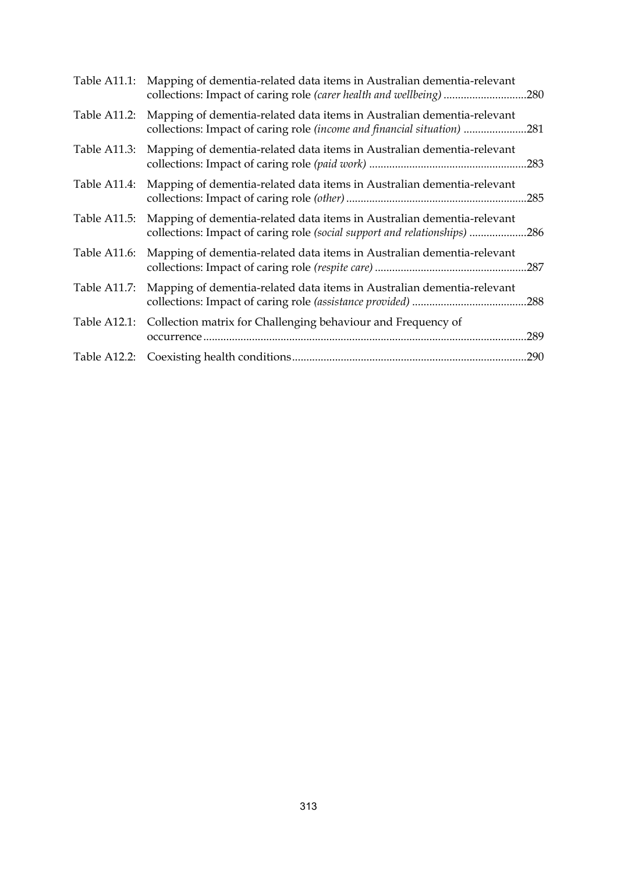|              | Table A11.1: Mapping of dementia-related data items in Australian dementia-relevant<br>collections: Impact of caring role (carer health and wellbeing) 280 |      |
|--------------|------------------------------------------------------------------------------------------------------------------------------------------------------------|------|
| Table A11.2: | Mapping of dementia-related data items in Australian dementia-relevant<br>collections: Impact of caring role (income and financial situation) 281          |      |
| Table A11.3: | Mapping of dementia-related data items in Australian dementia-relevant                                                                                     |      |
| Table A11.4: | Mapping of dementia-related data items in Australian dementia-relevant                                                                                     |      |
| Table A11.5: | Mapping of dementia-related data items in Australian dementia-relevant<br>collections: Impact of caring role (social support and relationships) 286        |      |
| Table A11.6: | Mapping of dementia-related data items in Australian dementia-relevant                                                                                     |      |
|              | Table A11.7: Mapping of dementia-related data items in Australian dementia-relevant                                                                        |      |
| Table A12.1: | Collection matrix for Challenging behaviour and Frequency of                                                                                               | .289 |
|              |                                                                                                                                                            | .290 |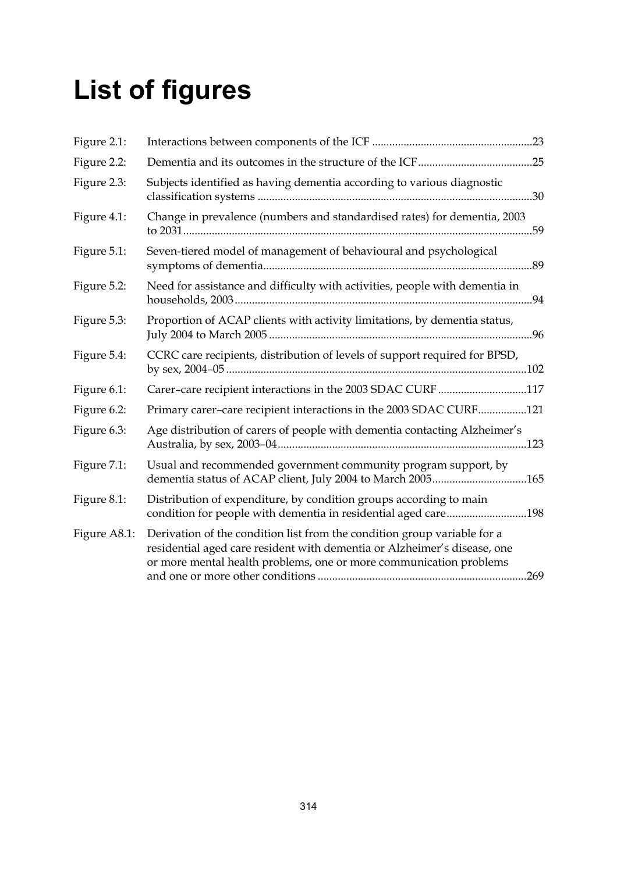# **List of figures**

| Figure 2.1:  |                                                                                                                                                                                                                            |
|--------------|----------------------------------------------------------------------------------------------------------------------------------------------------------------------------------------------------------------------------|
| Figure 2.2:  |                                                                                                                                                                                                                            |
| Figure 2.3:  | Subjects identified as having dementia according to various diagnostic                                                                                                                                                     |
| Figure 4.1:  | Change in prevalence (numbers and standardised rates) for dementia, 2003                                                                                                                                                   |
| Figure 5.1:  | Seven-tiered model of management of behavioural and psychological                                                                                                                                                          |
| Figure 5.2:  | Need for assistance and difficulty with activities, people with dementia in                                                                                                                                                |
| Figure 5.3:  | Proportion of ACAP clients with activity limitations, by dementia status,                                                                                                                                                  |
| Figure 5.4:  | CCRC care recipients, distribution of levels of support required for BPSD,                                                                                                                                                 |
| Figure 6.1:  | Carer-care recipient interactions in the 2003 SDAC CURF 117                                                                                                                                                                |
| Figure 6.2:  | Primary carer-care recipient interactions in the 2003 SDAC CURF121                                                                                                                                                         |
| Figure 6.3:  | Age distribution of carers of people with dementia contacting Alzheimer's                                                                                                                                                  |
| Figure 7.1:  | Usual and recommended government community program support, by<br>dementia status of ACAP client, July 2004 to March 2005165                                                                                               |
| Figure 8.1:  | Distribution of expenditure, by condition groups according to main<br>condition for people with dementia in residential aged care198                                                                                       |
| Figure A8.1: | Derivation of the condition list from the condition group variable for a<br>residential aged care resident with dementia or Alzheimer's disease, one<br>or more mental health problems, one or more communication problems |